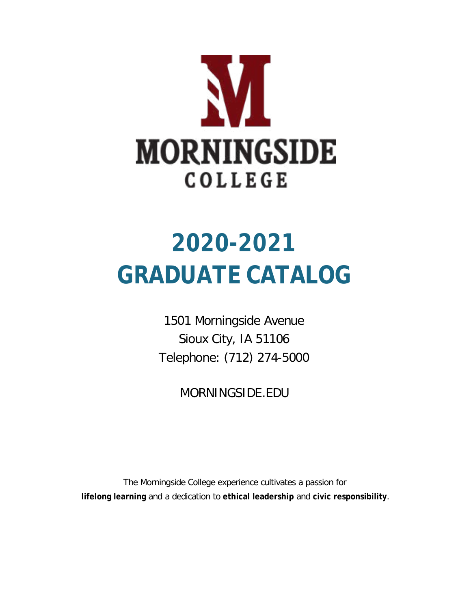

# **2020-2021 GRADUATE CATALOG**

1501 Morningside Avenue Sioux City, IA 51106 Telephone: (712) 274-5000

MORNINGSIDE.EDU

The Morningside College experience cultivates a passion for **lifelong learning** and a dedication to **ethical leadership** and **civic responsibility**.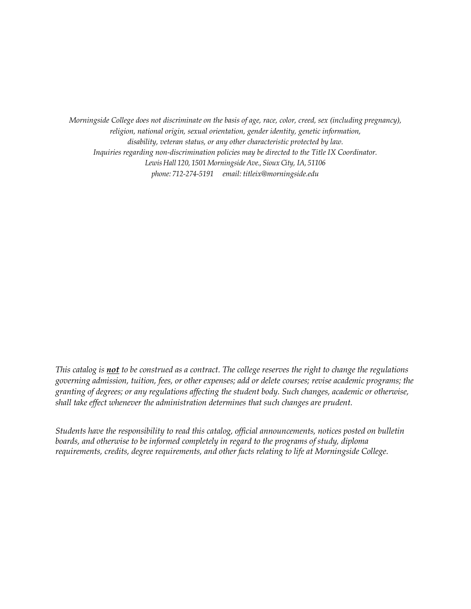*Morningside College does not discriminate on the basis of age, race, color, creed, sex (including pregnancy), religion, national origin, sexual orientation, gender identity, genetic information, disability, veteran status, or any other characteristic protected by law. Inquiries regarding non-discrimination policies may be directed to the Title IX Coordinator. Lewis Hall 120, 1501 Morningside Ave., Sioux City, IA, 51106 phone: 712-274-5191 email: [titleix@morningside.edu](mailto:titleix@morningside.edu)*

*This catalog is not to be construed as a contract. The college reserves the right to change the regulations governing admission, tuition, fees, or other expenses; add or delete courses; revise academic programs; the granting of degrees; or any regulations affecting the student body. Such changes, academic or otherwise, shall take effect whenever the administration determines that such changes are prudent.*

*Students have the responsibility to read this catalog, official announcements, notices posted on bulletin boards, and otherwise to be informed completely in regard to the programs of study, diploma requirements, credits, degree requirements, and other facts relating to life at Morningside College.*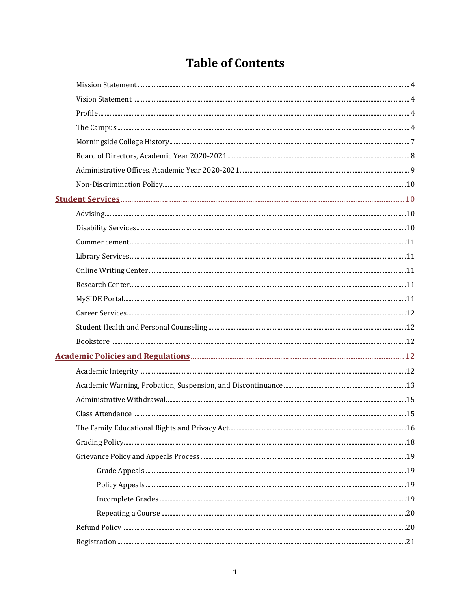# **Table of Contents**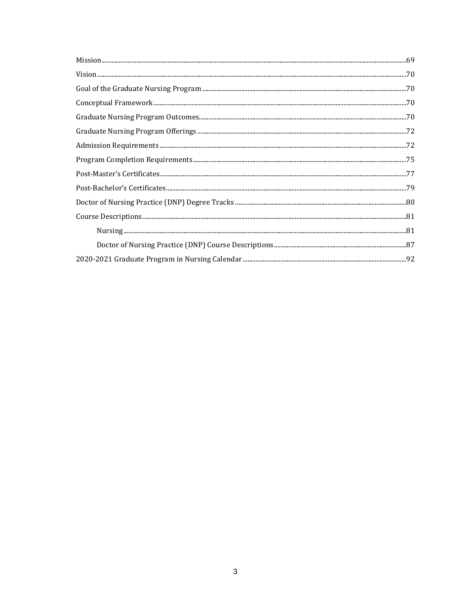| $Vision. 270$                                                                                                                                                                                                                                                                                                                                                                                                                               |  |
|---------------------------------------------------------------------------------------------------------------------------------------------------------------------------------------------------------------------------------------------------------------------------------------------------------------------------------------------------------------------------------------------------------------------------------------------|--|
|                                                                                                                                                                                                                                                                                                                                                                                                                                             |  |
|                                                                                                                                                                                                                                                                                                                                                                                                                                             |  |
|                                                                                                                                                                                                                                                                                                                                                                                                                                             |  |
|                                                                                                                                                                                                                                                                                                                                                                                                                                             |  |
|                                                                                                                                                                                                                                                                                                                                                                                                                                             |  |
|                                                                                                                                                                                                                                                                                                                                                                                                                                             |  |
|                                                                                                                                                                                                                                                                                                                                                                                                                                             |  |
|                                                                                                                                                                                                                                                                                                                                                                                                                                             |  |
|                                                                                                                                                                                                                                                                                                                                                                                                                                             |  |
| $\textbf{Course Descriptions} \textcolor{red}{}\textbf{1} \textbf{2} \textbf{3} \textbf{4} \textbf{5} \textbf{6} \textbf{6} \textbf{7} \textbf{9} \textbf{1} \textbf{1} \textbf{1} \textbf{1} \textbf{1} \textbf{1} \textbf{1} \textbf{1} \textbf{1} \textbf{1} \textbf{1} \textbf{1} \textbf{1} \textbf{1} \textbf{1} \textbf{1} \textbf{1} \textbf{1} \textbf{1} \textbf{1} \textbf{1} \textbf{1} \textbf{1} \textbf{1} \textbf{1} \text$ |  |
|                                                                                                                                                                                                                                                                                                                                                                                                                                             |  |
|                                                                                                                                                                                                                                                                                                                                                                                                                                             |  |
|                                                                                                                                                                                                                                                                                                                                                                                                                                             |  |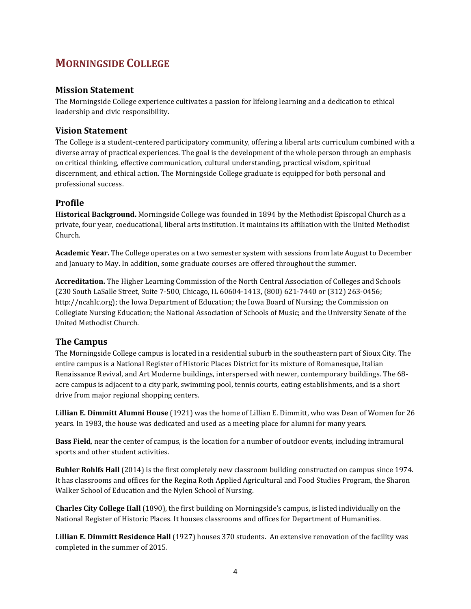# **MORNINGSIDE COLLEGE**

# **Mission Statement**

The Morningside College experience cultivates a passion for lifelong learning and a dedication to ethical leadership and civic responsibility.

# **Vision Statement**

The College is a student-centered participatory community, offering a liberal arts curriculum combined with a diverse array of practical experiences. The goal is the development of the whole person through an emphasis on critical thinking, effective communication, cultural understanding, practical wisdom, spiritual discernment, and ethical action. The Morningside College graduate is equipped for both personal and professional success.

# **Profile**

**Historical Background.** Morningside College was founded in 1894 by the Methodist Episcopal Church as a private, four year, coeducational, liberal arts institution. It maintains its affiliation with the United Methodist Church.

**Academic Year.** The College operates on a two semester system with sessions from late August to December and January to May. In addition, some graduate courses are offered throughout the summer.

**Accreditation.** The Higher Learning Commission of the North Central Association of Colleges and Schools (230 South LaSalle Street, Suite 7-500, Chicago, IL 60604-1413, (800) 621-7440 or (312) 263-0456; http://ncahlc.org); the Iowa Department of Education; the Iowa Board of Nursing; the Commission on Collegiate Nursing Education; the National Association of Schools of Music; and the University Senate of the United Methodist Church.

# **The Campus**

The Morningside College campus is located in a residential suburb in the southeastern part of Sioux City. The entire campus is a National Register of Historic Places District for its mixture of Romanesque, Italian Renaissance Revival, and Art Moderne buildings, interspersed with newer, contemporary buildings. The 68 acre campus is adjacent to a city park, swimming pool, tennis courts, eating establishments, and is a short drive from major regional shopping centers.

**Lillian E. Dimmitt Alumni House** (1921) was the home of Lillian E. Dimmitt, who was Dean of Women for 26 years. In 1983, the house was dedicated and used as a meeting place for alumni for many years.

**Bass Field**, near the center of campus, is the location for a number of outdoor events, including intramural sports and other student activities.

**Buhler Rohlfs Hall** (2014) is the first completely new classroom building constructed on campus since 1974. It has classrooms and offices for the Regina Roth Applied Agricultural and Food Studies Program, the Sharon Walker School of Education and the Nylen School of Nursing.

**Charles City College Hall** (1890), the first building on Morningside's campus, is listed individually on the National Register of Historic Places. It houses classrooms and offices for Department of Humanities.

**Lillian E. Dimmitt Residence Hall** (1927) houses 370 students. An extensive renovation of the facility was completed in the summer of 2015.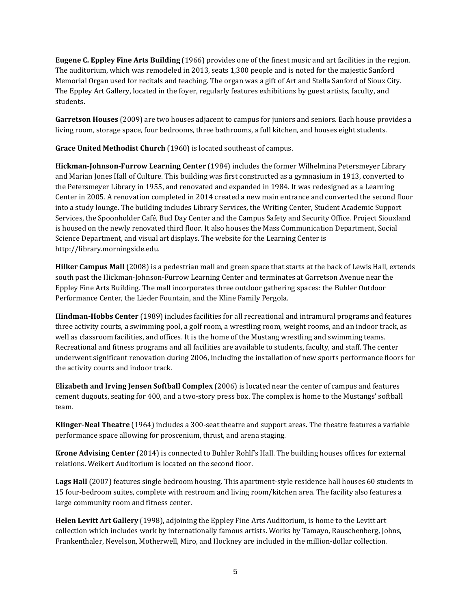**Eugene C. Eppley Fine Arts Building** (1966) provides one of the finest music and art facilities in the region. The auditorium, which was remodeled in 2013, seats 1,300 people and is noted for the majestic Sanford Memorial Organ used for recitals and teaching. The organ was a gift of Art and Stella Sanford of Sioux City. The Eppley Art Gallery, located in the foyer, regularly features exhibitions by guest artists, faculty, and students.

**Garretson Houses** (2009) are two houses adjacent to campus for juniors and seniors. Each house provides a living room, storage space, four bedrooms, three bathrooms, a full kitchen, and houses eight students.

**Grace United Methodist Church** (1960) is located southeast of campus.

**Hickman-Johnson-Furrow Learning Center** (1984) includes the former Wilhelmina Petersmeyer Library and Marian Jones Hall of Culture. This building was first constructed as a gymnasium in 1913, converted to the Petersmeyer Library in 1955, and renovated and expanded in 1984. It was redesigned as a Learning Center in 2005. A renovation completed in 2014 created a new main entrance and converted the second floor into a study lounge. The building includes Library Services, the Writing Center, Student Academic Support Services, the Spoonholder Café, Bud Day Center and the Campus Safety and Security Office. Project Siouxland is housed on the newly renovated third floor. It also houses the Mass Communication Department, Social Science Department, and visual art displays. The website for the Learning Center is http://library.morningside.edu.

**Hilker Campus Mall** (2008) is a pedestrian mall and green space that starts at the back of Lewis Hall, extends south past the Hickman-Johnson-Furrow Learning Center and terminates at Garretson Avenue near the Eppley Fine Arts Building. The mall incorporates three outdoor gathering spaces: the Buhler Outdoor Performance Center, the Lieder Fountain, and the Kline Family Pergola.

**Hindman-Hobbs Center** (1989) includes facilities for all recreational and intramural programs and features three activity courts, a swimming pool, a golf room, a wrestling room, weight rooms, and an indoor track, as well as classroom facilities, and offices. It is the home of the Mustang wrestling and swimming teams. Recreational and fitness programs and all facilities are available to students, faculty, and staff. The center underwent significant renovation during 2006, including the installation of new sports performance floors for the activity courts and indoor track.

**Elizabeth and Irving Jensen Softball Complex** (2006) is located near the center of campus and features cement dugouts, seating for 400, and a two-story press box. The complex is home to the Mustangs' softball team.

**Klinger-Neal Theatre** (1964) includes a 300-seat theatre and support areas. The theatre features a variable performance space allowing for proscenium, thrust, and arena staging.

**Krone Advising Center** (2014) is connected to Buhler Rohlf's Hall. The building houses offices for external relations. Weikert Auditorium is located on the second floor.

**Lags Hall** (2007) features single bedroom housing. This apartment-style residence hall houses 60 students in 15 four-bedroom suites, complete with restroom and living room/kitchen area. The facility also features a large community room and fitness center.

**Helen Levitt Art Gallery** (1998), adjoining the Eppley Fine Arts Auditorium, is home to the Levitt art collection which includes work by internationally famous artists. Works by Tamayo, Rauschenberg, Johns, Frankenthaler, Nevelson, Motherwell, Miro, and Hockney are included in the million-dollar collection.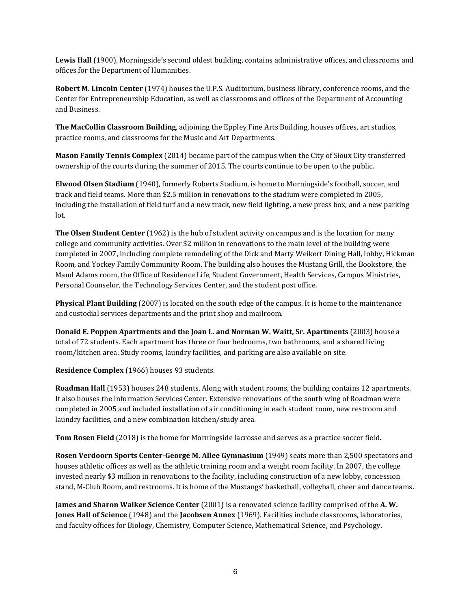**Lewis Hall** (1900), Morningside's second oldest building, contains administrative offices, and classrooms and offices for the Department of Humanities.

**Robert M. Lincoln Center** (1974) houses the U.P.S. Auditorium, business library, conference rooms, and the Center for Entrepreneurship Education, as well as classrooms and offices of the Department of Accounting and Business.

**The MacCollin Classroom Building**, adjoining the Eppley Fine Arts Building, houses offices, art studios, practice rooms, and classrooms for the Music and Art Departments.

**Mason Family Tennis Complex** (2014) became part of the campus when the City of Sioux City transferred ownership of the courts during the summer of 2015. The courts continue to be open to the public.

**Elwood Olsen Stadium** (1940), formerly Roberts Stadium, is home to Morningside's football, soccer, and track and field teams. More than \$2.5 million in renovations to the stadium were completed in 2005, including the installation of field turf and a new track, new field lighting, a new press box, and a new parking lot.

**The Olsen Student Center** (1962) is the hub of student activity on campus and is the location for many college and community activities. Over \$2 million in renovations to the main level of the building were completed in 2007, including complete remodeling of the Dick and Marty Weikert Dining Hall, lobby, Hickman Room, and Yockey Family Community Room. The building also houses the Mustang Grill, the Bookstore, the Maud Adams room, the Office of Residence Life, Student Government, Health Services, Campus Ministries, Personal Counselor, the Technology Services Center, and the student post office.

**Physical Plant Building** (2007) is located on the south edge of the campus. It is home to the maintenance and custodial services departments and the print shop and mailroom.

**Donald E. Poppen Apartments and the Joan L. and Norman W. Waitt, Sr. Apartments** (2003) house a total of 72 students. Each apartment has three or four bedrooms, two bathrooms, and a shared living room/kitchen area. Study rooms, laundry facilities, and parking are also available on site.

**Residence Complex** (1966) houses 93 students.

**Roadman Hall** (1953) houses 248 students. Along with student rooms, the building contains 12 apartments. It also houses the Information Services Center. Extensive renovations of the south wing of Roadman were completed in 2005 and included installation of air conditioning in each student room, new restroom and laundry facilities, and a new combination kitchen/study area.

**Tom Rosen Field** (2018) is the home for Morningside lacrosse and serves as a practice soccer field.

**Rosen Verdoorn Sports Center-George M. Allee Gymnasium** (1949) seats more than 2,500 spectators and houses athletic offices as well as the athletic training room and a weight room facility. In 2007, the college invested nearly \$3 million in renovations to the facility, including construction of a new lobby, concession stand, M-Club Room, and restrooms. It is home of the Mustangs' basketball, volleyball, cheer and dance teams.

**James and Sharon Walker Science Center** (2001) is a renovated science facility comprised of the **A. W. Jones Hall of Science** (1948) and the **Jacobsen Annex** (1969). Facilities include classrooms, laboratories, and faculty offices for Biology, Chemistry, Computer Science, Mathematical Science, and Psychology.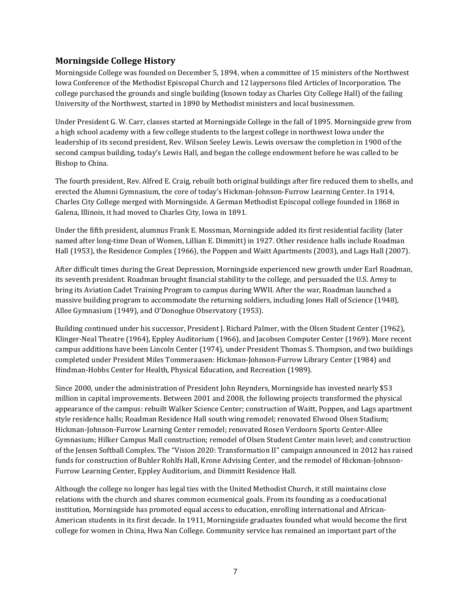# **Morningside College History**

Morningside College was founded on December 5, 1894, when a committee of 15 ministers of the Northwest Iowa Conference of the Methodist Episcopal Church and 12 laypersons filed Articles of Incorporation. The college purchased the grounds and single building (known today as Charles City College Hall) of the failing University of the Northwest, started in 1890 by Methodist ministers and local businessmen.

Under President G. W. Carr, classes started at Morningside College in the fall of 1895. Morningside grew from a high school academy with a few college students to the largest college in northwest Iowa under the leadership of its second president, Rev. Wilson Seeley Lewis. Lewis oversaw the completion in 1900 of the second campus building, today's Lewis Hall, and began the college endowment before he was called to be Bishop to China.

The fourth president, Rev. Alfred E. Craig, rebuilt both original buildings after fire reduced them to shells, and erected the Alumni Gymnasium, the core of today's Hickman-Johnson-Furrow Learning Center. In 1914, Charles City College merged with Morningside. A German Methodist Episcopal college founded in 1868 in Galena, Illinois, it had moved to Charles City, Iowa in 1891.

Under the fifth president, alumnus Frank E. Mossman, Morningside added its first residential facility (later named after long-time Dean of Women, Lillian E. Dimmitt) in 1927. Other residence halls include Roadman Hall (1953), the Residence Complex (1966), the Poppen and Waitt Apartments (2003), and Lags Hall (2007).

After difficult times during the Great Depression, Morningside experienced new growth under Earl Roadman, its seventh president. Roadman brought financial stability to the college, and persuaded the U.S. Army to bring its Aviation Cadet Training Program to campus during WWII. After the war, Roadman launched a massive building program to accommodate the returning soldiers, including Jones Hall of Science (1948), Allee Gymnasium (1949), and O'Donoghue Observatory (1953).

Building continued under his successor, President J. Richard Palmer, with the Olsen Student Center (1962), Klinger-Neal Theatre (1964), Eppley Auditorium (1966), and Jacobsen Computer Center (1969). More recent campus additions have been Lincoln Center (1974), under President Thomas S. Thompson, and two buildings completed under President Miles Tommeraasen: Hickman-Johnson-Furrow Library Center (1984) and Hindman-Hobbs Center for Health, Physical Education, and Recreation (1989).

Since 2000, under the administration of President John Reynders, Morningside has invested nearly \$53 million in capital improvements. Between 2001 and 2008, the following projects transformed the physical appearance of the campus: rebuilt Walker Science Center; construction of Waitt, Poppen, and Lags apartment style residence halls; Roadman Residence Hall south wing remodel; renovated Elwood Olsen Stadium; Hickman-Johnson-Furrow Learning Center remodel; renovated Rosen Verdoorn Sports Center-Allee Gymnasium; Hilker Campus Mall construction; remodel of Olsen Student Center main level; and construction of the Jensen Softball Complex. The "Vision 2020: Transformation II" campaign announced in 2012 has raised funds for construction of Buhler Rohlfs Hall, Krone Advising Center, and the remodel of Hickman-Johnson-Furrow Learning Center, Eppley Auditorium, and Dimmitt Residence Hall.

Although the college no longer has legal ties with the United Methodist Church, it still maintains close relations with the church and shares common ecumenical goals. From its founding as a coeducational institution, Morningside has promoted equal access to education, enrolling international and African-American students in its first decade. In 1911, Morningside graduates founded what would become the first college for women in China, Hwa Nan College. Community service has remained an important part of the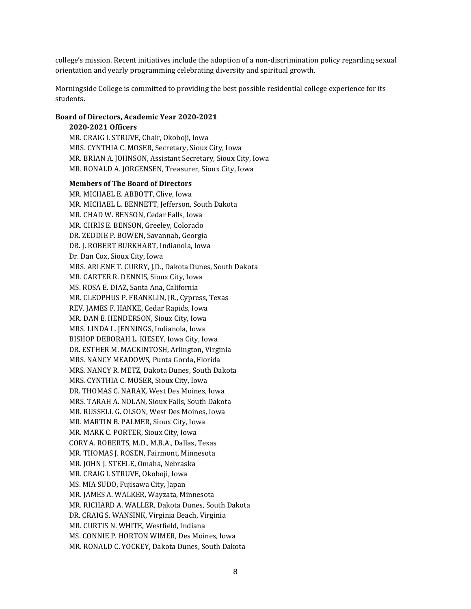college's mission. Recent initiatives include the adoption of a non-discrimination policy regarding sexual orientation and yearly programming celebrating diversity and spiritual growth.

Morningside College is committed to providing the best possible residential college experience for its students.

#### **Board of Directors, Academic Year 2020-2021**

#### **2020-2021 Officers**

MR. CRAIG I. STRUVE, Chair, Okoboji, Iowa MRS. CYNTHIA C. MOSER, Secretary, Sioux City, Iowa MR. BRIAN A. JOHNSON, Assistant Secretary, Sioux City, Iowa MR. RONALD A. JORGENSEN, Treasurer, Sioux City, Iowa

#### **Members of The Board of Directors**

MR. MICHAEL E. ABBOTT, Clive, Iowa MR. MICHAEL L. BENNETT, Jefferson, South Dakota MR. CHAD W. BENSON, Cedar Falls, Iowa MR. CHRIS E. BENSON, Greeley, Colorado DR. ZEDDIE P. BOWEN, Savannah, Georgia DR. J. ROBERT BURKHART, Indianola, Iowa Dr. Dan Cox, Sioux City, Iowa MRS. ARLENE T. CURRY, J.D., Dakota Dunes, South Dakota MR. CARTER R. DENNIS, Sioux City, Iowa MS. ROSA E. DIAZ, Santa Ana, California MR. CLEOPHUS P. FRANKLIN, JR., Cypress, Texas REV. JAMES F. HANKE, Cedar Rapids, Iowa MR. DAN E. HENDERSON, Sioux City, Iowa MRS. LINDA L. JENNINGS, Indianola, Iowa BISHOP DEBORAH L. KIESEY, Iowa City, Iowa DR. ESTHER M. MACKINTOSH, Arlington, Virginia MRS. NANCY MEADOWS, Punta Gorda, Florida MRS. NANCY R. METZ, Dakota Dunes, South Dakota MRS. CYNTHIA C. MOSER, Sioux City, Iowa DR. THOMAS C. NARAK, West Des Moines, Iowa MRS. TARAH A. NOLAN, Sioux Falls, South Dakota MR. RUSSELL G. OLSON, West Des Moines, Iowa MR. MARTIN B. PALMER, Sioux City, Iowa MR. MARK C. PORTER, Sioux City, Iowa CORY A. ROBERTS, M.D., M.B.A., Dallas, Texas MR. THOMAS J. ROSEN, Fairmont, Minnesota MR. JOHN J. STEELE, Omaha, Nebraska MR. CRAIG I. STRUVE, Okoboji, Iowa MS. MIA SUDO, Fujisawa City, Japan MR. JAMES A. WALKER, Wayzata, Minnesota MR. RICHARD A. WALLER, Dakota Dunes, South Dakota DR. CRAIG S. WANSINK, Virginia Beach, Virginia MR. CURTIS N. WHITE, Westfield, Indiana MS. CONNIE P. HORTON WIMER, Des Moines, Iowa MR. RONALD C. YOCKEY, Dakota Dunes, South Dakota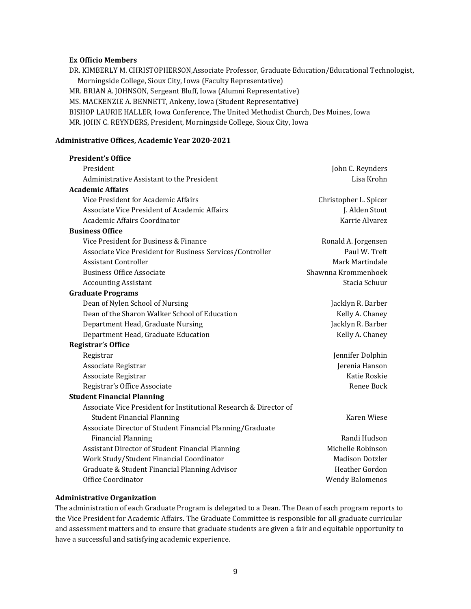## **Ex Officio Members**

DR. KIMBERLY M. CHRISTOPHERSON,Associate Professor, Graduate Education/Educational Technologist, Morningside College, Sioux City, Iowa (Faculty Representative) MR. BRIAN A. JOHNSON, Sergeant Bluff, Iowa (Alumni Representative) MS. MACKENZIE A. BENNETT, Ankeny, Iowa (Student Representative) BISHOP LAURIE HALLER, Iowa Conference, The United Methodist Church, Des Moines, Iowa MR. JOHN C. REYNDERS, President, Morningside College, Sioux City, Iowa

#### **Administrative Offices, Academic Year 2020-2021**

| <b>President's Office</b>                                         |                        |
|-------------------------------------------------------------------|------------------------|
| President                                                         | John C. Reynders       |
| Administrative Assistant to the President                         | Lisa Krohn             |
| <b>Academic Affairs</b>                                           |                        |
| Vice President for Academic Affairs                               | Christopher L. Spicer  |
| <b>Associate Vice President of Academic Affairs</b>               | J. Alden Stout         |
| Academic Affairs Coordinator                                      | Karrie Alvarez         |
| <b>Business Office</b>                                            |                        |
| Vice President for Business & Finance                             | Ronald A. Jorgensen    |
| Associate Vice President for Business Services/Controller         | Paul W. Treft          |
| <b>Assistant Controller</b>                                       | Mark Martindale        |
| <b>Business Office Associate</b>                                  | Shawnna Krommenhoek    |
| <b>Accounting Assistant</b>                                       | Stacia Schuur          |
| <b>Graduate Programs</b>                                          |                        |
| Dean of Nylen School of Nursing                                   | Jacklyn R. Barber      |
| Dean of the Sharon Walker School of Education                     | Kelly A. Chaney        |
| Department Head, Graduate Nursing                                 | Jacklyn R. Barber      |
| Department Head, Graduate Education                               | Kelly A. Chaney        |
| <b>Registrar's Office</b>                                         |                        |
| Registrar                                                         | Jennifer Dolphin       |
| Associate Registrar                                               | Jerenia Hanson         |
| Associate Registrar                                               | Katie Roskie           |
| Registrar's Office Associate                                      | Renee Bock             |
| <b>Student Financial Planning</b>                                 |                        |
| Associate Vice President for Institutional Research & Director of |                        |
| <b>Student Financial Planning</b>                                 | Karen Wiese            |
| Associate Director of Student Financial Planning/Graduate         |                        |
| <b>Financial Planning</b>                                         | Randi Hudson           |
| Assistant Director of Student Financial Planning                  | Michelle Robinson      |
| Work Study/Student Financial Coordinator                          | <b>Madison Dotzler</b> |
| Graduate & Student Financial Planning Advisor                     | Heather Gordon         |
| Office Coordinator                                                | <b>Wendy Balomenos</b> |

#### **Administrative Organization**

The administration of each Graduate Program is delegated to a Dean. The Dean of each program reports to the Vice President for Academic Affairs. The Graduate Committee is responsible for all graduate curricular and assessment matters and to ensure that graduate students are given a fair and equitable opportunity to have a successful and satisfying academic experience.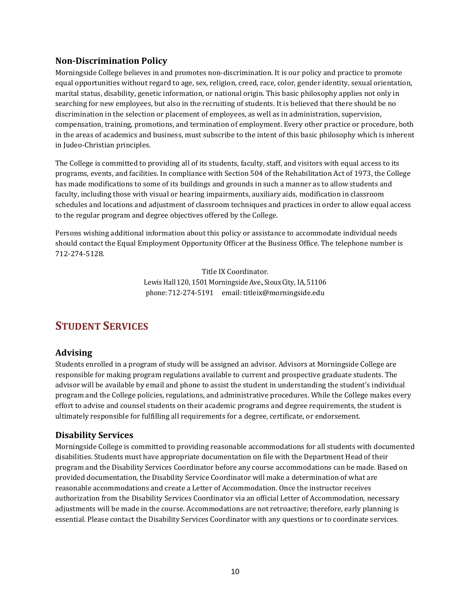# **Non-Discrimination Policy**

Morningside College believes in and promotes non-discrimination. It is our policy and practice to promote equal opportunities without regard to age, sex, religion, creed, race, color, gender identity, sexual orientation, marital status, disability, genetic information, or national origin. This basic philosophy applies not only in searching for new employees, but also in the recruiting of students. It is believed that there should be no discrimination in the selection or placement of employees, as well as in administration, supervision, compensation, training, promotions, and termination of employment. Every other practice or procedure, both in the areas of academics and business, must subscribe to the intent of this basic philosophy which is inherent in Judeo-Christian principles.

The College is committed to providing all of its students, faculty, staff, and visitors with equal access to its programs, events, and facilities. In compliance with Section 504 of the Rehabilitation Act of 1973, the College has made modifications to some of its buildings and grounds in such a manner as to allow students and faculty, including those with visual or hearing impairments, auxiliary aids, modification in classroom schedules and locations and adjustment of classroom techniques and practices in order to allow equal access to the regular program and degree objectives offered by the College.

Persons wishing additional information about this policy or assistance to accommodate individual needs should contact the Equal Employment Opportunity Officer at the Business Office. The telephone number is 712-274-5128.

> Title IX Coordinator. LewisHall 120, 1501 MorningsideAve., Sioux City, IA, 51106 phone: 712-274-5191 email: [titleix@morningside.edu](mailto:titleix@morningside.edu)

# **STUDENT SERVICES**

# **Advising**

Students enrolled in a program of study will be assigned an advisor. Advisors at Morningside College are responsible for making program regulations available to current and prospective graduate students. The advisor will be available by email and phone to assist the student in understanding the student's individual program and the College policies, regulations, and administrative procedures. While the College makes every effort to advise and counsel students on their academic programs and degree requirements, the student is ultimately responsible for fulfilling all requirements for a degree, certificate, or endorsement.

# **Disability Services**

Morningside College is committed to providing reasonable accommodations for all students with documented disabilities. Students must have appropriate documentation on file with the Department Head of their program and the Disability Services Coordinator before any course accommodations can be made. Based on provided documentation, the Disability Service Coordinator will make a determination of what are reasonable accommodations and create a Letter of Accommodation. Once the instructor receives authorization from the Disability Services Coordinator via an official Letter of Accommodation, necessary adjustments will be made in the course. Accommodations are not retroactive; therefore, early planning is essential. Please contact the Disability Services Coordinator with any questions or to coordinate services.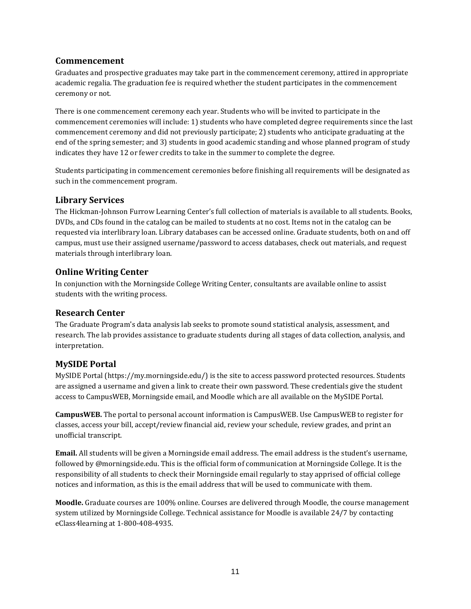# **Commencement**

Graduates and prospective graduates may take part in the commencement ceremony, attired in appropriate academic regalia. The graduation fee is required whether the student participates in the commencement ceremony or not.

There is one commencement ceremony each year. Students who will be invited to participate in the commencement ceremonies will include: 1) students who have completed degree requirements since the last commencement ceremony and did not previously participate; 2) students who anticipate graduating at the end of the spring semester; and 3) students in good academic standing and whose planned program of study indicates they have 12 or fewer credits to take in the summer to complete the degree.

Students participating in commencement ceremonies before finishing all requirements will be designated as such in the commencement program.

# **Library Services**

The Hickman-Johnson Furrow Learning Center's full collection of materials is available to all students. Books, DVDs, and CDs found in the catalog can be mailed to students at no cost. Items not in the catalog can be requested via interlibrary loan. Library databases can be accessed online. Graduate students, both on and off campus, must use their assigned username/password to access databases, check out materials, and request materials through interlibrary loan.

# **Online Writing Center**

In conjunction with the Morningside College Writing Center, consultants are available online to assist students with the writing process.

# **Research Center**

The Graduate Program's data analysis lab seeks to promote sound statistical analysis, assessment, and research. The lab provides assistance to graduate students during all stages of data collection, analysis, and interpretation.

# **MySIDE Portal**

MySIDE Portal (https://my.morningside.edu/) is the site to access password protected resources. Students are assigned a username and given a link to create their own password. These credentials give the student access to CampusWEB, Morningside email, and Moodle which are all available on the MySIDE Portal.

**CampusWEB.** The portal to personal account information is CampusWEB. Use CampusWEB to register for classes, access your bill, accept/review financial aid, review your schedule, review grades, and print an unofficial transcript.

**Email.** All students will be given a Morningside email address. The email address is the student's username, followed by @morningside.edu. This is the official form of communication at Morningside College. It is the responsibility of all students to check their Morningside email regularly to stay apprised of official college notices and information, as this is the email address that will be used to communicate with them.

**Moodle.** Graduate courses are 100% online. Courses are delivered through Moodle, the course management system utilized by Morningside College. Technical assistance for Moodle is available 24/7 by contacting eClass4learning at 1-800-408-4935.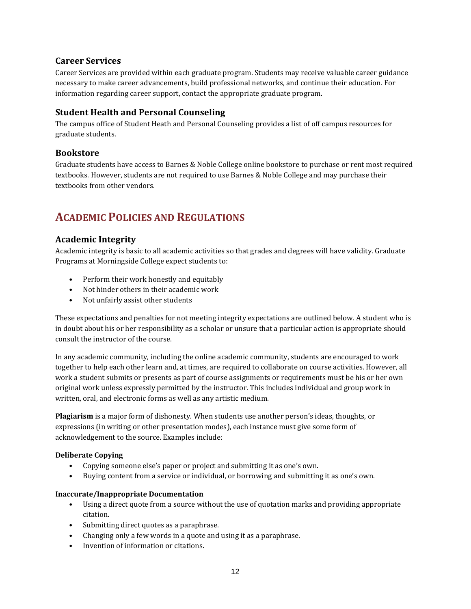# **Career Services**

Career Services are provided within each graduate program. Students may receive valuable career guidance necessary to make career advancements, build professional networks, and continue their education. For information regarding career support, contact the appropriate graduate program.

# **Student Health and Personal Counseling**

The campus office of Student Heath and Personal Counseling provides a list of off campus resources for graduate students.

# **Bookstore**

Graduate students have access to Barnes & Noble College online bookstore to purchase or rent most required textbooks. However, students are not required to use Barnes & Noble College and may purchase their textbooks from other vendors.

# **ACADEMIC POLICIES AND REGULATIONS**

# **Academic Integrity**

Academic integrity is basic to all academic activities so that grades and degrees will have validity. Graduate Programs at Morningside College expect students to:

- Perform their work honestly and equitably
- Not hinder others in their academic work
- Not unfairly assist other students

These expectations and penalties for not meeting integrity expectations are outlined below. A student who is in doubt about his or her responsibility as a scholar or unsure that a particular action is appropriate should consult the instructor of the course.

In any academic community, including the online academic community, students are encouraged to work together to help each other learn and, at times, are required to collaborate on course activities. However, all work a student submits or presents as part of course assignments or requirements must be his or her own original work unless expressly permitted by the instructor. This includes individual and group work in written, oral, and electronic forms as well as any artistic medium.

**Plagiarism** is a major form of dishonesty. When students use another person's ideas, thoughts, or expressions (in writing or other presentation modes), each instance must give some form of acknowledgement to the source. Examples include:

## **Deliberate Copying**

- Copying someone else's paper or project and submitting it as one's own.
- Buying content from a service or individual, or borrowing and submitting it as one's own.

## **Inaccurate/Inappropriate Documentation**

- Using a direct quote from a source without the use of quotation marks and providing appropriate citation.
- Submitting direct quotes as a paraphrase.
- Changing only a few words in a quote and using it as a paraphrase.
- Invention of information or citations.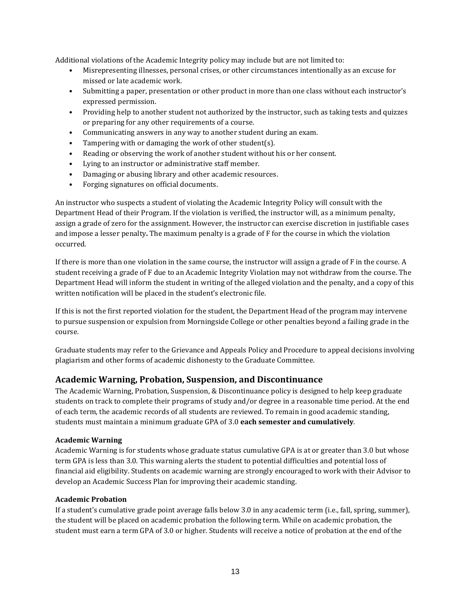Additional violations of the Academic Integrity policy may include but are not limited to:

- Misrepresenting illnesses, personal crises, or other circumstances intentionally as an excuse for missed or late academic work.
- Submitting a paper, presentation or other product in more than one class without each instructor's expressed permission.
- Providing help to another student not authorized by the instructor, such as taking tests and quizzes or preparing for any other requirements of a course.
- Communicating answers in any way to another student during an exam.
- Tampering with or damaging the work of other student(s).
- Reading or observing the work of another student without his or her consent.
- Lying to an instructor or administrative staff member.
- Damaging or abusing library and other academic resources.
- Forging signatures on official documents.

An instructor who suspects a student of violating the Academic Integrity Policy will consult with the Department Head of their Program. If the violation is verified, the instructor will, as a minimum penalty, assign a grade of zero for the assignment. However, the instructor can exercise discretion in justifiable cases and impose a lesser penalty**.** The maximum penalty is a grade of F for the course in which the violation occurred.

If there is more than one violation in the same course, the instructor will assign a grade of F in the course. A student receiving a grade of F due to an Academic Integrity Violation may not withdraw from the course. The Department Head will inform the student in writing of the alleged violation and the penalty, and a copy of this written notification will be placed in the student's electronic file.

If this is not the first reported violation for the student, the Department Head of the program may intervene to pursue suspension or expulsion from Morningside College or other penalties beyond a failing grade in the course.

Graduate students may refer to the Grievance and Appeals Policy and Procedure to appeal decisions involving plagiarism and other forms of academic dishonesty to the Graduate Committee.

## **Academic Warning, Probation, Suspension, and Discontinuance**

The Academic Warning, Probation, Suspension, & Discontinuance policy is designed to help keep graduate students on track to complete their programs of study and/or degree in a reasonable time period. At the end of each term, the academic records of all students are reviewed. To remain in good academic standing, students must maintain a minimum graduate GPA of 3.0 **each semester and cumulatively**.

#### **Academic Warning**

Academic Warning is for students whose graduate status cumulative GPA is at or greater than 3.0 but whose term GPA is less than 3.0. This warning alerts the student to potential difficulties and potential loss of financial aid eligibility. Students on academic warning are strongly encouraged to work with their Advisor to develop an Academic Success Plan for improving their academic standing.

#### **Academic Probation**

If a student's cumulative grade point average falls below 3.0 in any academic term (i.e., fall, spring, summer), the student will be placed on academic probation the following term. While on academic probation, the student must earn a term GPA of 3.0 or higher. Students will receive a notice of probation at the end of the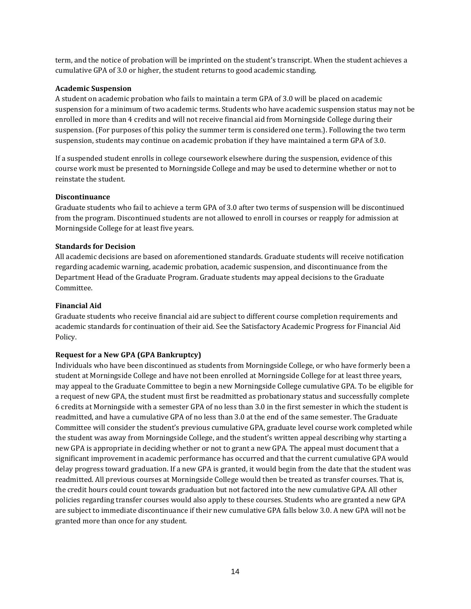term, and the notice of probation will be imprinted on the student's transcript. When the student achieves a cumulative GPA of 3.0 or higher, the student returns to good academic standing.

#### **Academic Suspension**

A student on academic probation who fails to maintain a term GPA of 3.0 will be placed on academic suspension for a minimum of two academic terms. Students who have academic suspension status may not be enrolled in more than 4 credits and will not receive financial aid from Morningside College during their suspension. (For purposes of this policy the summer term is considered one term.). Following the two term suspension, students may continue on academic probation if they have maintained a term GPA of 3.0.

If a suspended student enrolls in college coursework elsewhere during the suspension, evidence of this course work must be presented to Morningside College and may be used to determine whether or not to reinstate the student.

#### **Discontinuance**

Graduate students who fail to achieve a term GPA of 3.0 after two terms of suspension will be discontinued from the program. Discontinued students are not allowed to enroll in courses or reapply for admission at Morningside College for at least five years.

#### **Standards for Decision**

All academic decisions are based on aforementioned standards. Graduate students will receive notification regarding academic warning, academic probation, academic suspension, and discontinuance from the Department Head of the Graduate Program. Graduate students may appeal decisions to the Graduate Committee.

#### **Financial Aid**

Graduate students who receive financial aid are subject to different course completion requirements and academic standards for continuation of their aid. See the Satisfactory Academic Progress for Financial Aid Policy.

## **Request for a New GPA (GPA Bankruptcy)**

Individuals who have been discontinued as students from Morningside College, or who have formerly been a student at Morningside College and have not been enrolled at Morningside College for at least three years, may appeal to the Graduate Committee to begin a new Morningside College cumulative GPA. To be eligible for a request of new GPA, the student must first be readmitted as probationary status and successfully complete 6 credits at Morningside with a semester GPA of no less than 3.0 in the first semester in which the student is readmitted, and have a cumulative GPA of no less than 3.0 at the end of the same semester. The Graduate Committee will consider the student's previous cumulative GPA, graduate level course work completed while the student was away from Morningside College, and the student's written appeal describing why starting a new GPA is appropriate in deciding whether or not to grant a new GPA. The appeal must document that a significant improvement in academic performance has occurred and that the current cumulative GPA would delay progress toward graduation. If a new GPA is granted, it would begin from the date that the student was readmitted. All previous courses at Morningside College would then be treated as transfer courses. That is, the credit hours could count towards graduation but not factored into the new cumulative GPA. All other policies regarding transfer courses would also apply to these courses. Students who are granted a new GPA are subject to immediate discontinuance if their new cumulative GPA falls below 3.0. A new GPA will not be granted more than once for any student.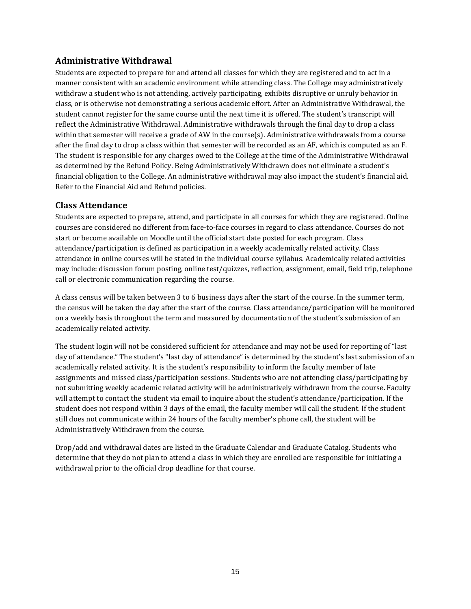# **Administrative Withdrawal**

Students are expected to prepare for and attend all classes for which they are registered and to act in a manner consistent with an academic environment while attending class. The College may administratively withdraw a student who is not attending, actively participating, exhibits disruptive or unruly behavior in class, or is otherwise not demonstrating a serious academic effort. After an Administrative Withdrawal, the student cannot register for the same course until the next time it is offered. The student's transcript will reflect the Administrative Withdrawal. Administrative withdrawals through the final day to drop a class within that semester will receive a grade of AW in the course(s). Administrative withdrawals from a course after the final day to drop a class within that semester will be recorded as an AF, which is computed as an F. The student is responsible for any charges owed to the College at the time of the Administrative Withdrawal as determined by the Refund Policy. Being Administratively Withdrawn does not eliminate a student's financial obligation to the College. An administrative withdrawal may also impact the student's financial aid. Refer to the Financial Aid and Refund policies.

# **Class Attendance**

Students are expected to prepare, attend, and participate in all courses for which they are registered. Online courses are considered no different from face-to-face courses in regard to class attendance. Courses do not start or become available on Moodle until the official start date posted for each program. Class attendance/participation is defined as participation in a weekly academically related activity. Class attendance in online courses will be stated in the individual course syllabus. Academically related activities may include: discussion forum posting, online test/quizzes, reflection, assignment, email, field trip, telephone call or electronic communication regarding the course.

A class census will be taken between 3 to 6 business days after the start of the course. In the summer term, the census will be taken the day after the start of the course. Class attendance/participation will be monitored on a weekly basis throughout the term and measured by documentation of the student's submission of an academically related activity.

The student login will not be considered sufficient for attendance and may not be used for reporting of "last day of attendance." The student's "last day of attendance" is determined by the student's last submission of an academically related activity. It is the student's responsibility to inform the faculty member of late assignments and missed class/participation sessions. Students who are not attending class/participating by not submitting weekly academic related activity will be administratively withdrawn from the course. Faculty will attempt to contact the student via email to inquire about the student's attendance/participation. If the student does not respond within 3 days of the email, the faculty member will call the student. If the student still does not communicate within 24 hours of the faculty member's phone call, the student will be Administratively Withdrawn from the course.

Drop/add and withdrawal dates are listed in the Graduate Calendar and Graduate Catalog. Students who determine that they do not plan to attend a class in which they are enrolled are responsible for initiating a withdrawal prior to the official drop deadline for that course.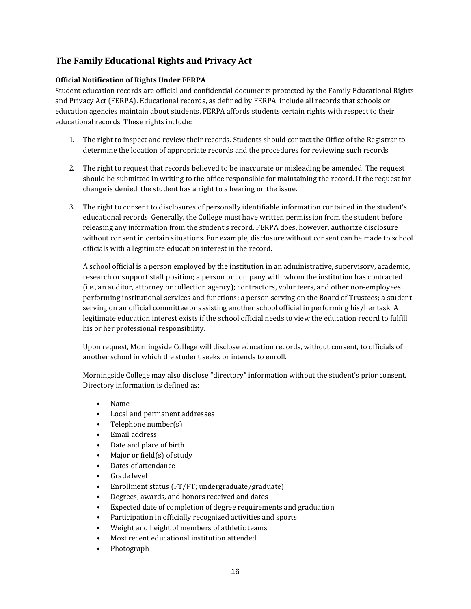# **The Family Educational Rights and Privacy Act**

## **Official Notification of Rights Under FERPA**

Student education records are official and confidential documents protected by the Family Educational Rights and Privacy Act (FERPA). Educational records, as defined by FERPA, include all records that schools or education agencies maintain about students. FERPA affords students certain rights with respect to their educational records. These rights include:

- 1. The right to inspect and review their records. Students should contact the Office of the Registrar to determine the location of appropriate records and the procedures for reviewing such records.
- 2. The right to request that records believed to be inaccurate or misleading be amended. The request should be submitted in writing to the office responsible for maintaining the record. If the request for change is denied, the student has a right to a hearing on the issue.
- 3. The right to consent to disclosures of personally identifiable information contained in the student's educational records. Generally, the College must have written permission from the student before releasing any information from the student's record. FERPA does, however, authorize disclosure without consent in certain situations. For example, disclosure without consent can be made to school officials with a legitimate education interest in the record.

A school official is a person employed by the institution in an administrative, supervisory, academic, research or support staff position; a person or company with whom the institution has contracted (i.e., an auditor, attorney or collection agency); contractors, volunteers, and other non-employees performing institutional services and functions; a person serving on the Board of Trustees; a student serving on an official committee or assisting another school official in performing his/her task. A legitimate education interest exists if the school official needs to view the education record to fulfill his or her professional responsibility.

Upon request, Morningside College will disclose education records, without consent, to officials of another school in which the student seeks or intends to enroll.

Morningside College may also disclose "directory" information without the student's prior consent. Directory information is defined as:

- Name
- Local and permanent addresses
- Telephone number(s)
- Email address
- Date and place of birth
- Major or field(s) of study
- Dates of attendance
- Grade level
- Enrollment status (FT/PT; undergraduate/graduate)
- Degrees, awards, and honors received and dates
- Expected date of completion of degree requirements and graduation
- Participation in officially recognized activities and sports
- Weight and height of members of athletic teams
- Most recent educational institution attended
- Photograph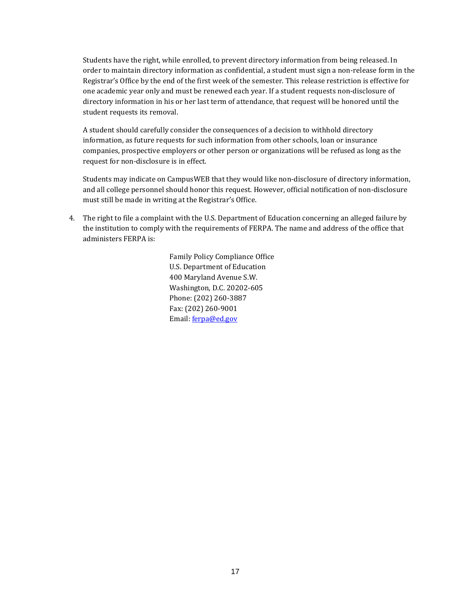Students have the right, while enrolled, to prevent directory information from being released. In order to maintain directory information as confidential, a student must sign a non-release form in the Registrar's Office by the end of the first week of the semester. This release restriction is effective for one academic year only and must be renewed each year. If a student requests non-disclosure of directory information in his or her last term of attendance, that request will be honored until the student requests its removal.

A student should carefully consider the consequences of a decision to withhold directory information, as future requests for such information from other schools, loan or insurance companies, prospective employers or other person or organizations will be refused as long as the request for non-disclosure is in effect.

Students may indicate on CampusWEB that they would like non-disclosure of directory information, and all college personnel should honor this request. However, official notification of non-disclosure must still be made in writing at the Registrar's Office.

4. The right to file a complaint with the U.S. Department of Education concerning an alleged failure by the institution to comply with the requirements of FERPA. The name and address of the office that administers FERPA is:

> Family Policy Compliance Office U.S. Department of Education 400 Maryland Avenue S.W. Washington, D.C. 20202-605 Phone: (202) 260-3887 Fax: (202) 260-9001 Email: [ferpa@ed.gov](mailto:ferpa@ed.gov)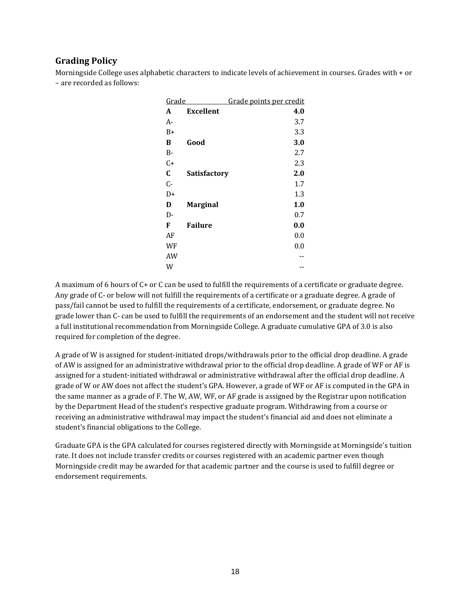# **Grading Policy**

Morningside College uses alphabetic characters to indicate levels of achievement in courses. Grades with + or – are recorded as follows:

| <u>Grade</u> | Grade points per credit |     |
|--------------|-------------------------|-----|
| A            | <b>Excellent</b>        | 4.0 |
| A-           |                         | 3.7 |
| B+           |                         | 3.3 |
| В            | Good                    | 3.0 |
| В-           |                         | 2.7 |
| C+           |                         | 2.3 |
| C            | <b>Satisfactory</b>     | 2.0 |
| $C -$        |                         | 1.7 |
| D+           |                         | 1.3 |
| D            | <b>Marginal</b>         | 1.0 |
| D-           |                         | 0.7 |
| F            | <b>Failure</b>          | 0.0 |
| AF           |                         | 0.0 |
| WF           |                         | 0.0 |
| AW           |                         |     |
| W            |                         |     |

A maximum of 6 hours of C+ or C can be used to fulfill the requirements of a certificate or graduate degree. Any grade of C- or below will not fulfill the requirements of a certificate or a graduate degree. A grade of pass/fail cannot be used to fulfill the requirements of a certificate, endorsement, or graduate degree. No grade lower than C- can be used to fulfill the requirements of an endorsement and the student will not receive a full institutional recommendation from Morningside College. A graduate cumulative GPA of 3.0 is also required for completion of the degree.

A grade of W is assigned for student-initiated drops/withdrawals prior to the official drop deadline. A grade of AW is assigned for an administrative withdrawal prior to the official drop deadline. A grade of WF or AF is assigned for a student-initiated withdrawal or administrative withdrawal after the official drop deadline. A grade of W or AW does not affect the student's GPA. However, a grade of WF or AF is computed in the GPA in the same manner as a grade of F. The W, AW, WF, or AF grade is assigned by the Registrar upon notification by the Department Head of the student's respective graduate program. Withdrawing from a course or receiving an administrative withdrawal may impact the student's financial aid and does not eliminate a student's financial obligations to the College.

Graduate GPA is the GPA calculated for courses registered directly with Morningside at Morningside's tuition rate. It does not include transfer credits or courses registered with an academic partner even though Morningside credit may be awarded for that academic partner and the course is used to fulfill degree or endorsement requirements.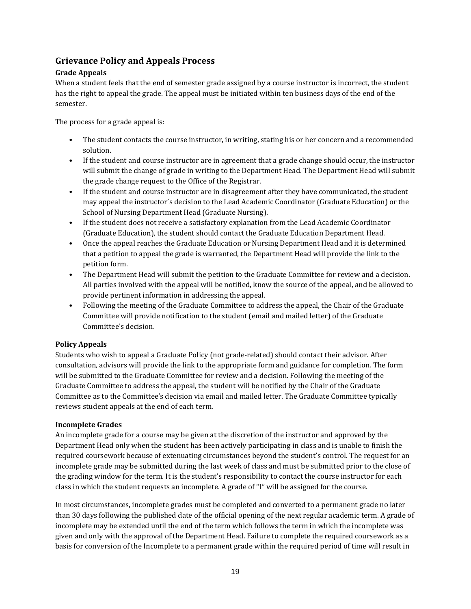# **Grievance Policy and Appeals Process**

# **Grade Appeals**

When a student feels that the end of semester grade assigned by a course instructor is incorrect, the student has the right to appeal the grade. The appeal must be initiated within ten business days of the end of the semester.

The process for a grade appeal is:

- The student contacts the course instructor, in writing, stating his or her concern and a recommended solution.
- If the student and course instructor are in agreement that a grade change should occur, the instructor will submit the change of grade in writing to the Department Head. The Department Head will submit the grade change request to the Office of the Registrar.
- If the student and course instructor are in disagreement after they have communicated, the student may appeal the instructor's decision to the Lead Academic Coordinator (Graduate Education) or the School of Nursing Department Head (Graduate Nursing).
- If the student does not receive a satisfactory explanation from the Lead Academic Coordinator (Graduate Education), the student should contact the Graduate Education Department Head.
- Once the appeal reaches the Graduate Education or Nursing Department Head and it is determined that a petition to appeal the grade is warranted, the Department Head will provide the link to the petition form.
- The Department Head will submit the petition to the Graduate Committee for review and a decision. All parties involved with the appeal will be notified, know the source of the appeal, and be allowed to provide pertinent information in addressing the appeal.
- Following the meeting of the Graduate Committee to address the appeal, the Chair of the Graduate Committee will provide notification to the student (email and mailed letter) of the Graduate Committee's decision.

## **Policy Appeals**

Students who wish to appeal a Graduate Policy (not grade-related) should contact their advisor. After consultation, advisors will provide the link to the appropriate form and guidance for completion. The form will be submitted to the Graduate Committee for review and a decision. Following the meeting of the Graduate Committee to address the appeal, the student will be notified by the Chair of the Graduate Committee as to the Committee's decision via email and mailed letter. The Graduate Committee typically reviews student appeals at the end of each term.

## **Incomplete Grades**

An incomplete grade for a course may be given at the discretion of the instructor and approved by the Department Head only when the student has been actively participating in class and is unable to finish the required coursework because of extenuating circumstances beyond the student's control. The request for an incomplete grade may be submitted during the last week of class and must be submitted prior to the close of the grading window for the term. It is the student's responsibility to contact the course instructor for each class in which the student requests an incomplete. A grade of "I" will be assigned for the course.

In most circumstances, incomplete grades must be completed and converted to a permanent grade no later than 30 days following the published date of the official opening of the next regular academic term. A grade of incomplete may be extended until the end of the term which follows the term in which the incomplete was given and only with the approval of the Department Head. Failure to complete the required coursework as a basis for conversion of the Incomplete to a permanent grade within the required period of time will result in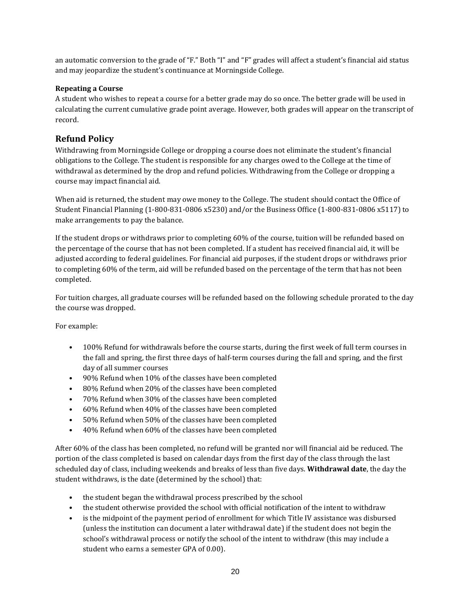an automatic conversion to the grade of "F." Both "I" and "F" grades will affect a student's financial aid status and may jeopardize the student's continuance at Morningside College.

## **Repeating a Course**

A student who wishes to repeat a course for a better grade may do so once. The better grade will be used in calculating the current cumulative grade point average. However, both grades will appear on the transcript of record.

# **Refund Policy**

Withdrawing from Morningside College or dropping a course does not eliminate the student's financial obligations to the College. The student is responsible for any charges owed to the College at the time of withdrawal as determined by the drop and refund policies. Withdrawing from the College or dropping a course may impact financial aid.

When aid is returned, the student may owe money to the College. The student should contact the Office of Student Financial Planning (1-800-831-0806 x5230) and/or the Business Office (1-800-831-0806 x5117) to make arrangements to pay the balance.

If the student drops or withdraws prior to completing 60% of the course, tuition will be refunded based on the percentage of the course that has not been completed. If a student has received financial aid, it will be adjusted according to federal guidelines. For financial aid purposes, if the student drops or withdraws prior to completing 60% of the term, aid will be refunded based on the percentage of the term that has not been completed.

For tuition charges, all graduate courses will be refunded based on the following schedule prorated to the day the course was dropped.

For example:

- 100% Refund for withdrawals before the course starts, during the first week of full term courses in the fall and spring, the first three days of half-term courses during the fall and spring, and the first day of all summer courses
- 90% Refund when 10% of the classes have been completed
- 80% Refund when 20% of the classes have been completed
- 70% Refund when 30% of the classes have been completed
- 60% Refund when 40% of the classes have been completed
- 50% Refund when 50% of the classes have been completed
- 40% Refund when 60% of the classes have been completed

After 60% of the class has been completed, no refund will be granted nor will financial aid be reduced. The portion of the class completed is based on calendar days from the first day of the class through the last scheduled day of class, including weekends and breaks of less than five days. **Withdrawal date**, the day the student withdraws, is the date (determined by the school) that:

- the student began the withdrawal process prescribed by the school
- the student otherwise provided the school with official notification of the intent to withdraw
- is the midpoint of the payment period of enrollment for which Title IV assistance was disbursed (unless the institution can document a later withdrawal date) if the student does not begin the school's withdrawal process or notify the school of the intent to withdraw (this may include a student who earns a semester GPA of 0.00).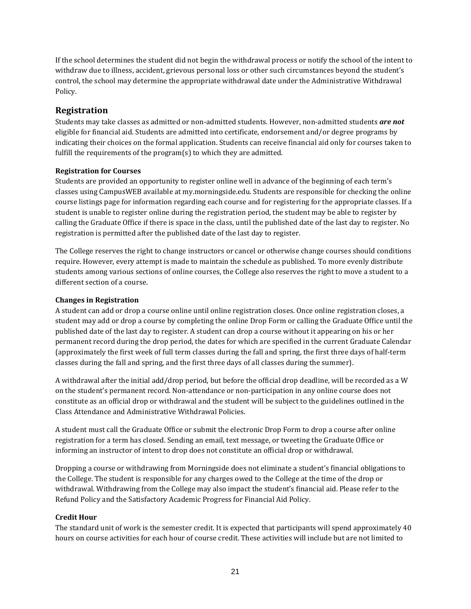If the school determines the student did not begin the withdrawal process or notify the school of the intent to withdraw due to illness, accident, grievous personal loss or other such circumstances beyond the student's control, the school may determine the appropriate withdrawal date under the Administrative Withdrawal Policy.

# **Registration**

Students may take classes as admitted or non-admitted students. However, non-admitted students *are not* eligible for financial aid. Students are admitted into certificate, endorsement and/or degree programs by indicating their choices on the formal application. Students can receive financial aid only for courses taken to fulfill the requirements of the program(s) to which they are admitted.

## **Registration for Courses**

Students are provided an opportunity to register online well in advance of the beginning of each term's classes using CampusWEB available at my.morningside.edu. Students are responsible for checking the online course listings page for information regarding each course and for registering for the appropriate classes. If a student is unable to register online during the registration period, the student may be able to register by calling the Graduate Office if there is space in the class, until the published date of the last day to register. No registration is permitted after the published date of the last day to register.

The College reserves the right to change instructors or cancel or otherwise change courses should conditions require. However, every attempt is made to maintain the schedule as published. To more evenly distribute students among various sections of online courses, the College also reserves the right to move a student to a different section of a course.

#### **Changes in Registration**

A student can add or drop a course online until online registration closes. Once online registration closes, a student may add or drop a course by completing the online Drop Form or calling the Graduate Office until the published date of the last day to register. A student can drop a course without it appearing on his or her permanent record during the drop period, the dates for which are specified in the current Graduate Calendar (approximately the first week of full term classes during the fall and spring, the first three days of half-term classes during the fall and spring, and the first three days of all classes during the summer).

A withdrawal after the initial add/drop period, but before the official drop deadline, will be recorded as a W on the student's permanent record. Non-attendance or non-participation in any online course does not constitute as an official drop or withdrawal and the student will be subject to the guidelines outlined in the Class Attendance and Administrative Withdrawal Policies.

A student must call the Graduate Office or submit the electronic Drop Form to drop a course after online registration for a term has closed. Sending an email, text message, or tweeting the Graduate Office or informing an instructor of intent to drop does not constitute an official drop or withdrawal.

Dropping a course or withdrawing from Morningside does not eliminate a student's financial obligations to the College. The student is responsible for any charges owed to the College at the time of the drop or withdrawal. Withdrawing from the College may also impact the student's financial aid. Please refer to the Refund Policy and the Satisfactory Academic Progress for Financial Aid Policy.

## **Credit Hour**

The standard unit of work is the semester credit. It is expected that participants will spend approximately 40 hours on course activities for each hour of course credit. These activities will include but are not limited to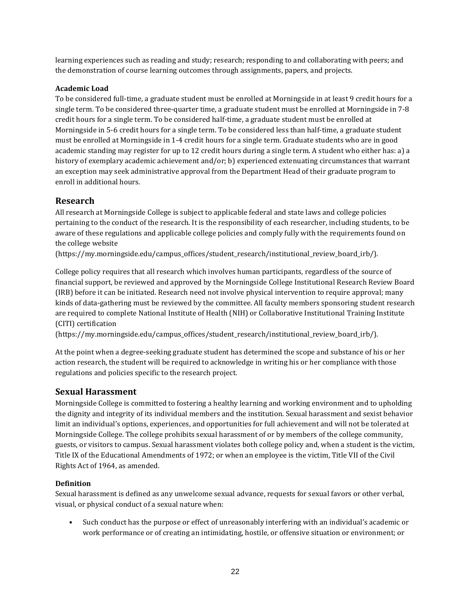learning experiences such as reading and study; research; responding to and collaborating with peers; and the demonstration of course learning outcomes through assignments, papers, and projects.

# **Academic Load**

To be considered full-time, a graduate student must be enrolled at Morningside in at least 9 credit hours for a single term. To be considered three-quarter time, a graduate student must be enrolled at Morningside in 7-8 credit hours for a single term. To be considered half-time, a graduate student must be enrolled at Morningside in 5-6 credit hours for a single term. To be considered less than half-time, a graduate student must be enrolled at Morningside in 1-4 credit hours for a single term. Graduate students who are in good academic standing may register for up to 12 credit hours during a single term. A student who either has: a) a history of exemplary academic achievement and/or; b) experienced extenuating circumstances that warrant an exception may seek administrative approval from the Department Head of their graduate program to enroll in additional hours.

# **Research**

All research at Morningside College is subject to applicable federal and state laws and college policies pertaining to the conduct of the research. It is the responsibility of each researcher, including students, to be aware of these regulations and applicable college policies and comply fully with the requirements found on the college website

(https://my.morningside.edu/campus\_offices/student\_research/institutional\_review\_board\_irb/).

College policy requires that all research which involves human participants, regardless of the source of financial support, be reviewed and approved by the Morningside College Institutional Research Review Board (IRB) before it can be initiated. Research need not involve physical intervention to require approval; many kinds of data-gathering must be reviewed by the committee. All faculty members sponsoring student research are required to complete National Institute of Health (NIH) or Collaborative Institutional Training Institute (CITI) certification

(https://my.morningside.edu/campus\_offices/student\_research/institutional\_review\_board\_irb/).

At the point when a degree-seeking graduate student has determined the scope and substance of his or her action research, the student will be required to acknowledge in writing his or her compliance with those regulations and policies specific to the research project.

# **Sexual Harassment**

Morningside College is committed to fostering a healthy learning and working environment and to upholding the dignity and integrity of its individual members and the institution. Sexual harassment and sexist behavior limit an individual's options, experiences, and opportunities for full achievement and will not be tolerated at Morningside College. The college prohibits sexual harassment of or by members of the college community, guests, or visitors to campus. Sexual harassment violates both college policy and, when a student is the victim, Title IX of the Educational Amendments of 1972; or when an employee is the victim, Title VII of the Civil Rights Act of 1964, as amended.

# **Definition**

Sexual harassment is defined as any unwelcome sexual advance, requests for sexual favors or other verbal, visual, or physical conduct of a sexual nature when:

• Such conduct has the purpose or effect of unreasonably interfering with an individual's academic or work performance or of creating an intimidating, hostile, or offensive situation or environment; or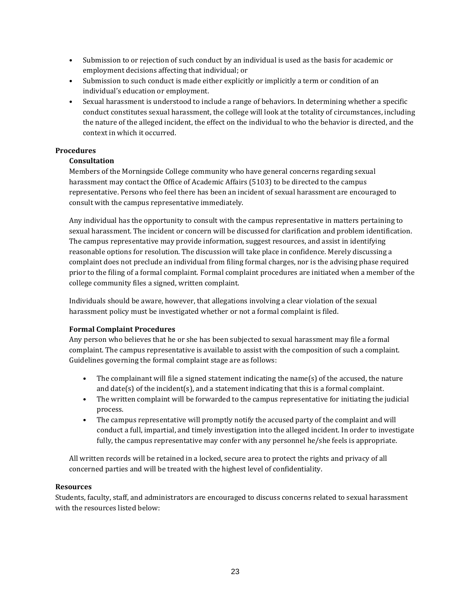- Submission to or rejection of such conduct by an individual is used as the basis for academic or employment decisions affecting that individual; or
- Submission to such conduct is made either explicitly or implicitly a term or condition of an individual's education or employment.
- Sexual harassment is understood to include a range of behaviors. In determining whether a specific conduct constitutes sexual harassment, the college will look at the totality of circumstances, including the nature of the alleged incident, the effect on the individual to who the behavior is directed, and the context in which it occurred.

## **Procedures**

#### **Consultation**

Members of the Morningside College community who have general concerns regarding sexual harassment may contact the Office of Academic Affairs (5103) to be directed to the campus representative. Persons who feel there has been an incident of sexual harassment are encouraged to consult with the campus representative immediately.

Any individual has the opportunity to consult with the campus representative in matters pertaining to sexual harassment. The incident or concern will be discussed for clarification and problem identification. The campus representative may provide information, suggest resources, and assist in identifying reasonable options for resolution. The discussion will take place in confidence. Merely discussing a complaint does not preclude an individual from filing formal charges, nor is the advising phase required prior to the filing of a formal complaint. Formal complaint procedures are initiated when a member of the college community files a signed, written complaint.

Individuals should be aware, however, that allegations involving a clear violation of the sexual harassment policy must be investigated whether or not a formal complaint is filed.

#### **Formal Complaint Procedures**

Any person who believes that he or she has been subjected to sexual harassment may file a formal complaint. The campus representative is available to assist with the composition of such a complaint. Guidelines governing the formal complaint stage are as follows:

- The complainant will file a signed statement indicating the name(s) of the accused, the nature and date $(s)$  of the incident $(s)$ , and a statement indicating that this is a formal complaint.
- The written complaint will be forwarded to the campus representative for initiating the judicial process.
- The campus representative will promptly notify the accused party of the complaint and will conduct a full, impartial, and timely investigation into the alleged incident. In order to investigate fully, the campus representative may confer with any personnel he/she feels is appropriate.

All written records will be retained in a locked, secure area to protect the rights and privacy of all concerned parties and will be treated with the highest level of confidentiality.

#### **Resources**

Students, faculty, staff, and administrators are encouraged to discuss concerns related to sexual harassment with the resources listed below: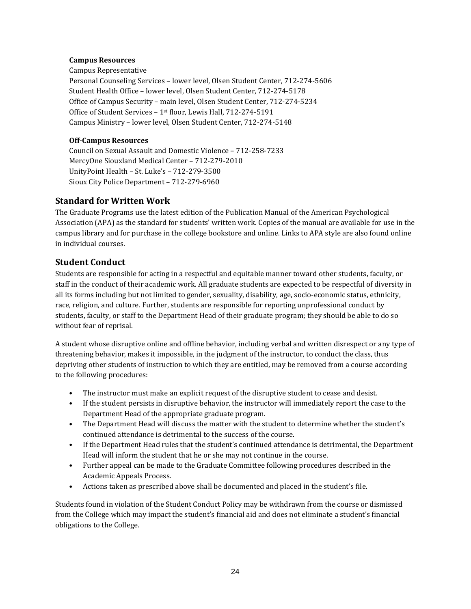#### **Campus Resources**

Campus Representative Personal Counseling Services – lower level, Olsen Student Center, 712-274-5606 Student Health Office – lower level, Olsen Student Center, 712-274-5178 Office of Campus Security – main level, Olsen Student Center, 712-274-5234 Office of Student Services – 1st floor, Lewis Hall, 712-274-5191 Campus Ministry – lower level, Olsen Student Center, 712-274-5148

#### **Off-Campus Resources**

Council on Sexual Assault and Domestic Violence – 712-258-7233 MercyOne Siouxland Medical Center – 712-279-2010 UnityPoint Health – St. Luke's – 712-279-3500 Sioux City Police Department – 712-279-6960

# **Standard for Written Work**

The Graduate Programs use the latest edition of the Publication Manual of the American Psychological Association (APA) as the standard for students' written work. Copies of the manual are available for use in the campus library and for purchase in the college bookstore and online. Links to APA style are also found online in individual courses.

# **Student Conduct**

Students are responsible for acting in a respectful and equitable manner toward other students, faculty, or staff in the conduct of their academic work. All graduate students are expected to be respectful of diversity in all its forms including but not limited to gender, sexuality, disability, age, socio-economic status, ethnicity, race, religion, and culture. Further, students are responsible for reporting unprofessional conduct by students, faculty, or staff to the Department Head of their graduate program; they should be able to do so without fear of reprisal.

A student whose disruptive online and offline behavior, including verbal and written disrespect or any type of threatening behavior, makes it impossible, in the judgment of the instructor, to conduct the class, thus depriving other students of instruction to which they are entitled, may be removed from a course according to the following procedures:

- The instructor must make an explicit request of the disruptive student to cease and desist.
- If the student persists in disruptive behavior, the instructor will immediately report the case to the Department Head of the appropriate graduate program.
- The Department Head will discuss the matter with the student to determine whether the student's continued attendance is detrimental to the success of the course.
- If the Department Head rules that the student's continued attendance is detrimental, the Department Head will inform the student that he or she may not continue in the course.
- Further appeal can be made to the Graduate Committee following procedures described in the Academic Appeals Process.
- Actions taken as prescribed above shall be documented and placed in the student's file.

Students found in violation of the Student Conduct Policy may be withdrawn from the course or dismissed from the College which may impact the student's financial aid and does not eliminate a student's financial obligations to the College.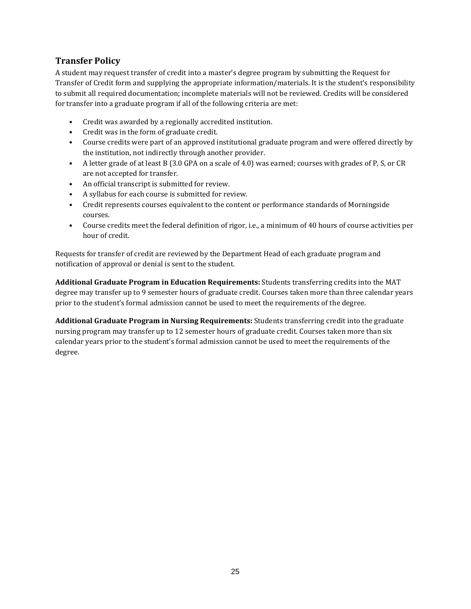# **Transfer Policy**

A student may request transfer of credit into a master's degree program by submitting the Request for Transfer of Credit form and supplying the appropriate information/materials. It is the student's responsibility to submit all required documentation; incomplete materials will not be reviewed. Credits will be considered for transfer into a graduate program if all of the following criteria are met:

- Credit was awarded by a regionally accredited institution.
- Credit was in the form of graduate credit.
- Course credits were part of an approved institutional graduate program and were offered directly by the institution, not indirectly through another provider.
- A letter grade of at least B (3.0 GPA on a scale of 4.0) was earned; courses with grades of P, S, or CR are not accepted for transfer.
- An official transcript is submitted for review.
- A syllabus for each course is submitted for review.
- Credit represents courses equivalent to the content or performance standards of Morningside courses.
- Course credits meet the federal definition of rigor, i.e., a minimum of 40 hours of course activities per hour of credit.

Requests for transfer of credit are reviewed by the Department Head of each graduate program and notification of approval or denial is sent to the student.

**Additional Graduate Program in Education Requirements:** Students transferring credits into the MAT degree may transfer up to 9 semester hours of graduate credit. Courses taken more than three calendar years prior to the student's formal admission cannot be used to meet the requirements of the degree.

**Additional Graduate Program in Nursing Requirements:** Students transferring credit into the graduate nursing program may transfer up to 12 semester hours of graduate credit. Courses taken more than six calendar years prior to the student's formal admission cannot be used to meet the requirements of the degree.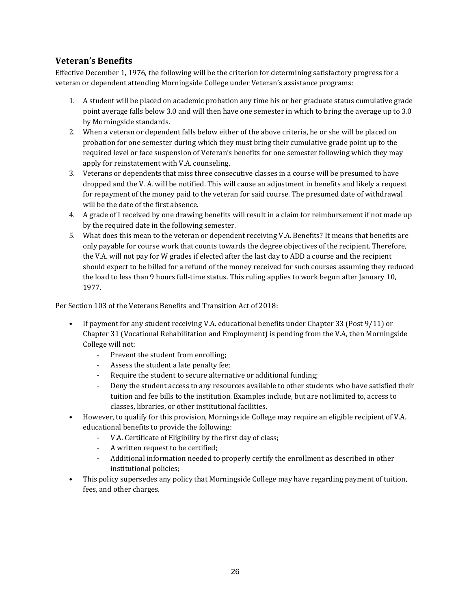# **Veteran's Benefits**

Effective December 1, 1976, the following will be the criterion for determining satisfactory progress for a veteran or dependent attending Morningside College under Veteran's assistance programs:

- 1. A student will be placed on academic probation any time his or her graduate status cumulative grade point average falls below 3.0 and will then have one semester in which to bring the average up to 3.0 by Morningside standards.
- 2. When a veteran or dependent falls below either of the above criteria, he or she will be placed on probation for one semester during which they must bring their cumulative grade point up to the required level or face suspension of Veteran's benefits for one semester following which they may apply for reinstatement with V.A. counseling.
- 3. Veterans or dependents that miss three consecutive classes in a course will be presumed to have dropped and the V. A. will be notified. This will cause an adjustment in benefits and likely a request for repayment of the money paid to the veteran for said course. The presumed date of withdrawal will be the date of the first absence.
- 4. A grade of I received by one drawing benefits will result in a claim for reimbursement if not made up by the required date in the following semester.
- 5. What does this mean to the veteran or dependent receiving V.A. Benefits? It means that benefits are only payable for course work that counts towards the degree objectives of the recipient. Therefore, the V.A. will not pay for W grades if elected after the last day to ADD a course and the recipient should expect to be billed for a refund of the money received for such courses assuming they reduced the load to less than 9 hours full-time status. This ruling applies to work begun after January 10, 1977.

Per Section 103 of the Veterans Benefits and Transition Act of 2018:

- If payment for any student receiving V.A. educational benefits under Chapter 33 (Post 9/11) or Chapter 31 (Vocational Rehabilitation and Employment) is pending from the V.A, then Morningside College will not:
	- Prevent the student from enrolling;
	- Assess the student a late penalty fee;
	- Require the student to secure alternative or additional funding;
	- Deny the student access to any resources available to other students who have satisfied their tuition and fee bills to the institution. Examples include, but are not limited to, access to classes, libraries, or other institutional facilities.
- However, to qualify for this provision, Morningside College may require an eligible recipient of V.A. educational benefits to provide the following:
	- V.A. Certificate of Eligibility by the first day of class;
	- A written request to be certified;<br>- Additional information needed to
	- Additional information needed to properly certify the enrollment as described in other institutional policies;
- This policy supersedes any policy that Morningside College may have regarding payment of tuition, fees, and other charges.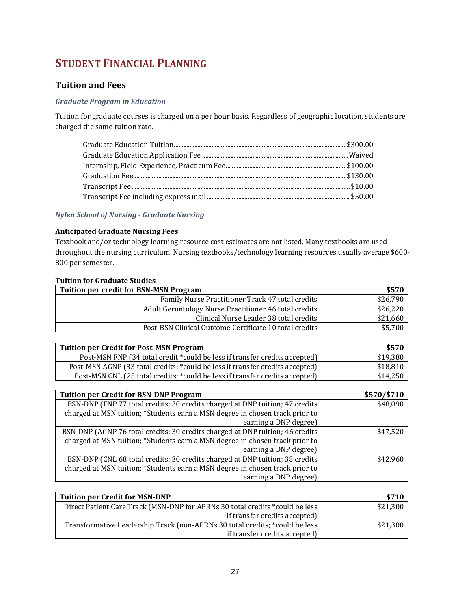# **STUDENT FINANCIAL PLANNING**

# **Tuition and Fees**

## *Graduate Program in Education*

Tuition for graduate courses is charged on a per hour basis. Regardless of geographic location, students are charged the same tuition rate.

#### *Nylen School of Nursing - Graduate Nursing*

#### **Anticipated Graduate Nursing Fees**

Textbook and/or technology learning resource cost estimates are not listed. Many textbooks are used throughout the nursing curriculum. Nursing textbooks/technology learning resources usually average \$600- 800 per semester.

| <b>Tuition for Graduate Studies</b>                                         |                |
|-----------------------------------------------------------------------------|----------------|
| Tuition per credit for BSN-MSN Program                                      | \$570          |
| Family Nurse Practitioner Track 47 total credits                            | \$26,790       |
| Adult Gerontology Nurse Practitioner 46 total credits                       | \$26,220       |
| Clinical Nurse Leader 38 total credits                                      | \$21,660       |
| Post-BSN Clinical Outcome Certificate 10 total credits                      | \$5,700        |
|                                                                             |                |
| <b>Tuition per Credit for Post-MSN Program</b>                              | \$570          |
| Doct MCN END (24 total crodit *could be loss if transfer crodits accounted) | <b>¢10.200</b> |

| Tunnon per cream for I oscinon I rogram                                       | 99 I V   |
|-------------------------------------------------------------------------------|----------|
| Post-MSN FNP (34 total credit *could be less if transfer credits accepted)    | \$19,380 |
| Post-MSN AGNP (33 total credits; *could be less if transfer credits accepted) | \$18,810 |
| Post-MSN CNL (25 total credits; *could be less if transfer credits accepted)  | \$14,250 |

| <b>Tuition per Credit for BSN-DNP Program</b>                                 | \$570/\$710 |
|-------------------------------------------------------------------------------|-------------|
| BSN-DNP (FNP 77 total credits; 30 credits charged at DNP tuition; 47 credits  | \$48,090    |
| charged at MSN tuition; *Students earn a MSN degree in chosen track prior to  |             |
| earning a DNP degree)                                                         |             |
| BSN-DNP (AGNP 76 total credits; 30 credits charged at DNP tuition; 46 credits | \$47,520    |
| charged at MSN tuition; *Students earn a MSN degree in chosen track prior to  |             |
| earning a DNP degree)                                                         |             |
| BSN-DNP (CNL 68 total credits; 30 credits charged at DNP tuition; 38 credits  | \$42.960    |
| charged at MSN tuition; *Students earn a MSN degree in chosen track prior to  |             |
| earning a DNP degree)                                                         |             |

| <b>Tuition per Credit for MSN-DNP</b>                                        | \$710    |
|------------------------------------------------------------------------------|----------|
| Direct Patient Care Track (MSN-DNP for APRNs 30 total credits *could be less | \$21,300 |
| if transfer credits accepted)                                                |          |
| Transformative Leadership Track (non-APRNs 30 total credits; *could be less  | \$21,300 |
| if transfer credits accepted)                                                |          |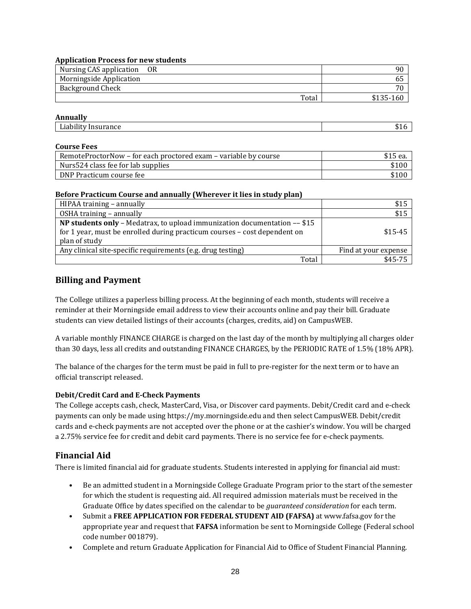#### **Application Process for new students**

| Nursing CAS application<br>- OR | 90        |
|---------------------------------|-----------|
| Morningside Application         |           |
| <b>Background Check</b>         | 70        |
| Total                           | \$135-160 |

#### **Annually**

| --<br>⊥lar<br>rance<br>•шь<br>50<br>$  -$<br>_ _ _ _ | - |
|------------------------------------------------------|---|
|                                                      |   |

#### **Course Fees**

| RemoteProctorNow - for each proctored exam - variable by course | \$15 ea. |
|-----------------------------------------------------------------|----------|
| Nurs524 class fee for lab supplies                              | \$100    |
| DNP Practicum course fee                                        | \$100    |

#### **Before Practicum Course and annually (Wherever it lies in study plan)**

| HIPAA training - annually                                                                                                                                               | \$15                 |
|-------------------------------------------------------------------------------------------------------------------------------------------------------------------------|----------------------|
| OSHA training - annually                                                                                                                                                | \$15                 |
| NP students only - Medatrax, to upload immunization documentation -- \$15<br>for 1 year, must be enrolled during practicum courses - cost dependent on<br>plan of study | $$15-45$             |
| Any clinical site-specific requirements (e.g. drug testing)                                                                                                             | Find at your expense |
| Total                                                                                                                                                                   | $$45-75$             |

# **Billing and Payment**

The College utilizes a paperless billing process. At the beginning of each month, students will receive a reminder at their Morningside email address to view their accounts online and pay their bill. Graduate students can view detailed listings of their accounts (charges, credits, aid) on CampusWEB.

A variable monthly FINANCE CHARGE is charged on the last day of the month by multiplying all charges older than 30 days, less all credits and outstanding FINANCE CHARGES, by the PERIODIC RATE of 1.5% (18% APR).

The balance of the charges for the term must be paid in full to pre-register for the next term or to have an official transcript released.

## **Debit/Credit Card and E-Check Payments**

The College accepts cash, check, MasterCard, Visa, or Discover card payments. Debit/Credit card and e-check payments can only be made using https://my.morningside.edu and then select CampusWEB. Debit/credit cards and e-check payments are not accepted over the phone or at the cashier's window. You will be charged a 2.75% service fee for credit and debit card payments. There is no service fee for e-check payments.

# **Financial Aid**

There is limited financial aid for graduate students. Students interested in applying for financial aid must:

- Be an admitted student in a Morningside College Graduate Program prior to the start of the semester for which the student is requesting aid. All required admission materials must be received in the Graduate Office by dates specified on the calendar to be *guaranteed consideration* for each term.
- Submit a **FREE APPLICATION FOR FEDERAL STUDENT AID (FAFSA)** at www.fafsa.gov for the appropriate year and request that **FAFSA** information be sent to Morningside College (Federal school code number 001879).
- Complete and return Graduate Application for Financial Aid to Office of Student Financial Planning.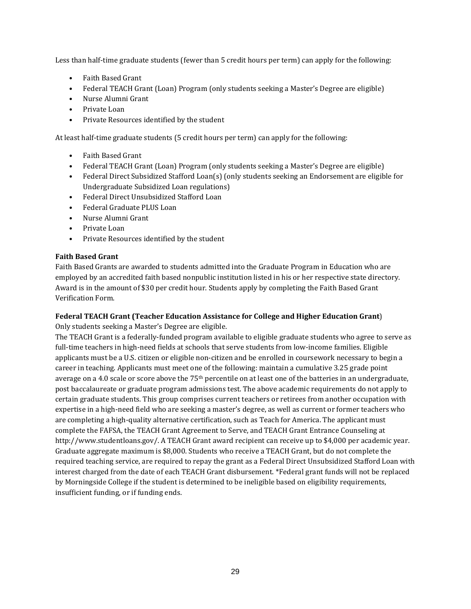Less than half-time graduate students (fewer than 5 credit hours per term) can apply for the following:

- Faith Based Grant
- Federal TEACH Grant (Loan) Program (only students seeking a Master's Degree are eligible)
- Nurse Alumni Grant
- Private Loan
- Private Resources identified by the student

At least half-time graduate students (5 credit hours per term) can apply for the following:

- Faith Based Grant
- Federal TEACH Grant (Loan) Program (only students seeking a Master's Degree are eligible)
- Federal Direct Subsidized Stafford Loan(s) (only students seeking an Endorsement are eligible for Undergraduate Subsidized Loan regulations)
- Federal Direct Unsubsidized Stafford Loan
- Federal Graduate PLUS Loan
- Nurse Alumni Grant
- Private Loan
- Private Resources identified by the student

#### **Faith Based Grant**

Faith Based Grants are awarded to students admitted into the Graduate Program in Education who are employed by an accredited faith based nonpublic institution listed in his or her respective state directory. Award is in the amount of \$30 per credit hour. Students apply by completing the Faith Based Grant Verification Form.

# **Federal TEACH Grant (Teacher Education Assistance for College and Higher Education Grant**)

Only students seeking a Master's Degree are eligible.

The TEACH Grant is a federally-funded program available to eligible graduate students who agree to serve as full-time teachers in high-need fields at schools that serve students from low-income families. Eligible applicants must be a U.S. citizen or eligible non-citizen and be enrolled in coursework necessary to begin a career in teaching. Applicants must meet one of the following: maintain a cumulative 3.25 grade point average on a 4.0 scale or score above the 75th percentile on at least one of the batteries in an undergraduate, post baccalaureate or graduate program admissions test. The above academic requirements do not apply to certain graduate students. This group comprises current teachers or retirees from another occupation with expertise in a high-need field who are seeking a master's degree, as well as current or former teachers who are completing a high-quality alternative certification, such as Teach for America. The applicant must complete the FAFSA, the TEACH Grant Agreement to Serve, and TEACH Grant Entrance Counseling at http://www.studentloans.gov/. A TEACH Grant award recipient can receive up to \$4,000 per academic year. Graduate aggregate maximum is \$8,000. Students who receive a TEACH Grant, but do not complete the required teaching service, are required to repay the grant as a Federal Direct Unsubsidized Stafford Loan with interest charged from the date of each TEACH Grant disbursement. \*Federal grant funds will not be replaced by Morningside College if the student is determined to be ineligible based on eligibility requirements, insufficient funding, or if funding ends.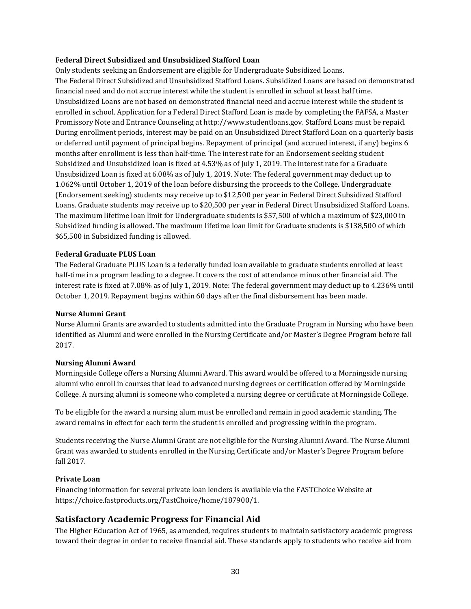#### **Federal Direct Subsidized and Unsubsidized Stafford Loan**

Only students seeking an Endorsement are eligible for Undergraduate Subsidized Loans. The Federal Direct Subsidized and Unsubsidized Stafford Loans. Subsidized Loans are based on demonstrated financial need and do not accrue interest while the student is enrolled in school at least half time. Unsubsidized Loans are not based on demonstrated financial need and accrue interest while the student is enrolled in school. Application for a Federal Direct Stafford Loan is made by completing the FAFSA, a Master Promissory Note and Entrance Counseling at http://www.studentloans.gov. Stafford Loans must be repaid. During enrollment periods, interest may be paid on an Unsubsidized Direct Stafford Loan on a quarterly basis or deferred until payment of principal begins. Repayment of principal (and accrued interest, if any) begins 6 months after enrollment is less than half-time. The interest rate for an Endorsement seeking student Subsidized and Unsubsidized loan is fixed at 4.53% as of July 1, 2019. The interest rate for a Graduate Unsubsidized Loan is fixed at 6.08% as of July 1, 2019. Note: The federal government may deduct up to 1.062% until October 1, 2019 of the loan before disbursing the proceeds to the College. Undergraduate (Endorsement seeking) students may receive up to \$12,500 per year in Federal Direct Subsidized Stafford Loans. Graduate students may receive up to \$20,500 per year in Federal Direct Unsubsidized Stafford Loans. The maximum lifetime loan limit for Undergraduate students is \$57,500 of which a maximum of \$23,000 in Subsidized funding is allowed. The maximum lifetime loan limit for Graduate students is \$138,500 of which \$65,500 in Subsidized funding is allowed.

#### **Federal Graduate PLUS Loan**

The Federal Graduate PLUS Loan is a federally funded loan available to graduate students enrolled at least half-time in a program leading to a degree. It covers the cost of attendance minus other financial aid. The interest rate is fixed at 7.08% as of July 1, 2019. Note: The federal government may deduct up to 4.236% until October 1, 2019. Repayment begins within 60 days after the final disbursement has been made.

#### **Nurse Alumni Grant**

Nurse Alumni Grants are awarded to students admitted into the Graduate Program in Nursing who have been identified as Alumni and were enrolled in the Nursing Certificate and/or Master's Degree Program before fall 2017.

#### **Nursing Alumni Award**

Morningside College offers a Nursing Alumni Award. This award would be offered to a Morningside nursing alumni who enroll in courses that lead to advanced nursing degrees or certification offered by Morningside College. A nursing alumni is someone who completed a nursing degree or certificate at Morningside College.

To be eligible for the award a nursing alum must be enrolled and remain in good academic standing. The award remains in effect for each term the student is enrolled and progressing within the program.

Students receiving the Nurse Alumni Grant are not eligible for the Nursing Alumni Award. The Nurse Alumni Grant was awarded to students enrolled in the Nursing Certificate and/or Master's Degree Program before fall 2017.

#### **Private Loan**

Financing information for several private loan lenders is available via th[e FASTChoice Website](https://choice.fastproducts.org/FastChoice/home/187900/1) at https://choice.fastproducts.org/FastChoice/home/187900/1.

# **Satisfactory Academic Progress for Financial Aid**

The Higher Education Act of 1965, as amended, requires students to maintain satisfactory academic progress toward their degree in order to receive financial aid. These standards apply to students who receive aid from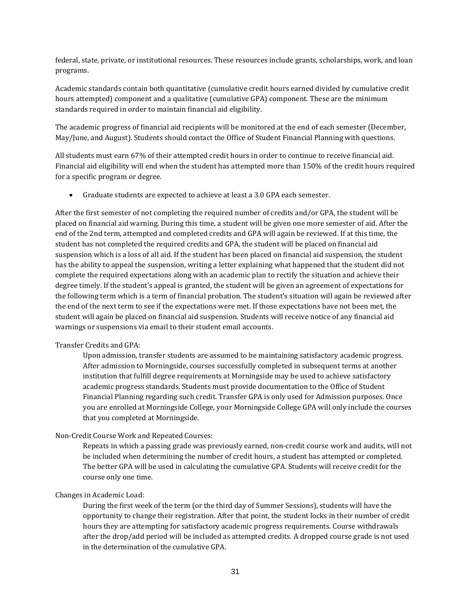federal, state, private, or institutional resources. These resources include grants, scholarships, work, and loan programs.

Academic standards contain both quantitative (cumulative credit hours earned divided by cumulative credit hours attempted) component and a qualitative (cumulative GPA) component. These are the minimum standards required in order to maintain financial aid eligibility.

The academic progress of financial aid recipients will be monitored at the end of each semester (December, May/June, and August). Students should contact the Office of Student Financial Planning with questions.

All students must earn 67% of their attempted credit hours in order to continue to receive financial aid. Financial aid eligibility will end when the student has attempted more than 150% of the credit hours required for a specific program or degree.

• Graduate students are expected to achieve at least a 3.0 GPA each semester.

After the first semester of not completing the required number of credits and/or GPA, the student will be placed on financial aid warning. During this time, a student will be given one more semester of aid. After the end of the 2nd term, attempted and completed credits and GPA will again be reviewed. If at this time, the student has not completed the required credits and GPA, the student will be placed on financial aid suspension which is a loss of all aid. If the student has been placed on financial aid suspension, the student has the ability to appeal the suspension, writing a letter explaining what happened that the student did not complete the required expectations along with an academic plan to rectify the situation and achieve their degree timely. If the student's appeal is granted, the student will be given an agreement of expectations for the following term which is a term of financial probation. The student's situation will again be reviewed after the end of the next term to see if the expectations were met. If those expectations have not been met, the student will again be placed on financial aid suspension. Students will receive notice of any financial aid warnings or suspensions via email to their student email accounts.

#### Transfer Credits and GPA:

Upon admission, transfer students are assumed to be maintaining satisfactory academic progress. After admission to Morningside, courses successfully completed in subsequent terms at another institution that fulfill degree requirements at Morningside may be used to achieve satisfactory academic progress standards. Students must provide documentation to the Office of Student Financial Planning regarding such credit. Transfer GPA is only used for Admission purposes. Once you are enrolled at Morningside College, your Morningside College GPA will only include the courses that you completed at Morningside.

## Non-Credit Course Work and Repeated Courses:

Repeats in which a passing grade was previously earned, non-credit course work and audits, will not be included when determining the number of credit hours, a student has attempted or completed. The better GPA will be used in calculating the cumulative GPA. Students will receive credit for the course only one time.

#### Changes in Academic Load:

During the first week of the term (or the third day of Summer Sessions), students will have the opportunity to change their registration. After that point, the student locks in their number of credit hours they are attempting for satisfactory academic progress requirements. Course withdrawals after the drop/add period will be included as attempted credits. A dropped course grade is not used in the determination of the cumulative GPA.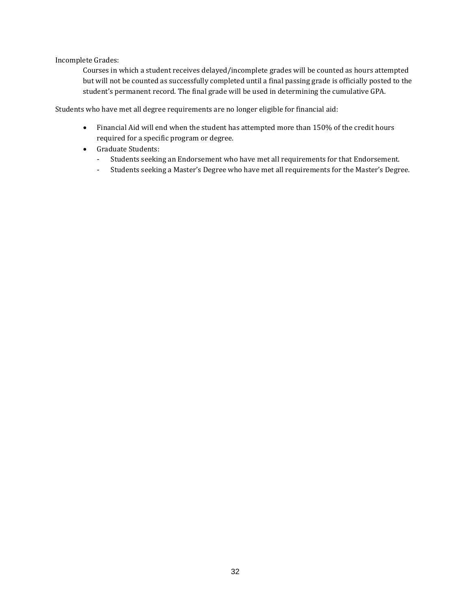Incomplete Grades:

Courses in which a student receives delayed/incomplete grades will be counted as hours attempted but will not be counted as successfully completed until a final passing grade is officially posted to the student's permanent record. The final grade will be used in determining the cumulative GPA.

Students who have met all degree requirements are no longer eligible for financial aid:

- Financial Aid will end when the student has attempted more than 150% of the credit hours required for a specific program or degree.
- Graduate Students:
	- Students seeking an Endorsement who have met all requirements for that Endorsement.
	- Students seeking a Master's Degree who have met all requirements for the Master's Degree.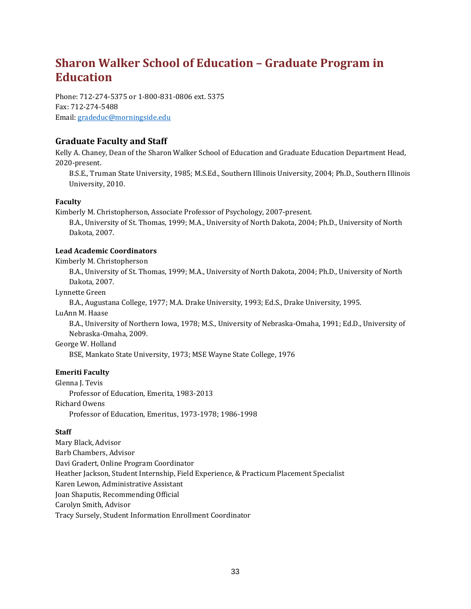# **Sharon Walker School of Education – Graduate Program in Education**

Phone: 712-274-5375 or 1-800-831-0806 ext. 5375 Fax: 712-274-5488 Email[: gradeduc@morningside.edu](mailto:gradeduc@morningside.edu)

# **Graduate Faculty and Staff**

Kelly A. Chaney, Dean of the Sharon Walker School of Education and Graduate Education Department Head, 2020-present.

B.S.E., Truman State University, 1985; M.S.Ed., Southern Illinois University, 2004; Ph.D., Southern Illinois University, 2010.

## **Faculty**

Kimberly M. Christopherson, Associate Professor of Psychology, 2007-present.

B.A., University of St. Thomas, 1999; M.A., University of North Dakota, 2004; Ph.D., University of North Dakota, 2007.

## **Lead Academic Coordinators**

Kimberly M. Christopherson

B.A., University of St. Thomas, 1999; M.A., University of North Dakota, 2004; Ph.D., University of North Dakota, 2007.

Lynnette Green

B.A., Augustana College, 1977; M.A. Drake University, 1993; Ed.S., Drake University, 1995.

LuAnn M. Haase

B.A., University of Northern Iowa, 1978; M.S., University of Nebraska-Omaha, 1991; Ed.D., University of Nebraska-Omaha, 2009.

#### George W. Holland

BSE, Mankato State University, 1973; MSE Wayne State College, 1976

## **Emeriti Faculty**

Glenna J. Tevis Professor of Education, Emerita, 1983-2013 Richard Owens Professor of Education, Emeritus, 1973-1978; 1986-1998

## **Staff**

Mary Black, Advisor Barb Chambers, Advisor Davi Gradert, Online Program Coordinator Heather Jackson, Student Internship, Field Experience, & Practicum Placement Specialist Karen Lewon, Administrative Assistant Joan Shaputis, Recommending Official Carolyn Smith, Advisor Tracy Sursely, Student Information Enrollment Coordinator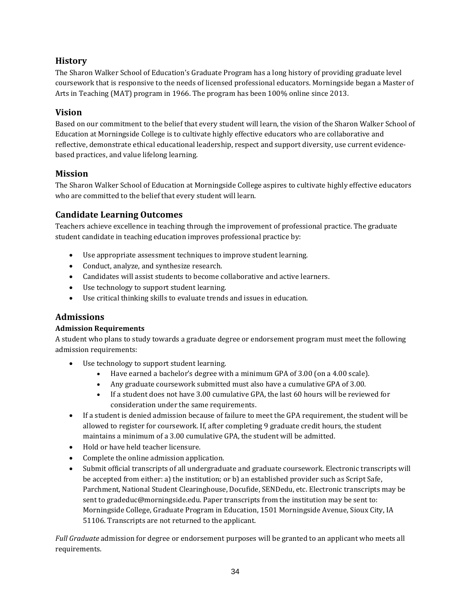# **History**

The Sharon Walker School of Education's Graduate Program has a long history of providing graduate level coursework that is responsive to the needs of licensed professional educators. Morningside began a Master of Arts in Teaching (MAT) program in 1966. The program has been 100% online since 2013.

# **Vision**

Based on our commitment to the belief that every student will learn, the vision of the Sharon Walker School of Education at Morningside College is to cultivate highly effective educators who are collaborative and reflective, demonstrate ethical educational leadership, respect and support diversity, use current evidencebased practices, and value lifelong learning.

# **Mission**

The Sharon Walker School of Education at Morningside College aspires to cultivate highly effective educators who are committed to the belief that every student will learn.

# **Candidate Learning Outcomes**

Teachers achieve excellence in teaching through the improvement of professional practice. The graduate student candidate in teaching education improves professional practice by:

- Use appropriate assessment techniques to improve student learning.
- Conduct, analyze, and synthesize research.
- Candidates will assist students to become collaborative and active learners.
- Use technology to support student learning.
- Use critical thinking skills to evaluate trends and issues in education.

# **Admissions**

# **Admission Requirements**

A student who plans to study towards a graduate degree or endorsement program must meet the following admission requirements:

- Use technology to support student learning.
	- Have earned a bachelor's degree with a minimum GPA of 3.00 (on a 4.00 scale).
	- Any graduate coursework submitted must also have a cumulative GPA of 3.00.
	- If a student does not have 3.00 cumulative GPA, the last 60 hours will be reviewed for consideration under the same requirements.
- If a student is denied admission because of failure to meet the GPA requirement, the student will be allowed to register for coursework. If, after completing 9 graduate credit hours, the student maintains a minimum of a 3.00 cumulative GPA, the student will be admitted.
- Hold or have held teacher licensure.
- Complete the online admission application.
- Submit official transcripts of all undergraduate and graduate coursework. Electronic transcripts will be accepted from either: a) the institution; or b) an established provider such as Script Safe, Parchment, National Student Clearinghouse, Docufide, SENDedu, etc. Electronic transcripts may be sent to gradeduc@morningside.edu. Paper transcripts from the institution may be sent to: Morningside College, Graduate Program in Education, 1501 Morningside Avenue, Sioux City, IA 51106. Transcripts are not returned to the applicant.

*Full Graduate* admission for degree or endorsement purposes will be granted to an applicant who meets all requirements.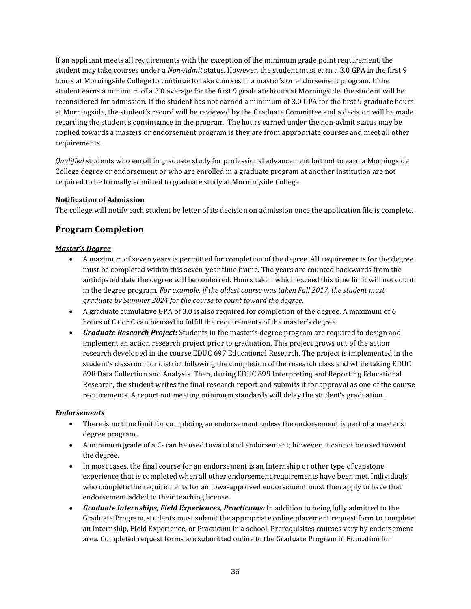If an applicant meets all requirements with the exception of the minimum grade point requirement, the student may take courses under a *Non-Admit* status. However, the student must earn a 3.0 GPA in the first 9 hours at Morningside College to continue to take courses in a master's or endorsement program. If the student earns a minimum of a 3.0 average for the first 9 graduate hours at Morningside, the student will be reconsidered for admission. If the student has not earned a minimum of 3.0 GPA for the first 9 graduate hours at Morningside, the student's record will be reviewed by the Graduate Committee and a decision will be made regarding the student's continuance in the program. The hours earned under the non-admit status may be applied towards a masters or endorsement program is they are from appropriate courses and meet all other requirements.

*Qualified* students who enroll in graduate study for professional advancement but not to earn a Morningside College degree or endorsement or who are enrolled in a graduate program at another institution are not required to be formally admitted to graduate study at Morningside College.

### **Notification of Admission**

The college will notify each student by letter of its decision on admission once the application file is complete.

## **Program Completion**

## *Master's Degree*

- A maximum of seven years is permitted for completion of the degree. All requirements for the degree must be completed within this seven-year time frame. The years are counted backwards from the anticipated date the degree will be conferred. Hours taken which exceed this time limit will not count in the degree program. *For example, if the oldest course was taken Fall 2017, the student must graduate by Summer 2024 for the course to count toward the degree.*
- A graduate cumulative GPA of 3.0 is also required for completion of the degree. A maximum of 6 hours of C+ or C can be used to fulfill the requirements of the master's degree.
- *Graduate Research Project:* Students in the master's degree program are required to design and implement an action research project prior to graduation. This project grows out of the action research developed in the course EDUC 697 Educational Research. The project is implemented in the student's classroom or district following the completion of the research class and while taking EDUC 698 Data Collection and Analysis. Then, during EDUC 699 Interpreting and Reporting Educational Research, the student writes the final research report and submits it for approval as one of the course requirements. A report not meeting minimum standards will delay the student's graduation.

### *Endorsements*

- There is no time limit for completing an endorsement unless the endorsement is part of a master's degree program.
- A minimum grade of a C- can be used toward and endorsement; however, it cannot be used toward the degree.
- In most cases, the final course for an endorsement is an Internship or other type of capstone experience that is completed when all other endorsement requirements have been met. Individuals who complete the requirements for an Iowa-approved endorsement must then apply to have that endorsement added to their teaching license.
- *Graduate Internships, Field Experiences, Practicums:* In addition to being fully admitted to the Graduate Program, students must submit the appropriate online placement request form to complete an Internship, Field Experience, or Practicum in a school. Prerequisites courses vary by endorsement area. Completed request forms are submitted online to the Graduate Program in Education for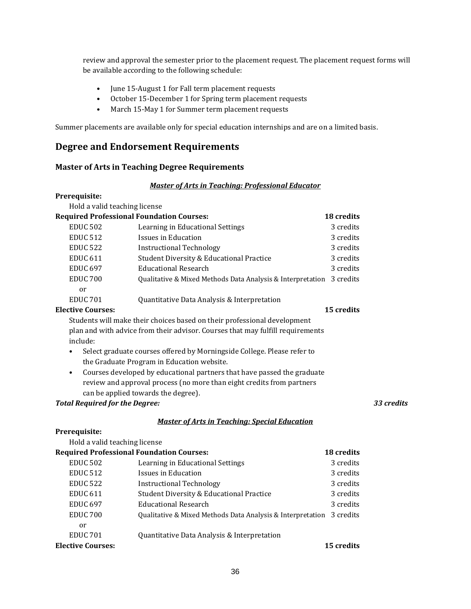review and approval the semester prior to the placement request. The placement request forms will be available according to the following schedule:

- June 15-August 1 for Fall term placement requests
- October 15-December 1 for Spring term placement requests
- March 15-May 1 for Summer term placement requests

Summer placements are available only for special education internships and are on a limited basis.

## **Degree and Endorsement Requirements**

### **Master of Arts in Teaching Degree Requirements**

#### *Master of Arts in Teaching: Professional Educator*

#### **Prerequisite:**

Hold a valid teaching license

|                     | <b>Required Professional Foundation Courses:</b>                     | 18 credits        |
|---------------------|----------------------------------------------------------------------|-------------------|
| <b>EDUC 502</b>     | Learning in Educational Settings                                     | 3 credits         |
| <b>EDUC 512</b>     | Issues in Education                                                  | 3 credits         |
| <b>EDUC 522</b>     | <b>Instructional Technology</b>                                      | 3 credits         |
| <b>EDUC 611</b>     | <b>Student Diversity &amp; Educational Practice</b>                  | 3 credits         |
| <b>EDUC 697</b>     | <b>Educational Research</b>                                          | 3 credits         |
| EDUC <sub>700</sub> | Oualitative & Mixed Methods Data Analysis & Interpretation 3 credits |                   |
| or                  |                                                                      |                   |
| <b>EDUC 701</b>     | Quantitative Data Analysis & Interpretation                          |                   |
| Elective Courses:   |                                                                      | <b>15 credits</b> |

Students will make their choices based on their professional development plan and with advice from their advisor. Courses that may fulfill requirements include:

- Select graduate courses offered by Morningside College. Please refer to the Graduate Program in Education website.
- Courses developed by educational partners that have passed the graduate review and approval process (no more than eight credits from partners can be applied towards the degree).

### *Total Required for the Degree: 33 credits*

### *Master of Arts in Teaching: Special Education*

#### **Prerequisite:**   $- - -$

| Hold a valid teaching license |                                                            |                   |
|-------------------------------|------------------------------------------------------------|-------------------|
|                               | <b>Required Professional Foundation Courses:</b>           | <b>18 credits</b> |
| <b>EDUC 502</b>               | Learning in Educational Settings                           | 3 credits         |
| <b>EDUC 512</b>               | Issues in Education                                        | 3 credits         |
| <b>EDUC 522</b>               | <b>Instructional Technology</b>                            | 3 credits         |
| <b>EDUC 611</b>               | <b>Student Diversity &amp; Educational Practice</b>        | 3 credits         |
| <b>EDUC 697</b>               | <b>Educational Research</b>                                | 3 credits         |
| EDUC <sub>700</sub>           | Oualitative & Mixed Methods Data Analysis & Interpretation | 3 credits         |
| or                            |                                                            |                   |
| <b>EDUC 701</b>               | Quantitative Data Analysis & Interpretation                |                   |
| <b>Elective Courses:</b>      |                                                            | <b>15 credits</b> |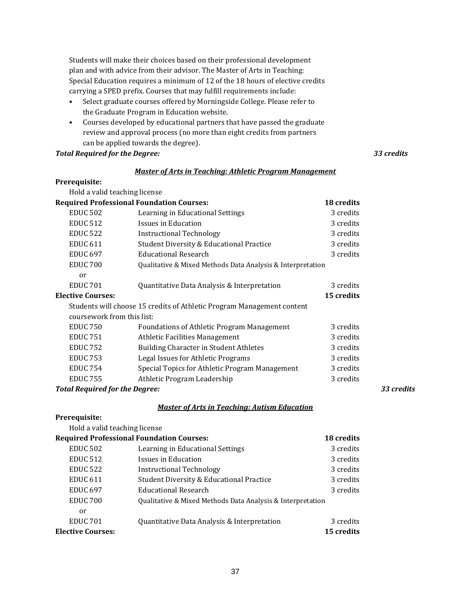Students will make their choices based on their professional development plan and with advice from their advisor. The Master of Arts in Teaching: Special Education requires a minimum of 12 of the 18 hours of elective credits carrying a SPED prefix. Courses that may fulfill requirements include:

- Select graduate courses offered by Morningside College. Please refer to the Graduate Program in Education website.
- Courses developed by educational partners that have passed the graduate review and approval process (no more than eight credits from partners can be applied towards the degree).

*Total Required for the Degree: 33 credits*

#### *Master of Arts in Teaching: Athletic Program Management*

### **Prerequisite:**

| Hold a valid teaching license         |                                                                        |            |            |
|---------------------------------------|------------------------------------------------------------------------|------------|------------|
|                                       | <b>Required Professional Foundation Courses:</b>                       | 18 credits |            |
| <b>EDUC 502</b>                       | Learning in Educational Settings                                       | 3 credits  |            |
| <b>EDUC 512</b>                       | Issues in Education                                                    | 3 credits  |            |
| <b>EDUC 522</b>                       | <b>Instructional Technology</b>                                        | 3 credits  |            |
| <b>EDUC 611</b>                       | Student Diversity & Educational Practice                               | 3 credits  |            |
| <b>EDUC 697</b>                       | <b>Educational Research</b>                                            | 3 credits  |            |
| <b>EDUC 700</b>                       | Qualitative & Mixed Methods Data Analysis & Interpretation             |            |            |
| or                                    |                                                                        |            |            |
| <b>EDUC 701</b>                       | Quantitative Data Analysis & Interpretation                            | 3 credits  |            |
| <b>Elective Courses:</b>              |                                                                        | 15 credits |            |
|                                       | Students will choose 15 credits of Athletic Program Management content |            |            |
| coursework from this list:            |                                                                        |            |            |
| <b>EDUC 750</b>                       | <b>Foundations of Athletic Program Management</b>                      | 3 credits  |            |
| <b>EDUC 751</b>                       | <b>Athletic Facilities Management</b>                                  | 3 credits  |            |
| <b>EDUC 752</b>                       | Building Character in Student Athletes                                 | 3 credits  |            |
| <b>EDUC 753</b>                       | Legal Issues for Athletic Programs                                     | 3 credits  |            |
| <b>EDUC 754</b>                       | Special Topics for Athletic Program Management                         | 3 credits  |            |
| <b>EDUC 755</b>                       | Athletic Program Leadership                                            | 3 credits  |            |
| <b>Total Required for the Degree:</b> |                                                                        |            | 33 credits |

### *Master of Arts in Teaching: Autism Education*

|                               | <u>Musici vi Al is in Teuching. Autism Euucution</u>       |            |
|-------------------------------|------------------------------------------------------------|------------|
| Prerequisite:                 |                                                            |            |
| Hold a valid teaching license |                                                            |            |
|                               | <b>Required Professional Foundation Courses:</b>           | 18 credits |
| <b>EDUC 502</b>               | Learning in Educational Settings                           | 3 credits  |
| <b>EDUC 512</b>               | Issues in Education                                        | 3 credits  |
| <b>EDUC 522</b>               | <b>Instructional Technology</b>                            | 3 credits  |
| EDUC <sub>611</sub>           | <b>Student Diversity &amp; Educational Practice</b>        | 3 credits  |
| <b>EDUC 697</b>               | <b>Educational Research</b>                                | 3 credits  |
| EDUC <sub>700</sub>           | Qualitative & Mixed Methods Data Analysis & Interpretation |            |
| or                            |                                                            |            |
| EDUC <sub>701</sub>           | Quantitative Data Analysis & Interpretation                | 3 credits  |
| <b>Elective Courses:</b>      |                                                            | 15 credits |
|                               |                                                            |            |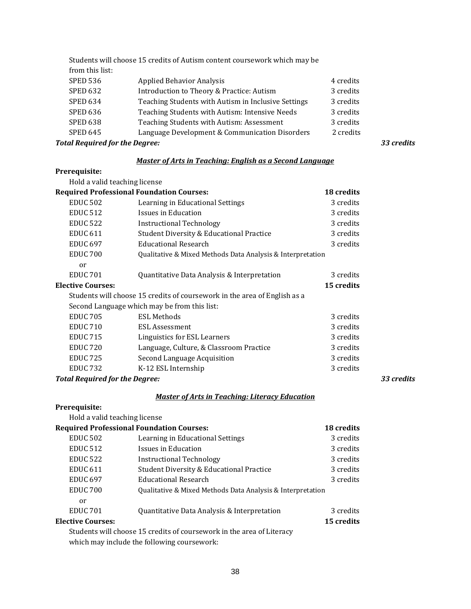|                                       | Students will choose 15 credits of Autism content coursework which may be |           |            |
|---------------------------------------|---------------------------------------------------------------------------|-----------|------------|
| from this list:                       |                                                                           |           |            |
| <b>SPED 536</b>                       | <b>Applied Behavior Analysis</b>                                          | 4 credits |            |
| <b>SPED 632</b>                       | Introduction to Theory & Practice: Autism                                 | 3 credits |            |
| <b>SPED 634</b>                       | Teaching Students with Autism in Inclusive Settings                       | 3 credits |            |
| <b>SPED 636</b>                       | Teaching Students with Autism: Intensive Needs                            | 3 credits |            |
| <b>SPED 638</b>                       | Teaching Students with Autism: Assessment                                 | 3 credits |            |
| <b>SPED 645</b>                       | Language Development & Communication Disorders                            | 2 credits |            |
| <b>Total Required for the Degree:</b> |                                                                           |           | 33 credits |

### *Master of Arts in Teaching: English as a Second Language*

### **Prerequisite:**

| Hold a valid teaching license         |                                                                           |            |            |
|---------------------------------------|---------------------------------------------------------------------------|------------|------------|
|                                       | <b>Required Professional Foundation Courses:</b>                          | 18 credits |            |
| <b>EDUC 502</b>                       | Learning in Educational Settings                                          | 3 credits  |            |
| <b>EDUC 512</b>                       | Issues in Education                                                       | 3 credits  |            |
| <b>EDUC 522</b>                       | <b>Instructional Technology</b>                                           | 3 credits  |            |
| <b>EDUC 611</b>                       | <b>Student Diversity &amp; Educational Practice</b>                       | 3 credits  |            |
| <b>EDUC 697</b>                       | <b>Educational Research</b>                                               | 3 credits  |            |
| EDUC <sub>700</sub>                   | Qualitative & Mixed Methods Data Analysis & Interpretation                |            |            |
| or                                    |                                                                           |            |            |
| <b>EDUC 701</b>                       | Quantitative Data Analysis & Interpretation                               | 3 credits  |            |
| <b>Elective Courses:</b>              |                                                                           | 15 credits |            |
|                                       | Students will choose 15 credits of coursework in the area of English as a |            |            |
|                                       | Second Language which may be from this list:                              |            |            |
| <b>EDUC 705</b>                       | <b>ESL Methods</b>                                                        | 3 credits  |            |
| <b>EDUC 710</b>                       | ESL Assessment                                                            | 3 credits  |            |
| <b>EDUC 715</b>                       | Linguistics for ESL Learners                                              | 3 credits  |            |
| <b>EDUC 720</b>                       | Language, Culture, & Classroom Practice                                   | 3 credits  |            |
| <b>EDUC 725</b>                       | Second Language Acquisition                                               | 3 credits  |            |
| <b>EDUC 732</b>                       | K-12 ESL Internship                                                       | 3 credits  |            |
| <b>Total Required for the Degree:</b> |                                                                           |            | 33 credits |

## *Master of Arts in Teaching: Literacy Education*

## **Prerequisite:**

Hold a valid teaching license

|                                             | <b>Required Professional Foundation Courses:</b>                      | 18 credits |
|---------------------------------------------|-----------------------------------------------------------------------|------------|
| <b>EDUC 502</b>                             | Learning in Educational Settings                                      | 3 credits  |
| <b>EDUC 512</b>                             | Issues in Education                                                   | 3 credits  |
| <b>EDUC 522</b>                             | Instructional Technology                                              | 3 credits  |
| <b>EDUC 611</b>                             | Student Diversity & Educational Practice                              | 3 credits  |
| <b>EDUC 697</b>                             | Educational Research                                                  | 3 credits  |
| EDUC <sub>700</sub>                         | Qualitative & Mixed Methods Data Analysis & Interpretation            |            |
| or                                          |                                                                       |            |
| <b>EDUC 701</b>                             | Quantitative Data Analysis & Interpretation                           | 3 credits  |
| <b>Elective Courses:</b>                    |                                                                       | 15 credits |
|                                             | Students will choose 15 credits of coursework in the area of Literacy |            |
| which may include the following coursework: |                                                                       |            |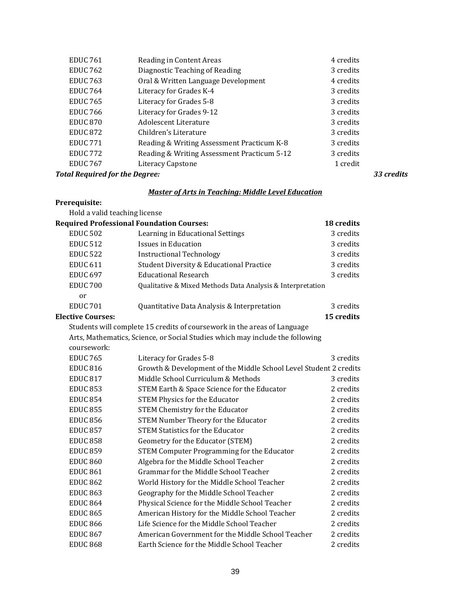| <b>EDUC 761</b> | Reading in Content Areas                    | 4 credits |
|-----------------|---------------------------------------------|-----------|
| <b>EDUC 762</b> | Diagnostic Teaching of Reading              | 3 credits |
| <b>EDUC 763</b> | Oral & Written Language Development         | 4 credits |
| <b>EDUC 764</b> | Literacy for Grades K-4                     | 3 credits |
| <b>EDUC 765</b> | Literacy for Grades 5-8                     | 3 credits |
| <b>EDUC 766</b> | Literacy for Grades 9-12                    | 3 credits |
| <b>EDUC 870</b> | Adolescent Literature                       | 3 credits |
| <b>EDUC 872</b> | Children's Literature                       | 3 credits |
| <b>EDUC 771</b> | Reading & Writing Assessment Practicum K-8  | 3 credits |
| <b>EDUC 772</b> | Reading & Writing Assessment Practicum 5-12 | 3 credits |
| <b>EDUC 767</b> | Literacy Capstone                           | 1 credit  |
|                 |                                             |           |

#### *Total Required for the Degree: 33 credits*

#### *Master of Arts in Teaching: Middle Level Education*

### **Prerequisite:**

Hold a valid teaching license **Required Professional Foundation Courses: 18 credits** EDUC 502 Learning in Educational Settings 3 credits EDUC 512 Issues in Education **3** credits 3 credits EDUC 522 Instructional Technology 3 credits EDUC 611 Student Diversity & Educational Practice 3 credits<br>EDUC 697 Educational Research 3 credits Educational Research EDUC 700 Qualitative & Mixed Methods Data Analysis & Interpretation or EDUC 701 Quantitative Data Analysis & Interpretation 3 credits<br> **15 credits**<br> **15 credits Elective Courses:** Students will complete 15 credits of coursework in the areas of Language Arts, Mathematics, Science, or Social Studies which may include the following coursework: EDUC 765 Literacy for Grades 5-8<br>EDUC 816 Growth & Development of the Middle School Level Student 2 credits Growth & Development of the Middle School Level Student 2 credits EDUC 817 Middle School Curriculum & Methods 3 credits<br>EDUC 853 STEM Earth & Space Science for the Educator 2 credits STEM Earth & Space Science for the Educator 2 credits<br>STEM Physics for the Educator 2 credits EDUC 854 STEM Physics for the Educator 2 credits EDUC 855 STEM Chemistry for the Educator EDUC 856 STEM Number Theory for the Educator 2 credits EDUC 857 STEM Statistics for the Educator 2 credits EDUC 858 Geometry for the Educator (STEM) 2 credits EDUC 859 STEM Computer Programming for the Educator 2 credits EDUC 860 Algebra for the Middle School Teacher 2 credits EDUC 861 Grammar for the Middle School Teacher 2 credits EDUC 862 World History for the Middle School Teacher 2 credits EDUC 863 Geography for the Middle School Teacher 2 credits EDUC 864 Physical Science for the Middle School Teacher 2 credits EDUC 865 American History for the Middle School Teacher 2 credits EDUC 866 Life Science for the Middle School Teacher 2 credits EDUC 867 American Government for the Middle School Teacher 2 credits EDUC 868 Earth Science for the Middle School Teacher 2 credits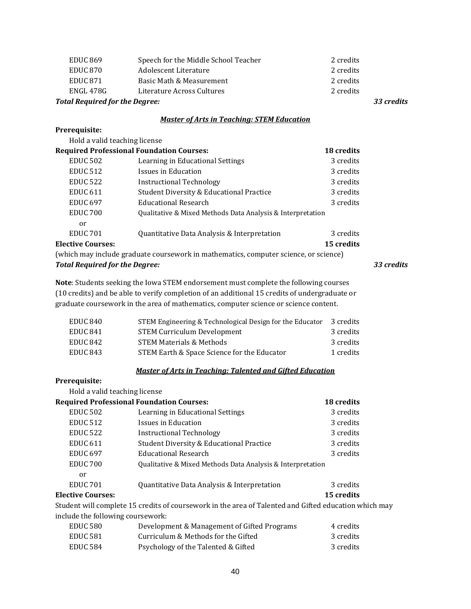| <b>Total Required for the Degree:</b> |                                      | 33 credits |
|---------------------------------------|--------------------------------------|------------|
| ENGL 478G                             | Literature Across Cultures           | 2 credits  |
| EDUC <sub>871</sub>                   | Basic Math & Measurement             | 2 credits  |
| EDUC 870                              | Adolescent Literature                | 2 credits  |
| <b>EDUC 869</b>                       | Speech for the Middle School Teacher | 2 credits  |

#### *Master of Arts in Teaching: STEM Education*

### **Prerequisite:**

 $\ddotsc$ 

| Hold a valid teaching license         |                                                                                      |            |            |
|---------------------------------------|--------------------------------------------------------------------------------------|------------|------------|
|                                       | <b>Required Professional Foundation Courses:</b>                                     | 18 credits |            |
| <b>EDUC 502</b>                       | Learning in Educational Settings                                                     | 3 credits  |            |
| <b>EDUC 512</b>                       | Issues in Education                                                                  | 3 credits  |            |
| <b>EDUC 522</b>                       | Instructional Technology                                                             | 3 credits  |            |
| <b>EDUC 611</b>                       | <b>Student Diversity &amp; Educational Practice</b>                                  | 3 credits  |            |
| <b>EDUC 697</b>                       | <b>Educational Research</b>                                                          | 3 credits  |            |
| EDUC <sub>700</sub>                   | Qualitative & Mixed Methods Data Analysis & Interpretation                           |            |            |
| <sub>or</sub>                         |                                                                                      |            |            |
| <b>EDUC 701</b>                       | Quantitative Data Analysis & Interpretation                                          | 3 credits  |            |
| <b>Elective Courses:</b>              |                                                                                      | 15 credits |            |
|                                       | (which may include graduate coursework in mathematics, computer science, or science) |            |            |
| <b>Total Required for the Degree:</b> |                                                                                      |            | 33 credits |

**Note**: Students seeking the Iowa STEM endorsement must complete the following courses (10 credits) and be able to verify completion of an additional 15 credits of undergraduate or graduate coursework in the area of mathematics, computer science or science content.

| STEM Engineering & Technological Design for the Educator | 3 credits |
|----------------------------------------------------------|-----------|
| <b>STEM Curriculum Development</b>                       | 3 credits |
| <b>STEM Materials &amp; Methods</b>                      | 3 credits |
| STEM Earth & Space Science for the Educator              | 1 credits |
|                                                          |           |

## *Master of Arts in Teaching: Talented and Gifted Education*

# **Prerequisite:**

| Hold a valid teaching license     |                                                                                                       |            |
|-----------------------------------|-------------------------------------------------------------------------------------------------------|------------|
|                                   | <b>Required Professional Foundation Courses:</b>                                                      | 18 credits |
| <b>EDUC 502</b>                   | Learning in Educational Settings                                                                      | 3 credits  |
| <b>EDUC 512</b>                   | Issues in Education                                                                                   | 3 credits  |
| <b>EDUC 522</b>                   | Instructional Technology                                                                              | 3 credits  |
| <b>EDUC 611</b>                   | <b>Student Diversity &amp; Educational Practice</b>                                                   | 3 credits  |
| <b>EDUC 697</b>                   | <b>Educational Research</b>                                                                           | 3 credits  |
| EDUC <sub>700</sub>               | Qualitative & Mixed Methods Data Analysis & Interpretation                                            |            |
| or                                |                                                                                                       |            |
| <b>EDUC 701</b>                   | Quantitative Data Analysis & Interpretation                                                           | 3 credits  |
| <b>Elective Courses:</b>          |                                                                                                       | 15 credits |
|                                   | Student will complete 15 credits of coursework in the area of Talented and Gifted education which may |            |
| include the following coursework: |                                                                                                       |            |
| <b>EDUC 580</b>                   | Development & Management of Gifted Programs                                                           | 4 credits  |
| <b>PRILA FO4</b>                  | $C \rightarrow 1$ $C \rightarrow 1$ $C \rightarrow 1$ $C \rightarrow 1$                               | יינים ה    |

| EDUC 581 | Curriculum & Methods for the Gifted | 3 credits |
|----------|-------------------------------------|-----------|
| EDUC 584 | Psychology of the Talented & Gifted | 3 credits |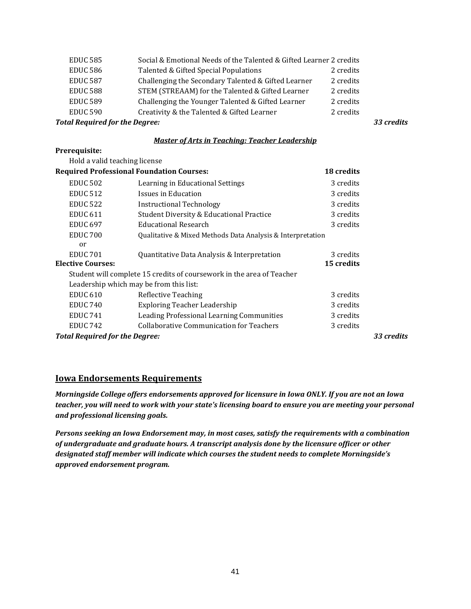| <b>EDUC 585</b>                       | Social & Emotional Needs of the Talented & Gifted Learner 2 credits |           |            |
|---------------------------------------|---------------------------------------------------------------------|-----------|------------|
| <b>EDUC 586</b>                       | Talented & Gifted Special Populations                               | 2 credits |            |
| <b>EDUC 587</b>                       | Challenging the Secondary Talented & Gifted Learner                 | 2 credits |            |
| <b>EDUC 588</b>                       | STEM (STREAAM) for the Talented & Gifted Learner                    | 2 credits |            |
| <b>EDUC 589</b>                       | Challenging the Younger Talented & Gifted Learner                   | 2 credits |            |
| <b>EDUC 590</b>                       | Creativity & the Talented & Gifted Learner                          | 2 credits |            |
| <b>Total Required for the Degree:</b> |                                                                     |           | 33 credits |

#### *Master of Arts in Teaching: Teacher Leadership*

| Prerequisite:                         |                                                                       |            |            |
|---------------------------------------|-----------------------------------------------------------------------|------------|------------|
| Hold a valid teaching license         |                                                                       |            |            |
|                                       | <b>Required Professional Foundation Courses:</b>                      | 18 credits |            |
| <b>EDUC 502</b>                       | Learning in Educational Settings                                      | 3 credits  |            |
| <b>EDUC 512</b>                       | Issues in Education                                                   | 3 credits  |            |
| <b>EDUC 522</b>                       | <b>Instructional Technology</b>                                       | 3 credits  |            |
| <b>EDUC 611</b>                       | <b>Student Diversity &amp; Educational Practice</b>                   | 3 credits  |            |
| <b>EDUC 697</b>                       | <b>Educational Research</b>                                           | 3 credits  |            |
| <b>EDUC 700</b>                       | Qualitative & Mixed Methods Data Analysis & Interpretation            |            |            |
| or                                    |                                                                       |            |            |
| <b>EDUC 701</b>                       | Quantitative Data Analysis & Interpretation                           | 3 credits  |            |
| <b>Elective Courses:</b>              |                                                                       | 15 credits |            |
|                                       | Student will complete 15 credits of coursework in the area of Teacher |            |            |
|                                       | Leadership which may be from this list:                               |            |            |
| <b>EDUC 610</b>                       | <b>Reflective Teaching</b>                                            | 3 credits  |            |
| <b>EDUC 740</b>                       | <b>Exploring Teacher Leadership</b>                                   | 3 credits  |            |
| <b>EDUC 741</b>                       | Leading Professional Learning Communities                             | 3 credits  |            |
| EDUC <sub>742</sub>                   | <b>Collaborative Communication for Teachers</b>                       | 3 credits  |            |
| <b>Total Required for the Degree:</b> |                                                                       |            | 33 credits |

## **Iowa Endorsements Requirements**

*Morningside College offers endorsements approved for licensure in Iowa ONLY. If you are not an Iowa teacher, you will need to work with your state's licensing board to ensure you are meeting your personal and professional licensing goals.*

*Persons seeking an Iowa Endorsement may, in most cases, satisfy the requirements with a combination of undergraduate and graduate hours. A transcript analysis done by the licensure officer or other designated staff member will indicate which courses the student needs to complete Morningside's approved endorsement program.*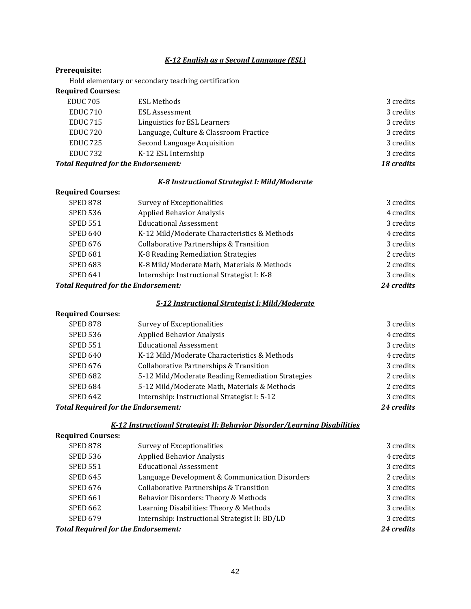#### *K-12 English as a Second Language (ESL)*

#### **Prerequisite:**

Hold elementary or secondary teaching certification

#### **Required Courses:**

| <b>Total Required for the Endorsement:</b> |                                        | 18 credits |
|--------------------------------------------|----------------------------------------|------------|
| <b>EDUC 732</b>                            | K-12 ESL Internship                    | 3 credits  |
| <b>EDUC 725</b>                            | Second Language Acquisition            | 3 credits  |
| EDUC <sub>720</sub>                        | Language, Culture & Classroom Practice | 3 credits  |
| <b>EDUC 715</b>                            | Linguistics for ESL Learners           | 3 credits  |
| EDUC <sub>710</sub>                        | ESL Assessment                         | 3 credits  |
| <b>EDUC 705</b>                            | ESL Methods                            | 3 credits  |

### *K-8 Instructional Strategist I: Mild/Moderate*

## **Required Courses:** SPED 878 Survey of Exceptionalities 3 credits<br>SPED 536 Applied Behavior Analysis 4 credits 4 credits SPED 536 Applied Behavior Analysis SPED 551 Educational Assessment<br>SPED 640 K-12 Mild/Moderate Characteristics & Methods 4 credits SPED 640 K-12 Mild/Moderate Characteristics & Methods 4 credits<br>SPED 676 Collaborative Partnerships & Transition 3 credits SPED 676 Collaborative Partnerships & Transition 3 credits<br>SPED 681 K-8 Reading Remediation Strategies 2 credits SPED 681 K-8 Reading Remediation Strategies 2 credits<br>SPED 683 K-8 Mild/Moderate Math. Materials & Methods 2 credits SPED 683 K-8 Mild/Moderate Math, Materials & Methods 2 credits<br>SPED 641 Internship: Instructional Strategist I: K-8 3 credits Internship: Instructional Strategist I: K-8 3 credits<br> **SPED 641 Indorsement:** 24 credits

### *Total Required for the Endorsement:*

#### *5-12 Instructional Strategist I: Mild/Moderate*

## **Required Courses:**

| <b>SPED 878</b>                            | Survey of Exceptionalities                         | 3 credits  |
|--------------------------------------------|----------------------------------------------------|------------|
| <b>SPED 536</b>                            | <b>Applied Behavior Analysis</b>                   | 4 credits  |
| <b>SPED 551</b>                            | <b>Educational Assessment</b>                      | 3 credits  |
| <b>SPED 640</b>                            | K-12 Mild/Moderate Characteristics & Methods       | 4 credits  |
| <b>SPED 676</b>                            | <b>Collaborative Partnerships &amp; Transition</b> | 3 credits  |
| <b>SPED 682</b>                            | 5-12 Mild/Moderate Reading Remediation Strategies  | 2 credits  |
| <b>SPED 684</b>                            | 5-12 Mild/Moderate Math, Materials & Methods       | 2 credits  |
| <b>SPED 642</b>                            | Internship: Instructional Strategist I: 5-12       | 3 credits  |
| <b>Total Required for the Endorsement:</b> |                                                    | 24 credits |

# *K-12 Instructional Strategist II: Behavior Disorder/Learning Disabilities*

| <b>Required Courses:</b>                   |                                                    |            |
|--------------------------------------------|----------------------------------------------------|------------|
| <b>SPED 878</b>                            | Survey of Exceptionalities                         | 3 credits  |
| <b>SPED 536</b>                            | <b>Applied Behavior Analysis</b>                   | 4 credits  |
| <b>SPED 551</b>                            | <b>Educational Assessment</b>                      | 3 credits  |
| <b>SPED 645</b>                            | Language Development & Communication Disorders     | 2 credits  |
| <b>SPED 676</b>                            | <b>Collaborative Partnerships &amp; Transition</b> | 3 credits  |
| <b>SPED 661</b>                            | Behavior Disorders: Theory & Methods               | 3 credits  |
| <b>SPED 662</b>                            | Learning Disabilities: Theory & Methods            | 3 credits  |
| <b>SPED 679</b>                            | Internship: Instructional Strategist II: BD/LD     | 3 credits  |
| <b>Total Required for the Endorsement:</b> |                                                    | 24 credits |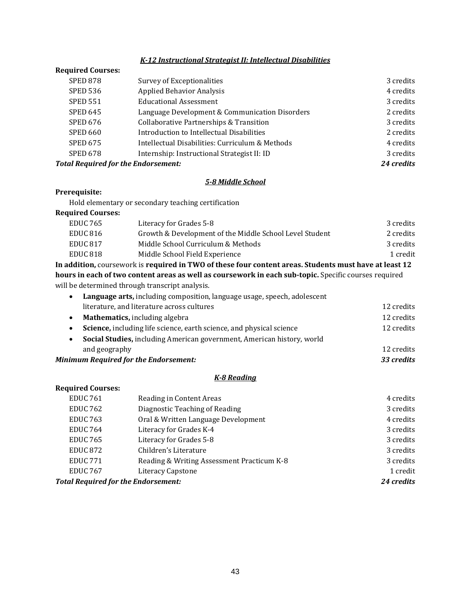### *K-12 Instructional Strategist II: Intellectual Disabilities*

#### **Required Courses:**

| <b>SPED 878</b>                            | Survey of Exceptionalities                         | 3 credits  |
|--------------------------------------------|----------------------------------------------------|------------|
| <b>SPED 536</b>                            | <b>Applied Behavior Analysis</b>                   | 4 credits  |
| <b>SPED 551</b>                            | <b>Educational Assessment</b>                      | 3 credits  |
| <b>SPED 645</b>                            | Language Development & Communication Disorders     | 2 credits  |
| <b>SPED 676</b>                            | <b>Collaborative Partnerships &amp; Transition</b> | 3 credits  |
| <b>SPED 660</b>                            | Introduction to Intellectual Disabilities          | 2 credits  |
| <b>SPED 675</b>                            | Intellectual Disabilities: Curriculum & Methods    | 4 credits  |
| <b>SPED 678</b>                            | Internship: Instructional Strategist II: ID        | 3 credits  |
| <b>Total Required for the Endorsement:</b> |                                                    | 24 credits |

### *5-8 Middle School*

### **Prerequisite:**

Hold elementary or secondary teaching certification

| Literacy for Grades 5-8                                 | 3 credits |
|---------------------------------------------------------|-----------|
| Growth & Development of the Middle School Level Student | 2 credits |
| Middle School Curriculum & Methods                      | 3 credits |
| Middle School Field Experience                          | 1 credit  |
|                                                         |           |

**In addition,** coursework is **required in TWO of these four content areas. Students must have at least 12 hours in each of two content areas as well as coursework in each sub-topic.** Specific courses required will be determined through transcript analysis.

| <b>Minimum Required for the Endorsement:</b><br>33 credits               |            |
|--------------------------------------------------------------------------|------------|
| and geography                                                            | 12 credits |
| Social Studies, including American government, American history, world   |            |
| Science, including life science, earth science, and physical science     | 12 credits |
| <b>Mathematics, including algebra</b><br>$\bullet$                       | 12 credits |
| literature, and literature across cultures                               | 12 credits |
| Language arts, including composition, language usage, speech, adolescent |            |

#### *K-8 Reading*

## **Required Courses:** EDUC 761 Reading in Content Areas 4 credits 4 credits 4 credits<br>
EDUC 762 Diagnostic Teaching of Reading 2008 and 2008 2 credits EDUC 762 Diagnostic Teaching of Reading<br>EDUC 763 Oral & Written Language Development 4 credits EDUC 763 Oral & Written Language Development 4 credits 4 credits<br>EDUC 764 Literacy for Grades K-4 3 credits EDUC 764 Literacy for Grades K-4 3 credits<br>
EDUC 765 Literacy for Grades 5-8 3 credits<br>
3 credits EDUC 765 Literacy for Grades 5-8 3 credits<br>EDUC 872 Children's Literature 3 and 3 credits EDUC 872 Children's Literature<br>EDUC 771 Reading & Writing Assessment Practicum K-8 3 credits EDUC 771 Reading & Writing Assessment Practicum K-8 3 credits<br>EDUC 767 Literacy Capstone 1 credit External School and School and School and School and School and School and School and School and School and School and School and School and School and School and School and School and School and School and School and Scho *Total Required for the Endorsement:*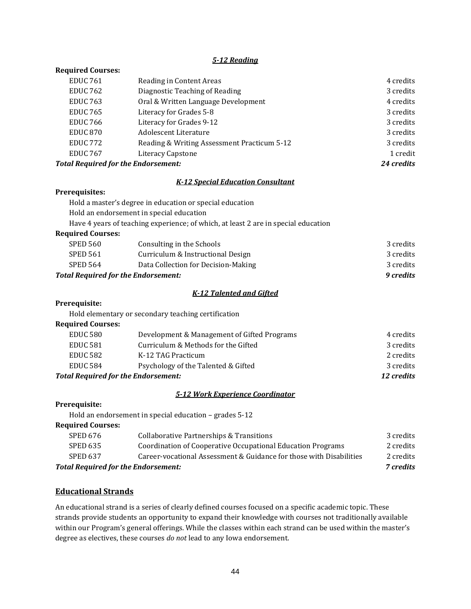#### *5-12 Reading*

#### **Required Courses:**

| <b>EDUC 761</b>                            | Reading in Content Areas                    | 4 credits  |
|--------------------------------------------|---------------------------------------------|------------|
| <b>EDUC 762</b>                            | Diagnostic Teaching of Reading              | 3 credits  |
| <b>EDUC 763</b>                            | Oral & Written Language Development         | 4 credits  |
| <b>EDUC 765</b>                            | Literacy for Grades 5-8                     | 3 credits  |
| <b>EDUC 766</b>                            | Literacy for Grades 9-12                    | 3 credits  |
| <b>EDUC 870</b>                            | Adolescent Literature                       | 3 credits  |
| <b>EDUC 772</b>                            | Reading & Writing Assessment Practicum 5-12 | 3 credits  |
| <b>EDUC 767</b>                            | Literacy Capstone                           | 1 credit   |
| <b>Total Required for the Endorsement:</b> |                                             | 24 credits |

### *K-12 Special Education Consultant*

### **Prerequisites:**

| <b>Required Courses:</b>                                                           |
|------------------------------------------------------------------------------------|
| Have 4 years of teaching experience; of which, at least 2 are in special education |
| Hold an endorsement in special education                                           |
| Hold a master's degree in education or special education                           |

## SPED 560 Consulting in the Schools 3 credits<br>SPED 561 Curriculum & Instructional Design 3 credits 3 credits SPED 561 Curriculum & Instructional Design 3 credits<br>SPED 564 Data Collection for Decision-Making 3 credits 3 credits Data Collection for Decision-Making 3 credits<br> **SPED 564 Data Collection for Decision-Making** 3 credits<br> **9 credits** *Total Required for the Endorsement:*

#### *K-12 Talented and Gifted*

### **Prerequisite:**

Hold elementary or secondary teaching certification

#### **Required Courses:**

| <b>Total Required for the Endorsement:</b> |                                             | 12 credits |
|--------------------------------------------|---------------------------------------------|------------|
| <b>EDUC 584</b>                            | Psychology of the Talented & Gifted         | 3 credits  |
| <b>EDUC 582</b>                            | K-12 TAG Practicum                          | 2 credits  |
| <b>EDUC 581</b>                            | Curriculum & Methods for the Gifted         | 3 credits  |
| <b>EDUC 580</b>                            | Development & Management of Gifted Programs | 4 credits  |
|                                            |                                             |            |

#### *5-12 Work Experience Coordinator*

## **Prerequisite:**  Hold an endorsement in special education – grades 5-12 **Required Courses:** SPED 676 Collaborative Partnerships & Transitions 3 credits<br>SPED 635 Coordination of Cooperative Occupational Education Programs 2 credits SPED 635 Coordination of Cooperative Occupational Education Programs 2 credits<br>SPED 637 Career-vocational Assessment & Guidance for those with Disabilities 2 credits SPED 637 Career-vocational Assessment & Guidance for those with Disabilities 2 credits<br>al Required for the Endorsement: 2

### *Total Required for the Endorsement:*

### **Educational Strands**

An educational strand is a series of clearly defined courses focused on a specific academic topic. These strands provide students an opportunity to expand their knowledge with courses not traditionally available within our Program's general offerings. While the classes within each strand can be used within the master's degree as electives, these courses *do not* lead to any Iowa endorsement.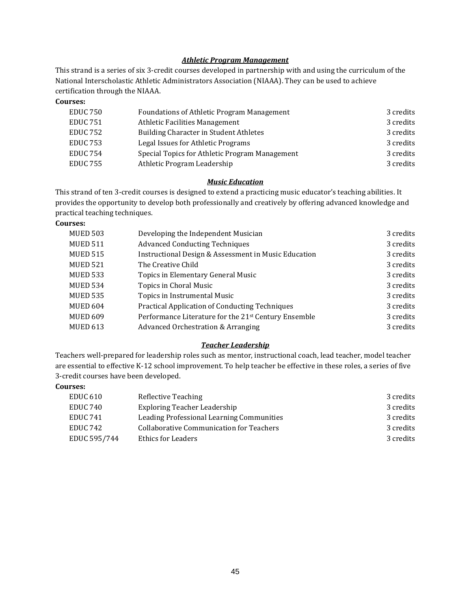### *Athletic Program Management*

This strand is a series of six 3-credit courses developed in partnership with and using the curriculum of the National Interscholastic Athletic Administrators Association (NIAAA). They can be used to achieve certification through the NIAAA.

**Courses:**

| <b>Foundations of Athletic Program Management</b> | 3 credits |
|---------------------------------------------------|-----------|
| <b>Athletic Facilities Management</b>             | 3 credits |
| Building Character in Student Athletes            | 3 credits |
| Legal Issues for Athletic Programs                | 3 credits |
| Special Topics for Athletic Program Management    | 3 credits |
| Athletic Program Leadership                       | 3 credits |
|                                                   |           |

### *Music Education*

This strand of ten 3-credit courses is designed to extend a practicing music educator's teaching abilities. It provides the opportunity to develop both professionally and creatively by offering advanced knowledge and practical teaching techniques.

### **Courses:**

| <b>MUED 503</b> | Developing the Independent Musician                   | 3 credits |
|-----------------|-------------------------------------------------------|-----------|
| <b>MUED 511</b> | <b>Advanced Conducting Techniques</b>                 | 3 credits |
| <b>MUED 515</b> | Instructional Design & Assessment in Music Education  | 3 credits |
| <b>MUED 521</b> | The Creative Child                                    | 3 credits |
| <b>MUED 533</b> | Topics in Elementary General Music                    | 3 credits |
| <b>MUED 534</b> | Topics in Choral Music                                | 3 credits |
| <b>MUED 535</b> | Topics in Instrumental Music                          | 3 credits |
| MUED 604        | <b>Practical Application of Conducting Techniques</b> | 3 credits |
| <b>MUED 609</b> | Performance Literature for the 21st Century Ensemble  | 3 credits |
| <b>MUED 613</b> | Advanced Orchestration & Arranging                    | 3 credits |
|                 |                                                       |           |

### *Teacher Leadership*

Teachers well-prepared for leadership roles such as mentor, instructional coach, lead teacher, model teacher are essential to effective K-12 school improvement. To help teacher be effective in these roles, a series of five 3-credit courses have been developed.

### **Courses:**

| <b>EDUC 610</b>     | Reflective Teaching                             | 3 credits |
|---------------------|-------------------------------------------------|-----------|
| <b>EDUC 740</b>     | Exploring Teacher Leadership                    | 3 credits |
| EDUC <sub>741</sub> | Leading Professional Learning Communities       | 3 credits |
| <b>EDUC 742</b>     | <b>Collaborative Communication for Teachers</b> | 3 credits |
| EDUC 595/744        | Ethics for Leaders                              | 3 credits |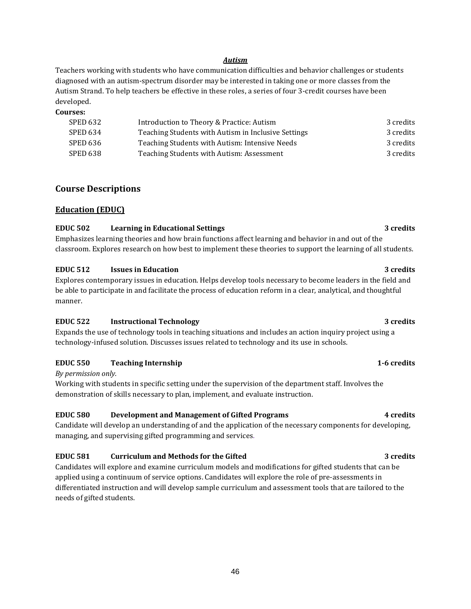#### *Autism*

Teachers working with students who have communication difficulties and behavior challenges or students diagnosed with an autism-spectrum disorder may be interested in taking one or more classes from the Autism Strand. To help teachers be effective in these roles, a series of four 3-credit courses have been developed.

#### **Courses:**

| SPED 632 | Introduction to Theory & Practice: Autism           | 3 credits |
|----------|-----------------------------------------------------|-----------|
| SPED 634 | Teaching Students with Autism in Inclusive Settings | 3 credits |
| SPED 636 | Teaching Students with Autism: Intensive Needs      | 3 credits |
| SPED 638 | Teaching Students with Autism: Assessment           | 3 credits |

## **Course Descriptions**

### **Education (EDUC)**

### **EDUC 502 Learning in Educational Settings 3 credits**

Emphasizes learning theories and how brain functions affect learning and behavior in and out of the classroom. Explores research on how best to implement these theories to support the learning of all students.

### **EDUC 512 Issues in Education 3 credits**

Explores contemporary issues in education. Helps develop tools necessary to become leaders in the field and be able to participate in and facilitate the process of education reform in a clear, analytical, and thoughtful manner.

### **EDUC 522 Instructional Technology 3 credits**

Expands the use of technology tools in teaching situations and includes an action inquiry project using a technology-infused solution. Discusses issues related to technology and its use in schools.

### **EDUC 550 Teaching Internship 1-6 credits**

### *By permission only.*

Working with students in specific setting under the supervision of the department staff. Involves the demonstration of skills necessary to plan, implement, and evaluate instruction.

### **EDUC 580 Development and Management of Gifted Programs 4 credits**

Candidate will develop an understanding of and the application of the necessary components for developing, managing, and supervising gifted programming and services.

### **EDUC 581 Curriculum and Methods for the Gifted 3 credits**

Candidates will explore and examine curriculum models and modifications for gifted students that can be applied using a continuum of service options. Candidates will explore the role of pre-assessments in differentiated instruction and will develop sample curriculum and assessment tools that are tailored to the needs of gifted students.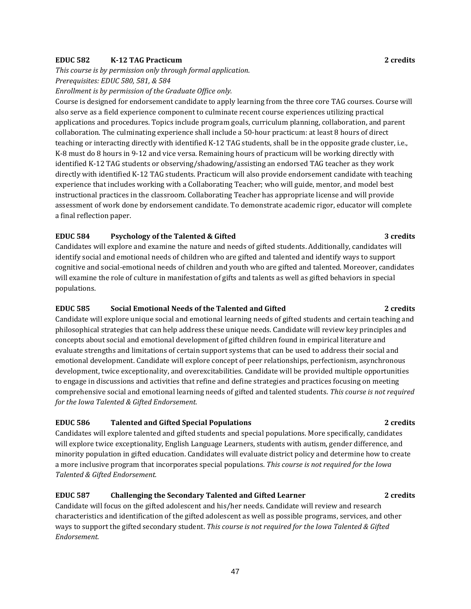### **EDUC 582 K-12 TAG Practicum 2 credits**

*This course is by permission only through formal application*.

*Prerequisites: EDUC 580, 581, & 584*

*Enrollment is by permission of the Graduate Office only.*

Course is designed for endorsement candidate to apply learning from the three core TAG courses. Course will also serve as a field experience component to culminate recent course experiences utilizing practical applications and procedures. Topics include program goals, curriculum planning, collaboration, and parent collaboration. The culminating experience shall include a 50-hour practicum: at least 8 hours of direct teaching or interacting directly with identified K-12 TAG students, shall be in the opposite grade cluster, i.e., K-8 must do 8 hours in 9-12 and vice versa. Remaining hours of practicum will be working directly with identified K-12 TAG students or observing/shadowing/assisting an endorsed TAG teacher as they work directly with identified K-12 TAG students. Practicum will also provide endorsement candidate with teaching experience that includes working with a Collaborating Teacher; who will guide, mentor, and model best instructional practices in the classroom. Collaborating Teacher has appropriate license and will provide assessment of work done by endorsement candidate. To demonstrate academic rigor, educator will complete a final reflection paper.

### **EDUC 584 Psychology of the Talented & Gifted 3 credits**

Candidates will explore and examine the nature and needs of gifted students. Additionally, candidates will identify social and emotional needs of children who are gifted and talented and identify ways to support cognitive and social-emotional needs of children and youth who are gifted and talented. Moreover, candidates will examine the role of culture in manifestation of gifts and talents as well as gifted behaviors in special populations.

### **EDUC 585 Social Emotional Needs of the Talented and Gifted 2 credits**

Candidate will explore unique social and emotional learning needs of gifted students and certain teaching and philosophical strategies that can help address these unique needs. Candidate will review key principles and concepts about social and emotional development of gifted children found in empirical literature and evaluate strengths and limitations of certain support systems that can be used to address their social and emotional development. Candidate will explore concept of peer relationships, perfectionism, asynchronous development, twice exceptionality, and overexcitabilities. Candidate will be provided multiple opportunities to engage in discussions and activities that refine and define strategies and practices focusing on meeting comprehensive social and emotional learning needs of gifted and talented students. *This course is not required for the Iowa Talented & Gifted Endorsement.*

### **EDUC 586 Talented and Gifted Special Populations 2 credits**

Candidates will explore talented and gifted students and special populations. More specifically, candidates will explore twice exceptionality, English Language Learners, students with autism, gender difference, and minority population in gifted education. Candidates will evaluate district policy and determine how to create a more inclusive program that incorporates special populations. *This course is not required for the Iowa Talented & Gifted Endorsement.* 

## **EDUC 587 Challenging the Secondary Talented and Gifted Learner 2 credits**

Candidate will focus on the gifted adolescent and his/her needs. Candidate will review and research characteristics and identification of the gifted adolescent as well as possible programs, services, and other ways to support the gifted secondary student. *This course is not required for the Iowa Talented & Gifted Endorsement.* 

### 47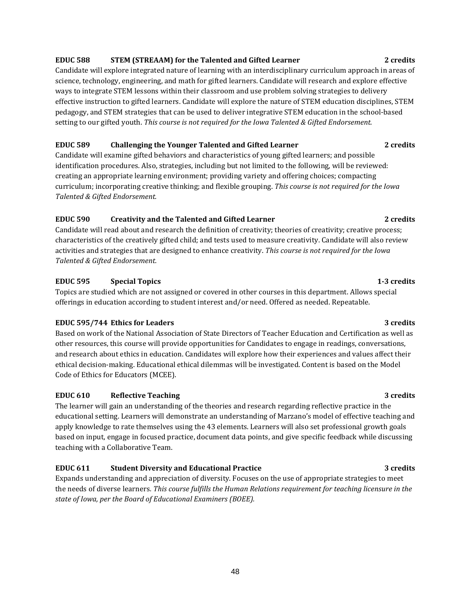## **EDUC 588 STEM (STREAAM) for the Talented and Gifted Learner 2 credits**

Candidate will explore integrated nature of learning with an interdisciplinary curriculum approach in areas of science, technology, engineering, and math for gifted learners. Candidate will research and explore effective ways to integrate STEM lessons within their classroom and use problem solving strategies to delivery effective instruction to gifted learners. Candidate will explore the nature of STEM education disciplines, STEM pedagogy, and STEM strategies that can be used to deliver integrative STEM education in the school-based setting to our gifted youth. *This course is not required for the Iowa Talented & Gifted Endorsement.* 

### **EDUC 589 Challenging the Younger Talented and Gifted Learner 2 credits**

Candidate will examine gifted behaviors and characteristics of young gifted learners; and possible identification procedures. Also, strategies, including but not limited to the following, will be reviewed: creating an appropriate learning environment; providing variety and offering choices; compacting curriculum; incorporating creative thinking; and flexible grouping. *This course is not required for the Iowa Talented & Gifted Endorsement.* 

### **EDUC 590 Creativity and the Talented and Gifted Learner 2 credits**

Candidate will read about and research the definition of creativity; theories of creativity; creative process; characteristics of the creatively gifted child; and tests used to measure creativity. Candidate will also review activities and strategies that are designed to enhance creativity. *This course is not required for the Iowa Talented & Gifted Endorsement.* 

## **EDUC 595 Special Topics 1-3 credits**

Topics are studied which are not assigned or covered in other courses in this department. Allows special offerings in education according to student interest and/or need. Offered as needed. Repeatable.

### **EDUC 595/744 Ethics for Leaders 3 credits** 3 credits

Based on work of the National Association of State Directors of Teacher Education and Certification as well as other resources, this course will provide opportunities for Candidates to engage in readings, conversations, and research about ethics in education. Candidates will explore how their experiences and values affect their ethical decision-making. Educational ethical dilemmas will be investigated. Content is based on the Model Code of Ethics for Educators (MCEE).

## **EDUC 610 Reflective Teaching 3 credits**

The learner will gain an understanding of the theories and research regarding reflective practice in the educational setting. Learners will demonstrate an understanding of Marzano's model of effective teaching and apply knowledge to rate themselves using the 43 elements. Learners will also set professional growth goals based on input, engage in focused practice, document data points, and give specific feedback while discussing teaching with a Collaborative Team.

## **EDUC 611 Student Diversity and Educational Practice 3 credits**

Expands understanding and appreciation of diversity. Focuses on the use of appropriate strategies to meet the needs of diverse learners*. This course fulfills the Human Relations requirement for teaching licensure in the state of Iowa, per the Board of Educational Examiners (BOEE).*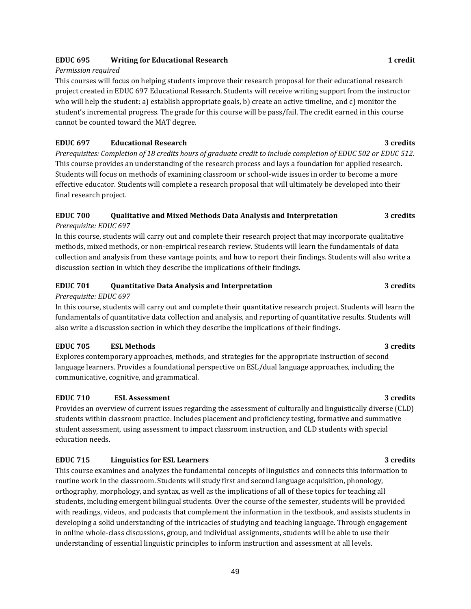### **EDUC 695 Writing for Educational Research 1 credit**

### *Permission required*

This courses will focus on helping students improve their research proposal for their educational research project created in EDUC 697 Educational Research. Students will receive writing support from the instructor who will help the student: a) establish appropriate goals, b) create an active timeline, and c) monitor the student's incremental progress. The grade for this course will be pass/fail. The credit earned in this course cannot be counted toward the MAT degree.

## **EDUC 697 Educational Research 3 credits**

*Prerequisites: Completion of 18 credits hours of graduate credit to include completion of EDUC 502 or EDUC 512.* This course provides an understanding of the research process and lays a foundation for applied research. Students will focus on methods of examining classroom or school-wide issues in order to become a more effective educator. Students will complete a research proposal that will ultimately be developed into their final research project.

### **EDUC 700 Qualitative and Mixed Methods Data Analysis and Interpretation 3 credits** *Prerequisite: EDUC 697*

In this course, students will carry out and complete their research project that may incorporate qualitative methods, mixed methods, or non-empirical research review. Students will learn the fundamentals of data collection and analysis from these vantage points, and how to report their findings. Students will also write a discussion section in which they describe the implications of their findings.

## **EDUC 701 Quantitative Data Analysis and Interpretation 3 credits**

### *Prerequisite: EDUC 697*

In this course, students will carry out and complete their quantitative research project. Students will learn the fundamentals of quantitative data collection and analysis, and reporting of quantitative results. Students will also write a discussion section in which they describe the implications of their findings.

### **EDUC 705 ESL Methods 3 credits**

Explores contemporary approaches, methods, and strategies for the appropriate instruction of second language learners. Provides a foundational perspective on ESL/dual language approaches, including the communicative, cognitive, and grammatical.

### **EDUC 710 ESL Assessment 3 credits**

Provides an overview of current issues regarding the assessment of culturally and linguistically diverse (CLD) students within classroom practice. Includes placement and proficiency testing, formative and summative student assessment, using assessment to impact classroom instruction, and CLD students with special education needs.

### **EDUC 715 Linguistics for ESL Learners 3 credits**

This course examines and analyzes the fundamental concepts of linguistics and connects this information to routine work in the classroom. Students will study first and second language acquisition, phonology, orthography, morphology, and syntax, as well as the implications of all of these topics for teaching all students, including emergent bilingual students. Over the course of the semester, students will be provided with readings, videos, and podcasts that complement the information in the textbook, and assists students in developing a solid understanding of the intricacies of studying and teaching language. Through engagement in online whole-class discussions, group, and individual assignments, students will be able to use their understanding of essential linguistic principles to inform instruction and assessment at all levels.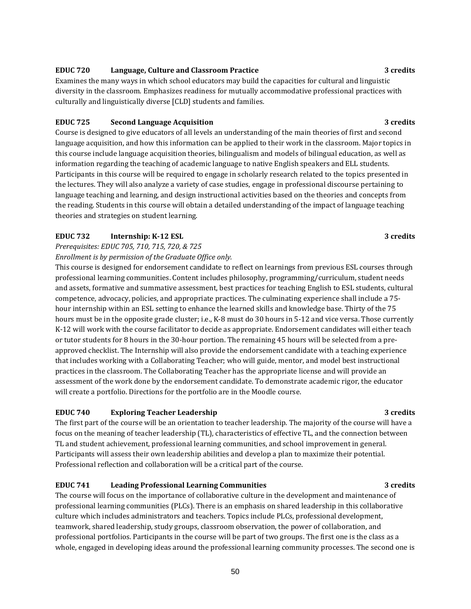### **EDUC 720 Language, Culture and Classroom Practice 3 credits**

Examines the many ways in which school educators may build the capacities for cultural and linguistic diversity in the classroom. Emphasizes readiness for mutually accommodative professional practices with culturally and linguistically diverse [CLD] students and families.

### **EDUC 725 Second Language Acquisition 3 credits**

Course is designed to give educators of all levels an understanding of the main theories of first and second language acquisition, and how this information can be applied to their work in the classroom. Major topics in this course include language acquisition theories, bilingualism and models of bilingual education, as well as information regarding the teaching of academic language to native English speakers and ELL students. Participants in this course will be required to engage in scholarly research related to the topics presented in the lectures. They will also analyze a variety of case studies, engage in professional discourse pertaining to language teaching and learning, and design instructional activities based on the theories and concepts from the reading. Students in this course will obtain a detailed understanding of the impact of language teaching theories and strategies on student learning.

### **EDUC 732 Internship: K-12 ESL 3 credits**

*Prerequisites: EDUC 705, 710, 715, 720, & 725*

*Enrollment is by permission of the Graduate Office only.*

This course is designed for endorsement candidate to reflect on learnings from previous ESL courses through professional learning communities. Content includes philosophy, programming/curriculum, student needs and assets, formative and summative assessment, best practices for teaching English to ESL students, cultural competence, advocacy, policies, and appropriate practices. The culminating experience shall include a 75 hour internship within an ESL setting to enhance the learned skills and knowledge base. Thirty of the 75 hours must be in the opposite grade cluster; i.e., K-8 must do 30 hours in 5-12 and vice versa. Those currently K-12 will work with the course facilitator to decide as appropriate. Endorsement candidates will either teach or tutor students for 8 hours in the 30-hour portion. The remaining 45 hours will be selected from a preapproved checklist. The Internship will also provide the endorsement candidate with a teaching experience that includes working with a Collaborating Teacher; who will guide, mentor, and model best instructional practices in the classroom. The Collaborating Teacher has the appropriate license and will provide an assessment of the work done by the endorsement candidate. To demonstrate academic rigor, the educator will create a portfolio. Directions for the portfolio are in the Moodle course.

### **EDUC 740 Exploring Teacher Leadership 3 credits**

The first part of the course will be an orientation to teacher leadership. The majority of the course will have a focus on the meaning of teacher leadership (TL), characteristics of effective TL, and the connection between TL and student achievement, professional learning communities, and school improvement in general. Participants will assess their own leadership abilities and develop a plan to maximize their potential. Professional reflection and collaboration will be a critical part of the course.

### **EDUC 741 Leading Professional Learning Communities 3 credits**

The course will focus on the importance of collaborative culture in the development and maintenance of professional learning communities (PLCs). There is an emphasis on shared leadership in this collaborative culture which includes administrators and teachers. Topics include PLCs, professional development, teamwork, shared leadership, study groups, classroom observation, the power of collaboration, and professional portfolios. Participants in the course will be part of two groups. The first one is the class as a whole, engaged in developing ideas around the professional learning community processes. The second one is

#### 50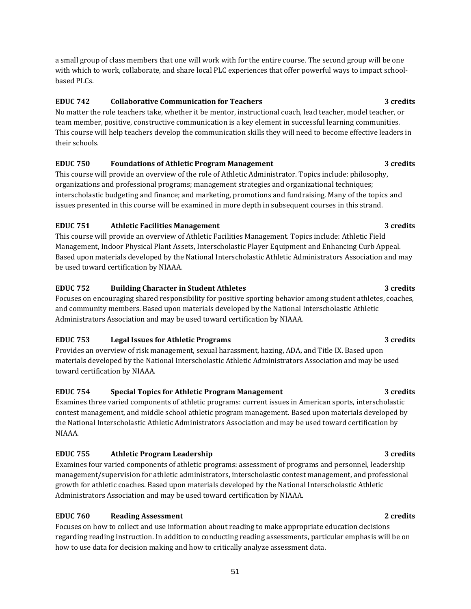based PLCs.

a small group of class members that one will work with for the entire course. The second group will be one with which to work, collaborate, and share local PLC experiences that offer powerful ways to impact school-

## **EDUC 742 Collaborative Communication for Teachers 3 credits**

No matter the role teachers take, whether it be mentor, instructional coach, lead teacher, model teacher, or team member, positive, constructive communication is a key element in successful learning communities. This course will help teachers develop the communication skills they will need to become effective leaders in their schools.

## **EDUC 750 Foundations of Athletic Program Management 3 credits**

This course will provide an overview of the role of Athletic Administrator. Topics include: philosophy, organizations and professional programs; management strategies and organizational techniques; interscholastic budgeting and finance; and marketing, promotions and fundraising. Many of the topics and issues presented in this course will be examined in more depth in subsequent courses in this strand.

## **EDUC 751 Athletic Facilities Management 3 credits**

This course will provide an overview of Athletic Facilities Management. Topics include: Athletic Field Management, Indoor Physical Plant Assets, Interscholastic Player Equipment and Enhancing Curb Appeal. Based upon materials developed by the National Interscholastic Athletic Administrators Association and may be used toward certification by NIAAA.

## **EDUC 752 Building Character in Student Athletes 3 credits**

Focuses on encouraging shared responsibility for positive sporting behavior among student athletes, coaches, and community members. Based upon materials developed by the National Interscholastic Athletic Administrators Association and may be used toward certification by NIAAA.

## **EDUC 753 Legal Issues for Athletic Programs 3 credits**

Provides an overview of risk management, sexual harassment, hazing, ADA, and Title IX. Based upon materials developed by the National Interscholastic Athletic Administrators Association and may be used toward certification by NIAAA.

## **EDUC 754 Special Topics for Athletic Program Management 3 credits**

Examines three varied components of athletic programs: current issues in American sports, interscholastic contest management, and middle school athletic program management. Based upon materials developed by the National Interscholastic Athletic Administrators Association and may be used toward certification by NIAAA.

## **EDUC 755 Athletic Program Leadership 3 credits**

Examines four varied components of athletic programs: assessment of programs and personnel, leadership management/supervision for athletic administrators, interscholastic contest management, and professional growth for athletic coaches. Based upon materials developed by the National Interscholastic Athletic Administrators Association and may be used toward certification by NIAAA.

## **EDUC 760 Reading Assessment 2 credits**

Focuses on how to collect and use information about reading to make appropriate education decisions regarding reading instruction. In addition to conducting reading assessments, particular emphasis will be on how to use data for decision making and how to critically analyze assessment data.

## 51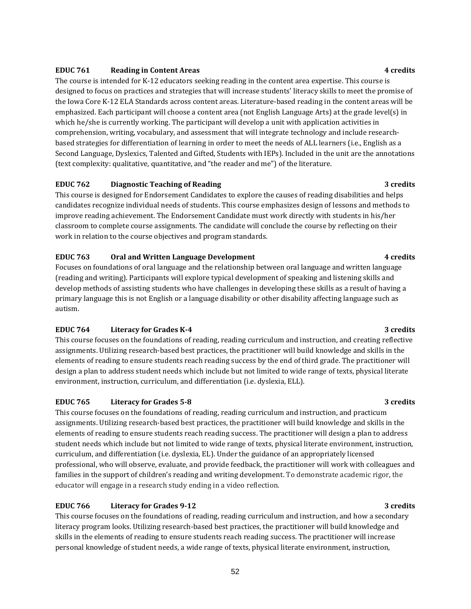### **EDUC 761 Reading in Content Areas 4 credits**

The course is intended for K-12 educators seeking reading in the content area expertise. This course is designed to focus on practices and strategies that will increase students' literacy skills to meet the promise of the Iowa Core K-12 ELA Standards across content areas. Literature-based reading in the content areas will be emphasized. Each participant will choose a content area (not English Language Arts) at the grade level(s) in which he/she is currently working. The participant will develop a unit with application activities in comprehension, writing, vocabulary, and assessment that will integrate technology and include researchbased strategies for differentiation of learning in order to meet the needs of ALL learners (i.e., English as a Second Language, Dyslexics, Talented and Gifted, Students with IEPs). Included in the unit are the annotations (text complexity: qualitative, quantitative, and "the reader and me") of the literature.

### **EDUC 762 Diagnostic Teaching of Reading 3 credits**

This course is designed for Endorsement Candidates to explore the causes of reading disabilities and helps candidates recognize individual needs of students. This course emphasizes design of lessons and methods to improve reading achievement. The Endorsement Candidate must work directly with students in his/her classroom to complete course assignments. The candidate will conclude the course by reflecting on their work in relation to the course objectives and program standards.

### **EDUC 763 Oral and Written Language Development 4 credits**

Focuses on foundations of oral language and the relationship between oral language and written language (reading and writing). Participants will explore typical development of speaking and listening skills and develop methods of assisting students who have challenges in developing these skills as a result of having a primary language this is not English or a language disability or other disability affecting language such as autism.

### **EDUC 764 Literacy for Grades K-4 3 credits**

This course focuses on the foundations of reading, reading curriculum and instruction, and creating reflective assignments. Utilizing research-based best practices, the practitioner will build knowledge and skills in the elements of reading to ensure students reach reading success by the end of third grade. The practitioner will design a plan to address student needs which include but not limited to wide range of texts, physical literate environment, instruction, curriculum, and differentiation (i.e. dyslexia, ELL).

### **EDUC 765 Literacy for Grades 5-8 3 credits**

This course focuses on the foundations of reading, reading curriculum and instruction, and practicum assignments. Utilizing research-based best practices, the practitioner will build knowledge and skills in the elements of reading to ensure students reach reading success. The practitioner will design a plan to address student needs which include but not limited to wide range of texts, physical literate environment, instruction, curriculum, and differentiation (i.e. dyslexia, EL). Under the guidance of an appropriately licensed professional, who will observe, evaluate, and provide feedback, the practitioner will work with colleagues and families in the support of children's reading and writing development. To demonstrate academic rigor, the educator will engage in a research study ending in a video reflection.

### **EDUC 766 Literacy for Grades 9-12 3 credits**

This course focuses on the foundations of reading, reading curriculum and instruction, and how a secondary literacy program looks. Utilizing research-based best practices, the practitioner will build knowledge and skills in the elements of reading to ensure students reach reading success. The practitioner will increase personal knowledge of student needs, a wide range of texts, physical literate environment, instruction,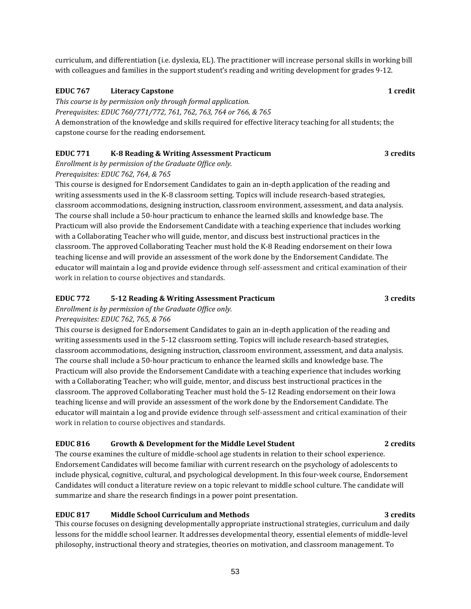curriculum, and differentiation (i.e. dyslexia, EL). The practitioner will increase personal skills in working bill with colleagues and families in the support student's reading and writing development for grades 9-12.

#### **EDUC 767 Literacy Capstone 1 credit**

*This course is by permission only through formal application.*

*Prerequisites: EDUC 760/771/772, 761, 762, 763, 764 or 766, & 765*

A demonstration of the knowledge and skills required for effective literacy teaching for all students; the capstone course for the reading endorsement.

### **EDUC 771 K-8 Reading & Writing Assessment Practicum 3 credits**

*Enrollment is by permission of the Graduate Office only. Prerequisites: EDUC 762, 764, & 765*

This course is designed for Endorsement Candidates to gain an in-depth application of the reading and writing assessments used in the K-8 classroom setting. Topics will include research-based strategies, classroom accommodations, designing instruction, classroom environment, assessment, and data analysis. The course shall include a 50-hour practicum to enhance the learned skills and knowledge base. The Practicum will also provide the Endorsement Candidate with a teaching experience that includes working with a Collaborating Teacher who will guide, mentor, and discuss best instructional practices in the classroom. The approved Collaborating Teacher must hold the K-8 Reading endorsement on their Iowa teaching license and will provide an assessment of the work done by the Endorsement Candidate. The educator will maintain a log and provide evidence through self-assessment and critical examination of their work in relation to course objectives and standards.

### **EDUC 772 5-12 Reading & Writing Assessment Practicum 3 credits**

*Enrollment is by permission of the Graduate Office only.*

### *Prerequisites: EDUC 762, 765, & 766*

This course is designed for Endorsement Candidates to gain an in-depth application of the reading and writing assessments used in the 5-12 classroom setting. Topics will include research-based strategies, classroom accommodations, designing instruction, classroom environment, assessment, and data analysis. The course shall include a 50-hour practicum to enhance the learned skills and knowledge base. The Practicum will also provide the Endorsement Candidate with a teaching experience that includes working with a Collaborating Teacher; who will guide, mentor, and discuss best instructional practices in the classroom. The approved Collaborating Teacher must hold the 5-12 Reading endorsement on their Iowa teaching license and will provide an assessment of the work done by the Endorsement Candidate. The educator will maintain a log and provide evidence through self-assessment and critical examination of their work in relation to course objectives and standards.

### **EDUC 816 Growth & Development for the Middle Level Student 2 credits**

The course examines the culture of middle-school age students in relation to their school experience. Endorsement Candidates will become familiar with current research on the psychology of adolescents to include physical, cognitive, cultural, and psychological development. In this four-week course, Endorsement Candidates will conduct a literature review on a topic relevant to middle school culture. The candidate will summarize and share the research findings in a power point presentation.

### **EDUC 817 Middle School Curriculum and Methods 3 credits**

This course focuses on designing developmentally appropriate instructional strategies, curriculum and daily lessons for the middle school learner. It addresses developmental theory, essential elements of middle-level philosophy, instructional theory and strategies, theories on motivation, and classroom management. To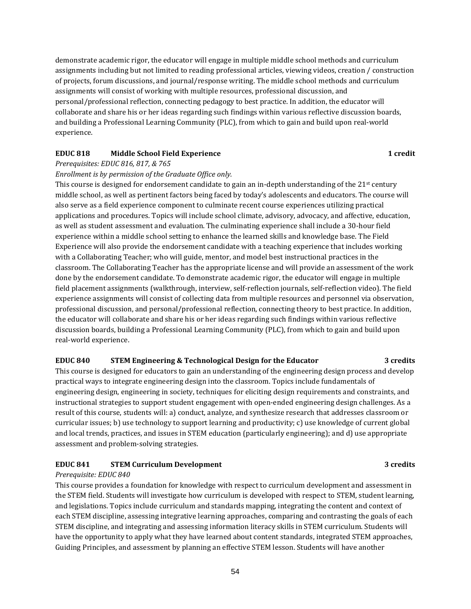demonstrate academic rigor, the educator will engage in multiple middle school methods and curriculum assignments including but not limited to reading professional articles, viewing videos, creation / construction of projects, forum discussions, and journal/response writing. The middle school methods and curriculum assignments will consist of working with multiple resources, professional discussion, and personal/professional reflection, connecting pedagogy to best practice. In addition, the educator will collaborate and share his or her ideas regarding such findings within various reflective discussion boards, and building a Professional Learning Community (PLC), from which to gain and build upon real-world experience.

### **EDUC 818 Middle School Field Experience 1 credit**

#### *Prerequisites: EDUC 816, 817, & 765*

#### *Enrollment is by permission of the Graduate Office only.*

This course is designed for endorsement candidate to gain an in-depth understanding of the  $21<sup>st</sup>$  century middle school, as well as pertinent factors being faced by today's adolescents and educators. The course will also serve as a field experience component to culminate recent course experiences utilizing practical applications and procedures. Topics will include school climate, advisory, advocacy, and affective, education, as well as student assessment and evaluation. The culminating experience shall include a 30-hour field experience within a middle school setting to enhance the learned skills and knowledge base. The Field Experience will also provide the endorsement candidate with a teaching experience that includes working with a Collaborating Teacher; who will guide, mentor, and model best instructional practices in the classroom. The Collaborating Teacher has the appropriate license and will provide an assessment of the work done by the endorsement candidate. To demonstrate academic rigor, the educator will engage in multiple field placement assignments (walkthrough, interview, self-reflection journals, self-reflection video). The field experience assignments will consist of collecting data from multiple resources and personnel via observation, professional discussion, and personal/professional reflection, connecting theory to best practice. In addition, the educator will collaborate and share his or her ideas regarding such findings within various reflective discussion boards, building a Professional Learning Community (PLC), from which to gain and build upon real-world experience.

#### **EDUC 840 STEM Engineering & Technological Design for the Educator 3 credits**

This course is designed for educators to gain an understanding of the engineering design process and develop practical ways to integrate engineering design into the classroom. Topics include fundamentals of engineering design, engineering in society, techniques for eliciting design requirements and constraints, and instructional strategies to support student engagement with open-ended engineering design challenges. As a result of this course, students will: a) conduct, analyze, and synthesize research that addresses classroom or curricular issues; b) use technology to support learning and productivity; c) use knowledge of current global and local trends, practices, and issues in STEM education (particularly engineering); and d) use appropriate assessment and problem-solving strategies.

### **EDUC 841 STEM Curriculum Development 3 credits**

#### *Prerequisite: EDUC 840*

This course provides a foundation for knowledge with respect to curriculum development and assessment in the STEM field. Students will investigate how curriculum is developed with respect to STEM, student learning, and legislations. Topics include curriculum and standards mapping, integrating the content and context of each STEM discipline, assessing integrative learning approaches, comparing and contrasting the goals of each STEM discipline, and integrating and assessing information literacy skills in STEM curriculum. Students will have the opportunity to apply what they have learned about content standards, integrated STEM approaches, Guiding Principles, and assessment by planning an effective STEM lesson. Students will have another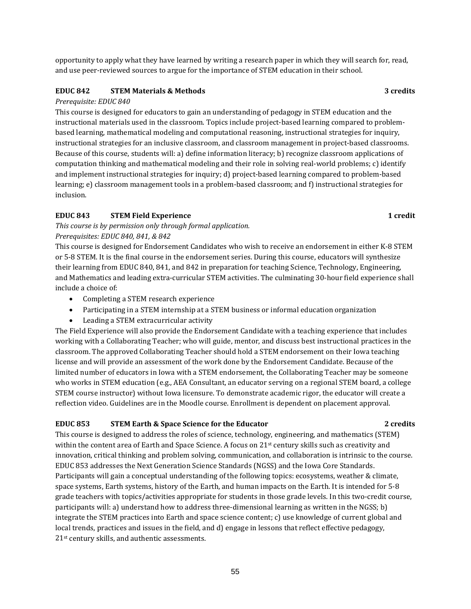opportunity to apply what they have learned by writing a research paper in which they will search for, read, and use peer-reviewed sources to argue for the importance of STEM education in their school.

### **EDUC 842 STEM Materials & Methods 3 credits**

### *Prerequisite: EDUC 840*

This course is designed for educators to gain an understanding of pedagogy in STEM education and the instructional materials used in the classroom. Topics include project-based learning compared to problembased learning, mathematical modeling and computational reasoning, instructional strategies for inquiry, instructional strategies for an inclusive classroom, and classroom management in project-based classrooms. Because of this course, students will: a) define information literacy; b) recognize classroom applications of computation thinking and mathematical modeling and their role in solving real-world problems; c) identify and implement instructional strategies for inquiry; d) project-based learning compared to problem-based learning; e) classroom management tools in a problem-based classroom; and f) instructional strategies for inclusion.

### **EDUC 843 STEM Field Experience 1 credit**

*This course is by permission only through formal application. Prerequisites: EDUC 840, 841, & 842*

This course is designed for Endorsement Candidates who wish to receive an endorsement in either K-8 STEM or 5-8 STEM. It is the final course in the endorsement series. During this course, educators will synthesize their learning from EDUC 840, 841, and 842 in preparation for teaching Science, Technology, Engineering, and Mathematics and leading extra-curricular STEM activities. The culminating 30-hour field experience shall include a choice of:

- Completing a STEM research experience
- Participating in a STEM internship at a STEM business or informal education organization
- Leading a STEM extracurricular activity

The Field Experience will also provide the Endorsement Candidate with a teaching experience that includes working with a Collaborating Teacher; who will guide, mentor, and discuss best instructional practices in the classroom. The approved Collaborating Teacher should hold a STEM endorsement on their Iowa teaching license and will provide an assessment of the work done by the Endorsement Candidate. Because of the limited number of educators in Iowa with a STEM endorsement, the Collaborating Teacher may be someone who works in STEM education (e.g., AEA Consultant, an educator serving on a regional STEM board, a college STEM course instructor) without Iowa licensure. To demonstrate academic rigor, the educator will create a reflection video. Guidelines are in the Moodle course. Enrollment is dependent on placement approval.

### **EDUC 853 STEM Earth & Space Science for the Educator 2 credits**

This course is designed to address the roles of science, technology, engineering, and mathematics (STEM) within the content area of Earth and Space Science. A focus on 21<sup>st</sup> century skills such as creativity and innovation, critical thinking and problem solving, communication, and collaboration is intrinsic to the course. EDUC 853 addresses the Next Generation Science Standards (NGSS) and the Iowa Core Standards. Participants will gain a conceptual understanding of the following topics: ecosystems, weather & climate, space systems, Earth systems, history of the Earth, and human impacts on the Earth. It is intended for 5-8 grade teachers with topics/activities appropriate for students in those grade levels. In this two-credit course, participants will: a) understand how to address three-dimensional learning as written in the NGSS; b) integrate the STEM practices into Earth and space science content; c) use knowledge of current global and local trends, practices and issues in the field, and d) engage in lessons that reflect effective pedagogy, 21st century skills, and authentic assessments.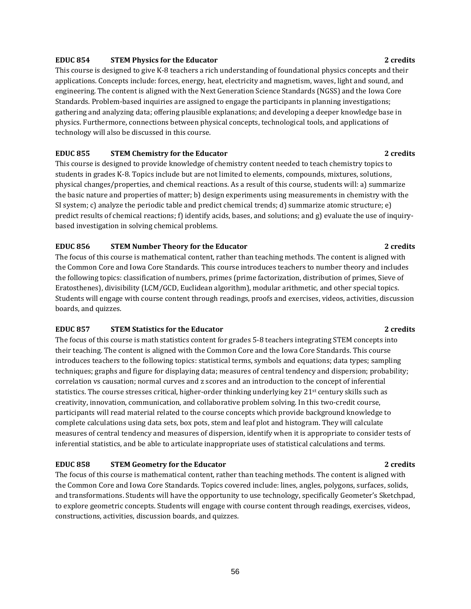### **EDUC 854 STEM Physics for the Educator 2 credits**

This course is designed to give K-8 teachers a rich understanding of foundational physics concepts and their applications. Concepts include: forces, energy, heat, electricity and magnetism, waves, light and sound, and engineering. The content is aligned with the Next Generation Science Standards (NGSS) and the Iowa Core Standards. Problem-based inquiries are assigned to engage the participants in planning investigations; gathering and analyzing data; offering plausible explanations; and developing a deeper knowledge base in physics. Furthermore, connections between physical concepts, technological tools, and applications of technology will also be discussed in this course.

### **EDUC 855 STEM Chemistry for the Educator 2 credits**

This course is designed to provide knowledge of chemistry content needed to teach chemistry topics to students in grades K-8. Topics include but are not limited to elements, compounds, mixtures, solutions, physical changes/properties, and chemical reactions. As a result of this course, students will: a) summarize the basic nature and properties of matter; b) design experiments using measurements in chemistry with the SI system; c) analyze the periodic table and predict chemical trends; d) summarize atomic structure; e) predict results of chemical reactions; f) identify acids, bases, and solutions; and g) evaluate the use of inquirybased investigation in solving chemical problems.

### **EDUC 856 STEM Number Theory for the Educator 2 credits**

The focus of this course is mathematical content, rather than teaching methods. The content is aligned with the Common Core and Iowa Core Standards. This course introduces teachers to number theory and includes the following topics: classification of numbers, primes (prime factorization, distribution of primes, Sieve of Eratosthenes), divisibility (LCM/GCD, Euclidean algorithm), modular arithmetic, and other special topics. Students will engage with course content through readings, proofs and exercises, videos, activities, discussion boards, and quizzes.

### **EDUC 857 STEM Statistics for the Educator 2 credits**

The focus of this course is math statistics content for grades 5-8 teachers integrating STEM concepts into their teaching. The content is aligned with the Common Core and the Iowa Core Standards. This course introduces teachers to the following topics: statistical terms, symbols and equations; data types; sampling techniques; graphs and figure for displaying data; measures of central tendency and dispersion; probability; correlation vs causation; normal curves and z scores and an introduction to the concept of inferential statistics. The course stresses critical, higher-order thinking underlying key 21<sup>st</sup> century skills such as creativity, innovation, communication, and collaborative problem solving. In this two-credit course, participants will read material related to the course concepts which provide background knowledge to complete calculations using data sets, box pots, stem and leaf plot and histogram. They will calculate measures of central tendency and measures of dispersion, identify when it is appropriate to consider tests of inferential statistics, and be able to articulate inappropriate uses of statistical calculations and terms.

### **EDUC 858 STEM Geometry for the Educator 2 credits**

The focus of this course is mathematical content, rather than teaching methods. The content is aligned with the Common Core and Iowa Core Standards. Topics covered include: lines, angles, polygons, surfaces, solids, and transformations. Students will have the opportunity to use technology, specifically Geometer's Sketchpad, to explore geometric concepts. Students will engage with course content through readings, exercises, videos, constructions, activities, discussion boards, and quizzes.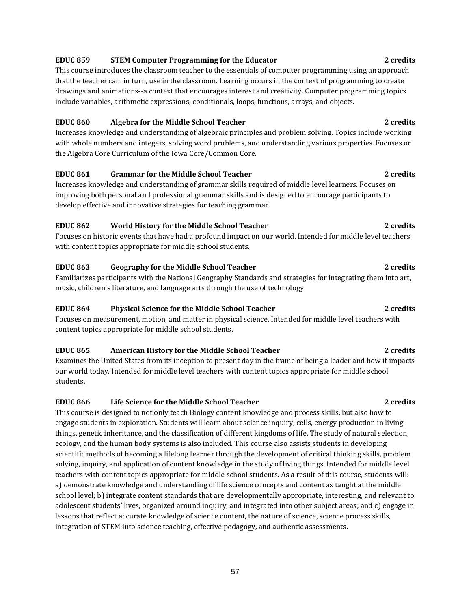## **EDUC 859 STEM Computer Programming for the Educator 2 credits**

This course introduces the classroom teacher to the essentials of computer programming using an approach that the teacher can, in turn, use in the classroom. Learning occurs in the context of programming to create drawings and animations--a context that encourages interest and creativity. Computer programming topics include variables, arithmetic expressions, conditionals, loops, functions, arrays, and objects.

### **EDUC 860 Algebra for the Middle School Teacher 2 credits**

Increases knowledge and understanding of algebraic principles and problem solving. Topics include working with whole numbers and integers, solving word problems, and understanding various properties. Focuses on the Algebra Core Curriculum of the Iowa Core/Common Core.

## **EDUC 861 Grammar for the Middle School Teacher 2 credits**

Increases knowledge and understanding of grammar skills required of middle level learners. Focuses on improving both personal and professional grammar skills and is designed to encourage participants to develop effective and innovative strategies for teaching grammar.

## **EDUC 862 World History for the Middle School Teacher 2 credits**

Focuses on historic events that have had a profound impact on our world. Intended for middle level teachers with content topics appropriate for middle school students.

## **EDUC 863 Geography for the Middle School Teacher 2 credits**

Familiarizes participants with the National Geography Standards and strategies for integrating them into art, music, children's literature, and language arts through the use of technology.

## **EDUC 864 Physical Science for the Middle School Teacher 2 credits**

Focuses on measurement, motion, and matter in physical science. Intended for middle level teachers with content topics appropriate for middle school students.

## **EDUC 865 American History for the Middle School Teacher 2 credits**

Examines the United States from its inception to present day in the frame of being a leader and how it impacts our world today. Intended for middle level teachers with content topics appropriate for middle school students.

## **EDUC 866 Life Science for the Middle School Teacher 2 credits**

This course is designed to not only teach Biology content knowledge and process skills, but also how to engage students in exploration. Students will learn about science inquiry, cells, energy production in living things, genetic inheritance, and the classification of different kingdoms of life. The study of natural selection, ecology, and the human body systems is also included. This course also assists students in developing scientific methods of becoming a lifelong learner through the development of critical thinking skills, problem solving, inquiry, and application of content knowledge in the study of living things. Intended for middle level teachers with content topics appropriate for middle school students. As a result of this course, students will: a) demonstrate knowledge and understanding of life science concepts and content as taught at the middle school level; b) integrate content standards that are developmentally appropriate, interesting, and relevant to adolescent students' lives, organized around inquiry, and integrated into other subject areas; and c) engage in lessons that reflect accurate knowledge of science content, the nature of science, science process skills, integration of STEM into science teaching, effective pedagogy, and authentic assessments.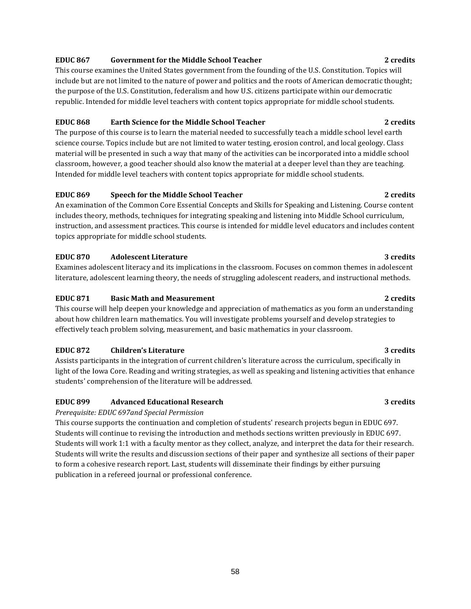### **EDUC 867 Government for the Middle School Teacher 2 credits**

This course examines the United States government from the founding of the U.S. Constitution. Topics will include but are not limited to the nature of power and politics and the roots of American democratic thought; the purpose of the U.S. Constitution, federalism and how U.S. citizens participate within our democratic republic. Intended for middle level teachers with content topics appropriate for middle school students.

## **EDUC 868 Earth Science for the Middle School Teacher 2 credits**

The purpose of this course is to learn the material needed to successfully teach a middle school level earth science course. Topics include but are not limited to water testing, erosion control, and local geology. Class material will be presented in such a way that many of the activities can be incorporated into a middle school classroom, however, a good teacher should also know the material at a deeper level than they are teaching. Intended for middle level teachers with content topics appropriate for middle school students.

## **EDUC 869 Speech for the Middle School Teacher 2 credits**

An examination of the Common Core Essential Concepts and Skills for Speaking and Listening. Course content includes theory, methods, techniques for integrating speaking and listening into Middle School curriculum, instruction, and assessment practices. This course is intended for middle level educators and includes content topics appropriate for middle school students.

## **EDUC 870 Adolescent Literature 3 credits**

Examines adolescent literacy and its implications in the classroom. Focuses on common themes in adolescent literature, adolescent learning theory, the needs of struggling adolescent readers, and instructional methods.

## **EDUC 871 Basic Math and Measurement 2 credits**

This course will help deepen your knowledge and appreciation of mathematics as you form an understanding about how children learn mathematics. You will investigate problems yourself and develop strategies to effectively teach problem solving, measurement, and basic mathematics in your classroom.

## **EDUC 872 Children's Literature 3 credits**

Assists participants in the integration of current children's literature across the curriculum, specifically in light of the Iowa Core. Reading and writing strategies, as well as speaking and listening activities that enhance students' comprehension of the literature will be addressed.

## **EDUC 899 Advanced Educational Research 3 credits**

*Prerequisite: EDUC 697and Special Permission*

This course supports the continuation and completion of students' research projects begun in EDUC 697. Students will continue to revising the introduction and methods sections written previously in EDUC 697. Students will work 1:1 with a faculty mentor as they collect, analyze, and interpret the data for their research. Students will write the results and discussion sections of their paper and synthesize all sections of their paper to form a cohesive research report. Last, students will disseminate their findings by either pursuing publication in a refereed journal or professional conference.

58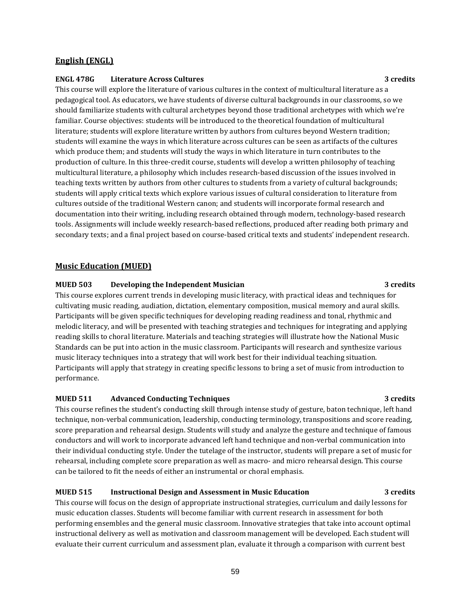### **English (ENGL)**

### **ENGL 478G Literature Across Cultures 3 credits**

This course will explore the literature of various cultures in the context of multicultural literature as a pedagogical tool. As educators, we have students of diverse cultural backgrounds in our classrooms, so we should familiarize students with cultural archetypes beyond those traditional archetypes with which we're familiar. Course objectives: students will be introduced to the theoretical foundation of multicultural literature; students will explore literature written by authors from cultures beyond Western tradition; students will examine the ways in which literature across cultures can be seen as artifacts of the cultures which produce them; and students will study the ways in which literature in turn contributes to the production of culture. In this three-credit course, students will develop a written philosophy of teaching multicultural literature, a philosophy which includes research-based discussion of the issues involved in teaching texts written by authors from other cultures to students from a variety of cultural backgrounds; students will apply critical texts which explore various issues of cultural consideration to literature from cultures outside of the traditional Western canon; and students will incorporate formal research and documentation into their writing, including research obtained through modern, technology-based research tools. Assignments will include weekly research-based reflections, produced after reading both primary and secondary texts; and a final project based on course-based critical texts and students' independent research.

## **Music Education (MUED)**

### **MUED 503 Developing the Independent Musician 3 credits**

This course explores current trends in developing music literacy, with practical ideas and techniques for cultivating music reading, audiation, dictation, elementary composition, musical memory and aural skills. Participants will be given specific techniques for developing reading readiness and tonal, rhythmic and melodic literacy, and will be presented with teaching strategies and techniques for integrating and applying reading skills to choral literature. Materials and teaching strategies will illustrate how the National Music Standards can be put into action in the music classroom. Participants will research and synthesize various music literacy techniques into a strategy that will work best for their individual teaching situation. Participants will apply that strategy in creating specific lessons to bring a set of music from introduction to performance.

## **MUED 511 Advanced Conducting Techniques 3 credits**

This course refines the student's conducting skill through intense study of gesture, baton technique, left hand technique, non-verbal communication, leadership, conducting terminology, transpositions and score reading, score preparation and rehearsal design. Students will study and analyze the gesture and technique of famous conductors and will work to incorporate advanced left hand technique and non-verbal communication into their individual conducting style. Under the tutelage of the instructor, students will prepare a set of music for rehearsal, including complete score preparation as well as macro- and micro rehearsal design. This course can be tailored to fit the needs of either an instrumental or choral emphasis.

### **MUED 515 Instructional Design and Assessment in Music Education 3 credits**

This course will focus on the design of appropriate instructional strategies, curriculum and daily lessons for music education classes. Students will become familiar with current research in assessment for both performing ensembles and the general music classroom. Innovative strategies that take into account optimal instructional delivery as well as motivation and classroom management will be developed. Each student will evaluate their current curriculum and assessment plan, evaluate it through a comparison with current best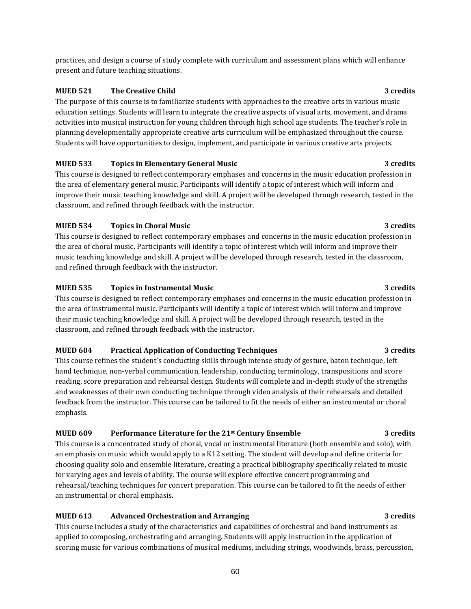practices, and design a course of study complete with curriculum and assessment plans which will enhance present and future teaching situations.

## **MUED 521 The Creative Child 3 credits**

The purpose of this course is to familiarize students with approaches to the creative arts in various music education settings. Students will learn to integrate the creative aspects of visual arts, movement, and drama activities into musical instruction for young children through high school age students. The teacher's role in planning developmentally appropriate creative arts curriculum will be emphasized throughout the course. Students will have opportunities to design, implement, and participate in various creative arts projects.

## **MUED 533 Topics in Elementary General Music 3 credits**

This course is designed to reflect contemporary emphases and concerns in the music education profession in the area of elementary general music. Participants will identify a topic of interest which will inform and improve their music teaching knowledge and skill. A project will be developed through research, tested in the classroom, and refined through feedback with the instructor.

## **MUED 534 Topics in Choral Music 3 credits**

This course is designed to reflect contemporary emphases and concerns in the music education profession in the area of choral music. Participants will identify a topic of interest which will inform and improve their music teaching knowledge and skill. A project will be developed through research, tested in the classroom, and refined through feedback with the instructor.

## **MUED 535 Topics in Instrumental Music 3 credits**

This course is designed to reflect contemporary emphases and concerns in the music education profession in the area of instrumental music. Participants will identify a topic of interest which will inform and improve their music teaching knowledge and skill. A project will be developed through research, tested in the classroom, and refined through feedback with the instructor.

### **MUED 604 Practical Application of Conducting Techniques 3 credits**

This course refines the student's conducting skills through intense study of gesture, baton technique, left hand technique, non-verbal communication, leadership, conducting terminology, transpositions and score reading, score preparation and rehearsal design. Students will complete and in-depth study of the strengths and weaknesses of their own conducting technique through video analysis of their rehearsals and detailed feedback from the instructor. This course can be tailored to fit the needs of either an instrumental or choral emphasis.

## **MUED 609 Performance Literature for the 21st Century Ensemble 3 credits**

This course is a concentrated study of choral, vocal or instrumental literature (both ensemble and solo), with an emphasis on music which would apply to a K12 setting. The student will develop and define criteria for choosing quality solo and ensemble literature, creating a practical bibliography specifically related to music for varying ages and levels of ability. The course will explore effective concert programming and rehearsal/teaching techniques for concert preparation. This course can be tailored to fit the needs of either an instrumental or choral emphasis.

## **MUED 613 Advanced Orchestration and Arranging 3 credits**

This course includes a study of the characteristics and capabilities of orchestral and band instruments as applied to composing, orchestrating and arranging. Students will apply instruction in the application of scoring music for various combinations of musical mediums, including strings, woodwinds, brass, percussion,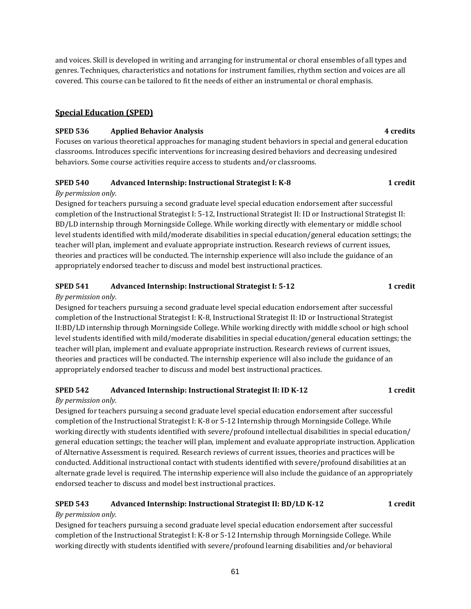and voices. Skill is developed in writing and arranging for instrumental or choral ensembles of all types and genres. Techniques, characteristics and notations for instrument families, rhythm section and voices are all covered. This course can be tailored to fit the needs of either an instrumental or choral emphasis.

## **Special Education (SPED)**

## **SPED 536 Applied Behavior Analysis 4 credits**

Focuses on various theoretical approaches for managing student behaviors in special and general education classrooms. Introduces specific interventions for increasing desired behaviors and decreasing undesired behaviors. Some course activities require access to students and/or classrooms.

## **SPED 540 Advanced Internship: Instructional Strategist I: K-8 1 credit**

## *By permission only.*

Designed for teachers pursuing a second graduate level special education endorsement after successful completion of the Instructional Strategist I: 5-12, Instructional Strategist II: ID or Instructional Strategist II: BD/LD internship through Morningside College. While working directly with elementary or middle school level students identified with mild/moderate disabilities in special education/general education settings; the teacher will plan, implement and evaluate appropriate instruction. Research reviews of current issues, theories and practices will be conducted. The internship experience will also include the guidance of an appropriately endorsed teacher to discuss and model best instructional practices.

## **SPED 541 Advanced Internship: Instructional Strategist I: 5-12 1 credit**

## *By permission only.*

Designed for teachers pursuing a second graduate level special education endorsement after successful completion of the Instructional Strategist I: K-8, Instructional Strategist II: ID or Instructional Strategist II:BD/LD internship through Morningside College. While working directly with middle school or high school level students identified with mild/moderate disabilities in special education/general education settings; the teacher will plan, implement and evaluate appropriate instruction. Research reviews of current issues, theories and practices will be conducted. The internship experience will also include the guidance of an appropriately endorsed teacher to discuss and model best instructional practices.

## **SPED 542 Advanced Internship: Instructional Strategist II: ID K-12 1 credit**

## *By permission only.*

Designed for teachers pursuing a second graduate level special education endorsement after successful completion of the Instructional Strategist I: K-8 or 5-12 Internship through Morningside College. While working directly with students identified with severe/profound intellectual disabilities in special education/ general education settings; the teacher will plan, implement and evaluate appropriate instruction. Application of Alternative Assessment is required. Research reviews of current issues, theories and practices will be conducted. Additional instructional contact with students identified with severe/profound disabilities at an alternate grade level is required. The internship experience will also include the guidance of an appropriately endorsed teacher to discuss and model best instructional practices.

## **SPED 543 Advanced Internship: Instructional Strategist II: BD/LD K-12 1 credit**

## *By permission only.*

Designed for teachers pursuing a second graduate level special education endorsement after successful completion of the Instructional Strategist I: K-8 or 5-12 Internship through Morningside College. While working directly with students identified with severe/profound learning disabilities and/or behavioral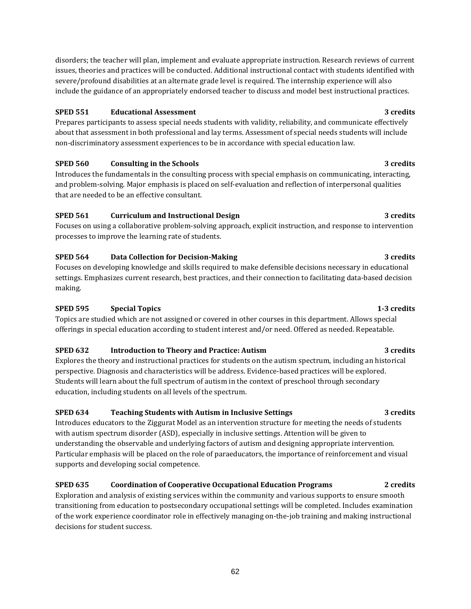disorders; the teacher will plan, implement and evaluate appropriate instruction. Research reviews of current issues, theories and practices will be conducted. Additional instructional contact with students identified with severe/profound disabilities at an alternate grade level is required. The internship experience will also include the guidance of an appropriately endorsed teacher to discuss and model best instructional practices.

## **SPED 551 Educational Assessment 3 credits**

Prepares participants to assess special needs students with validity, reliability, and communicate effectively about that assessment in both professional and lay terms. Assessment of special needs students will include non-discriminatory assessment experiences to be in accordance with special education law.

## **SPED 560 Consulting in the Schools 3** credits **3** credits

Introduces the fundamentals in the consulting process with special emphasis on communicating, interacting, and problem-solving. Major emphasis is placed on self-evaluation and reflection of interpersonal qualities that are needed to be an effective consultant.

## **SPED 561 Curriculum and Instructional Design 3 credits**

Focuses on using a collaborative problem-solving approach, explicit instruction, and response to intervention processes to improve the learning rate of students.

## **SPED 564 Data Collection for Decision-Making 3 credits**

Focuses on developing knowledge and skills required to make defensible decisions necessary in educational settings. Emphasizes current research, best practices, and their connection to facilitating data-based decision making.

## **SPED 595 Special Topics 1-3 credits**

Topics are studied which are not assigned or covered in other courses in this department. Allows special offerings in special education according to student interest and/or need. Offered as needed. Repeatable.

## **SPED 632 Introduction to Theory and Practice: Autism 3 credits**

Explores the theory and instructional practices for students on the autism spectrum, including an historical perspective. Diagnosis and characteristics will be address. Evidence-based practices will be explored. Students will learn about the full spectrum of autism in the context of preschool through secondary education, including students on all levels of the spectrum.

## **SPED 634 Teaching Students with Autism in Inclusive Settings 3 credits**

Introduces educators to the Ziggurat Model as an intervention structure for meeting the needs of students with autism spectrum disorder (ASD), especially in inclusive settings. Attention will be given to understanding the observable and underlying factors of autism and designing appropriate intervention. Particular emphasis will be placed on the role of paraeducators, the importance of reinforcement and visual supports and developing social competence.

## **SPED 635 Coordination of Cooperative Occupational Education Programs 2 credits**

Exploration and analysis of existing services within the community and various supports to ensure smooth transitioning from education to postsecondary occupational settings will be completed. Includes examination of the work experience coordinator role in effectively managing on-the-job training and making instructional decisions for student success.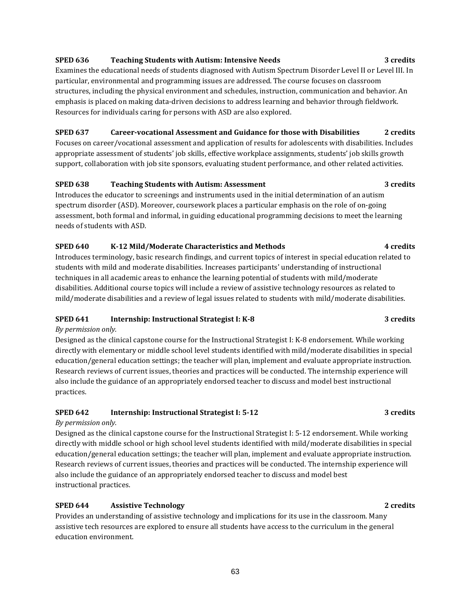## **SPED 636 Teaching Students with Autism: Intensive Needs 3 credits**

Examines the educational needs of students diagnosed with Autism Spectrum Disorder Level II or Level III. In particular, environmental and programming issues are addressed. The course focuses on classroom structures, including the physical environment and schedules, instruction, communication and behavior. An emphasis is placed on making data-driven decisions to address learning and behavior through fieldwork. Resources for individuals caring for persons with ASD are also explored.

## **SPED 637 Career-vocational Assessment and Guidance for those with Disabilities 2 credits**

Focuses on career/vocational assessment and application of results for adolescents with disabilities. Includes appropriate assessment of students' job skills, effective workplace assignments, students' job skills growth support, collaboration with job site sponsors, evaluating student performance, and other related activities.

## **SPED 638 Teaching Students with Autism: Assessment 3 credits**

Introduces the educator to screenings and instruments used in the initial determination of an autism spectrum disorder (ASD). Moreover, coursework places a particular emphasis on the role of on-going assessment, both formal and informal, in guiding educational programming decisions to meet the learning needs of students with ASD.

## **SPED 640 K-12 Mild/Moderate Characteristics and Methods 4 credits**

Introduces terminology, basic research findings, and current topics of interest in special education related to students with mild and moderate disabilities. Increases participants' understanding of instructional techniques in all academic areas to enhance the learning potential of students with mild/moderate disabilities. Additional course topics will include a review of assistive technology resources as related to mild/moderate disabilities and a review of legal issues related to students with mild/moderate disabilities.

## **SPED 641 Internship: Instructional Strategist I: K-8 3 credits**

## *By permission only.*

Designed as the clinical capstone course for the Instructional Strategist I: K-8 endorsement. While working directly with elementary or middle school level students identified with mild/moderate disabilities in special education/general education settings; the teacher will plan, implement and evaluate appropriate instruction. Research reviews of current issues, theories and practices will be conducted. The internship experience will also include the guidance of an appropriately endorsed teacher to discuss and model best instructional practices.

## **SPED 642 Internship: Instructional Strategist I: 5-12 3 credits**

### *By permission only.*

Designed as the clinical capstone course for the Instructional Strategist I: 5-12 endorsement. While working directly with middle school or high school level students identified with mild/moderate disabilities in special education/general education settings; the teacher will plan, implement and evaluate appropriate instruction. Research reviews of current issues, theories and practices will be conducted. The internship experience will also include the guidance of an appropriately endorsed teacher to discuss and model best instructional practices.

## **SPED 644 Assistive Technology 2 credits**

Provides an understanding of assistive technology and implications for its use in the classroom. Many assistive tech resources are explored to ensure all students have access to the curriculum in the general education environment.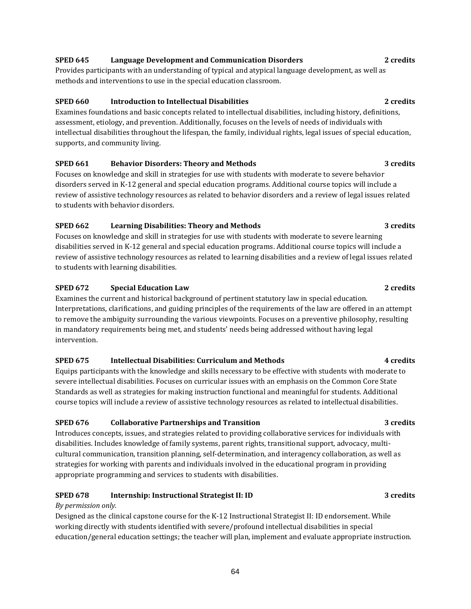## **SPED 645 Language Development and Communication Disorders 2 credits**

Provides participants with an understanding of typical and atypical language development, as well as methods and interventions to use in the special education classroom.

## **SPED 660 Introduction to Intellectual Disabilities 2 credits**

Examines foundations and basic concepts related to intellectual disabilities, including history, definitions, assessment, etiology, and prevention. Additionally, focuses on the levels of needs of individuals with intellectual disabilities throughout the lifespan, the family, individual rights, legal issues of special education, supports, and community living.

## **SPED 661 Behavior Disorders: Theory and Methods 3 credits**

Focuses on knowledge and skill in strategies for use with students with moderate to severe behavior disorders served in K-12 general and special education programs. Additional course topics will include a review of assistive technology resources as related to behavior disorders and a review of legal issues related to students with behavior disorders.

## **SPED 662 Learning Disabilities: Theory and Methods 3 credits**

Focuses on knowledge and skill in strategies for use with students with moderate to severe learning disabilities served in K-12 general and special education programs. Additional course topics will include a review of assistive technology resources as related to learning disabilities and a review of legal issues related to students with learning disabilities.

## **SPED 672 Special Education Law 2** credits **2** credits

Examines the current and historical background of pertinent statutory law in special education. Interpretations, clarifications, and guiding principles of the requirements of the law are offered in an attempt to remove the ambiguity surrounding the various viewpoints. Focuses on a preventive philosophy, resulting in mandatory requirements being met, and students' needs being addressed without having legal intervention.

## **SPED 675 Intellectual Disabilities: Curriculum and Methods 4 credits**

Equips participants with the knowledge and skills necessary to be effective with students with moderate to severe intellectual disabilities. Focuses on curricular issues with an emphasis on the Common Core State Standards as well as strategies for making instruction functional and meaningful for students. Additional course topics will include a review of assistive technology resources as related to intellectual disabilities.

## **SPED 676 Collaborative Partnerships and Transition 3 credits**

Introduces concepts, issues, and strategies related to providing collaborative services for individuals with disabilities. Includes knowledge of family systems, parent rights, transitional support, advocacy, multicultural communication, transition planning, self-determination, and interagency collaboration, as well as strategies for working with parents and individuals involved in the educational program in providing appropriate programming and services to students with disabilities.

## **SPED 678 Internship: Instructional Strategist II: ID 3 credits**

## *By permission only.*

Designed as the clinical capstone course for the K-12 Instructional Strategist II: ID endorsement. While working directly with students identified with severe/profound intellectual disabilities in special education/general education settings; the teacher will plan, implement and evaluate appropriate instruction.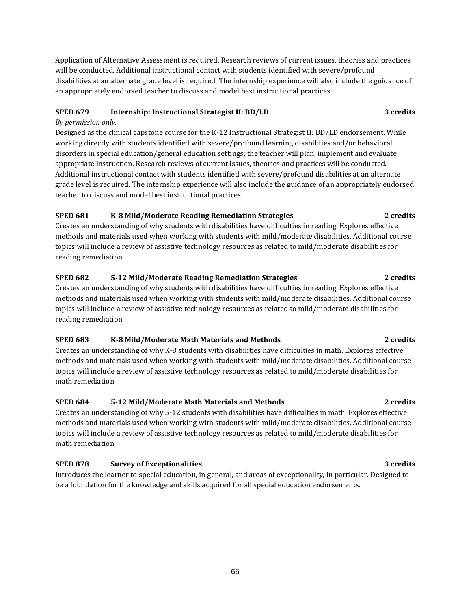Application of Alternative Assessment is required. Research reviews of current issues, theories and practices will be conducted. Additional instructional contact with students identified with severe/profound disabilities at an alternate grade level is required. The internship experience will also include the guidance of an appropriately endorsed teacher to discuss and model best instructional practices.

## **SPED 679 Internship: Instructional Strategist II: BD/LD 3 credits**

## *By permission only.*

Designed as the clinical capstone course for the K-12 Instructional Strategist II: BD/LD endorsement. While working directly with students identified with severe/profound learning disabilities and/or behavioral disorders in special education/general education settings; the teacher will plan, implement and evaluate appropriate instruction. Research reviews of current issues, theories and practices will be conducted. Additional instructional contact with students identified with severe/profound disabilities at an alternate grade level is required. The internship experience will also include the guidance of an appropriately endorsed teacher to discuss and model best instructional practices.

## **SPED 681 K-8 Mild/Moderate Reading Remediation Strategies 2 credits**

Creates an understanding of why students with disabilities have difficulties in reading. Explores effective methods and materials used when working with students with mild/moderate disabilities. Additional course topics will include a review of assistive technology resources as related to mild/moderate disabilities for reading remediation.

## **SPED 682 5-12 Mild/Moderate Reading Remediation Strategies 2 credits**

Creates an understanding of why students with disabilities have difficulties in reading. Explores effective methods and materials used when working with students with mild/moderate disabilities. Additional course topics will include a review of assistive technology resources as related to mild/moderate disabilities for reading remediation.

## **SPED 683 K-8 Mild/Moderate Math Materials and Methods 2 credits**

Creates an understanding of why K-8 students with disabilities have difficulties in math. Explores effective methods and materials used when working with students with mild/moderate disabilities. Additional course topics will include a review of assistive technology resources as related to mild/moderate disabilities for math remediation.

## **SPED 684 5-12 Mild/Moderate Math Materials and Methods 2 credits**

Creates an understanding of why 5-12 students with disabilities have difficulties in math. Explores effective methods and materials used when working with students with mild/moderate disabilities. Additional course topics will include a review of assistive technology resources as related to mild/moderate disabilities for math remediation.

## **SPED 878 Survey of Exceptionalities 3 credits**

Introduces the learner to special education, in general, and areas of exceptionality, in particular. Designed to be a foundation for the knowledge and skills acquired for all special education endorsements.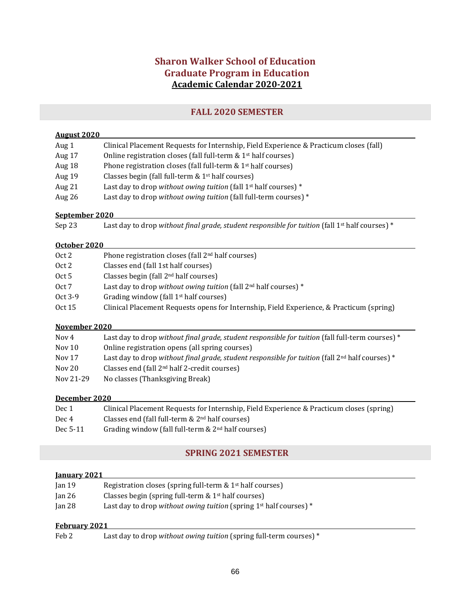## **Sharon Walker School of Education Graduate Program in Education Academic Calendar 2020-2021**

## **FALL 2020 SEMESTER**

## **August 2020**

| Aug 1  | Clinical Placement Requests for Internship, Field Experience & Practicum closes (fall) |
|--------|----------------------------------------------------------------------------------------|
| Aug 17 | Online registration closes (fall full-term $& 1st$ half courses)                       |
| Aug 18 | Phone registration closes (fall full-term & 1 <sup>st</sup> half courses)              |
| Aug 19 | Classes begin (fall full-term $& 1st$ half courses)                                    |
| Aug 21 | Last day to drop without owing tuition (fall 1 <sup>st</sup> half courses) $*$         |
| Aug 26 | Last day to drop without owing tuition (fall full-term courses) $*$                    |
|        |                                                                                        |

### **September 2020**

| Sep 23 | Last day to drop without final grade, student responsible for tuition (fall $1st$ half courses) * |
|--------|---------------------------------------------------------------------------------------------------|
|--------|---------------------------------------------------------------------------------------------------|

### **October 2020**

| Oct 2   | Phone registration closes (fall 2 <sup>nd</sup> half courses)                            |
|---------|------------------------------------------------------------------------------------------|
| Oct 2   | Classes end (fall 1st half courses)                                                      |
| Oct 5   | Classes begin (fall $2nd$ half courses)                                                  |
| Oct 7   | Last day to drop without owing tuition (fall $2nd$ half courses) *                       |
| Oct 3-9 | Grading window (fall $1st$ half courses)                                                 |
| Oct 15  | Clinical Placement Requests opens for Internship, Field Experience, & Practicum (spring) |

### **November 2020**

| Nov 4     | Last day to drop without final grade, student responsible for tuition (fall full-term courses) $*$ |
|-----------|----------------------------------------------------------------------------------------------------|
| Nov 10    | Online registration opens (all spring courses)                                                     |
| Nov $17$  | Last day to drop without final grade, student responsible for tuition (fall $2nd$ half courses) *  |
| Nov 20    | Classes end (fall 2 <sup>nd</sup> half 2-credit courses)                                           |
| Nov 21-29 | No classes (Thanksgiving Break)                                                                    |

## **December 2020**

| Dec 1    | Clinical Placement Requests for Internship, Field Experience & Practicum closes (spring) |
|----------|------------------------------------------------------------------------------------------|
| Dec 4    | Classes end (fall full-term $\&$ 2 <sup>nd</sup> half courses)                           |
| Dec 5-11 | Grading window (fall full-term $\&$ 2 <sup>nd</sup> half courses)                        |

## **SPRING 2021 SEMESTER**

## **January 2021**

| $\tan 19$ | Registration closes (spring full-term $\&$ 1 <sup>st</sup> half courses) |
|-----------|--------------------------------------------------------------------------|
| $\tan 26$ | Classes begin (spring full-term $\&$ 1 <sup>st</sup> half courses)       |
| $\tan 28$ | Last day to drop without owing tuition (spring $1st$ half courses) $*$   |

## **February 2021**

| Feb <sub>2</sub> | Last day to drop without owing tuition (spring full-term courses) * |
|------------------|---------------------------------------------------------------------|
|------------------|---------------------------------------------------------------------|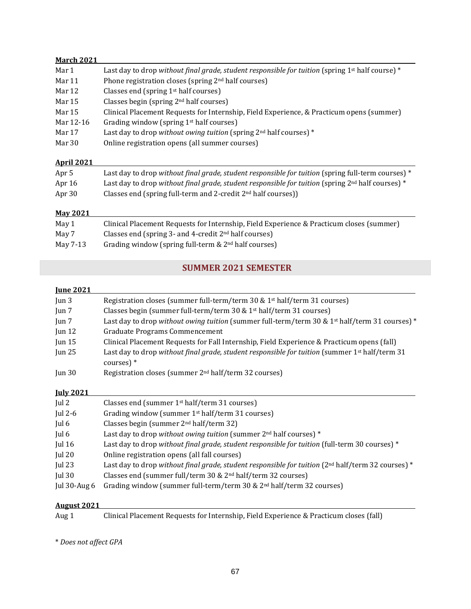## **March 2021**

| Mar 1     | Last day to drop without final grade, student responsible for tuition (spring $1st$ half course) * |
|-----------|----------------------------------------------------------------------------------------------------|
| Mar 11    | Phone registration closes (spring 2 <sup>nd</sup> half courses)                                    |
| Mar 12    | Classes end (spring $1st$ half courses)                                                            |
| Mar 15    | Classes begin (spring $2nd$ half courses)                                                          |
| Mar 15    | Clinical Placement Requests for Internship, Field Experience, & Practicum opens (summer)           |
| Mar 12-16 | Grading window (spring 1 <sup>st</sup> half courses)                                               |
| Mar 17    | Last day to drop without owing tuition (spring $2nd$ half courses) $*$                             |
| Mar 30    | Online registration opens (all summer courses)                                                     |
|           |                                                                                                    |

### **April 2021**

| Apr 5           | Last day to drop without final grade, student responsible for tuition (spring full-term courses) $*$ |
|-----------------|------------------------------------------------------------------------------------------------------|
| Apr $16$        | Last day to drop without final grade, student responsible for tuition (spring $2nd$ half courses) *  |
| Apr 30          | Classes end (spring full-term and 2-credit $2nd$ half courses))                                      |
| <b>May 2021</b> |                                                                                                      |
| May 1           | Clinical Placement Requests for Internship, Field Experience & Practicum closes (summer)             |
| $M_{\odot}$ . 7 | Closses and Convince? and A quadit 2nd holf servesse)                                                |

| May 7 | Classes end (spring 3- and 4-credit 2 <sup>nd</sup> half courses) |  |
|-------|-------------------------------------------------------------------|--|

May 7-13 Grading window (spring full-term & 2<sup>nd</sup> half courses)

## **SUMMER 2021 SEMESTER**

### **June 2021**

| Jun 3    | Registration closes (summer full-term/term 30 & 1 <sup>st</sup> half/term 31 courses)                           |
|----------|-----------------------------------------------------------------------------------------------------------------|
| Jun 7    | Classes begin (summer full-term/term 30 & 1 <sup>st</sup> half/term 31 courses)                                 |
| Jun $7$  | Last day to drop without owing tuition (summer full-term/term 30 & 1 <sup>st</sup> half/term 31 courses) *      |
| Jun $12$ | <b>Graduate Programs Commencement</b>                                                                           |
| Jun $15$ | Clinical Placement Requests for Fall Internship, Field Experience & Practicum opens (fall)                      |
| Jun $25$ | Last day to drop without final grade, student responsible for tuition (summer $1st$ half/term 31<br>$course)$ * |
| Jun $30$ | Registration closes (summer 2 <sup>nd</sup> half/term 32 courses)                                               |
|          |                                                                                                                 |

### **July 2021**

| Jul 2           | Classes end (summer 1 <sup>st</sup> half/term 31 courses)                                             |
|-----------------|-------------------------------------------------------------------------------------------------------|
| Jul 2-6         | Grading window (summer $1st$ half/term 31 courses)                                                    |
| Jul 6           | Classes begin (summer $2nd$ half/term 32)                                                             |
| Jul 6           | Last day to drop without owing tuition (summer $2nd$ half courses) $*$                                |
| Jul $16$        | Last day to drop without final grade, student responsible for tuition (full-term 30 courses) *        |
| Jul $20$        | Online registration opens (all fall courses)                                                          |
| Jul $23$        | Last day to drop without final grade, student responsible for tuition ( $2nd$ half/term 32 courses) * |
| Jul $30$        | Classes end (summer full/term 30 & 2 <sup>nd</sup> half/term 32 courses)                              |
| Jul $30$ -Aug 6 | Grading window (summer full-term/term 30 $& 2nd$ half/term 32 courses)                                |
|                 |                                                                                                       |

### **August 2021**

Aug 1 Clinical Placement Requests for Internship, Field Experience & Practicum closes (fall)

\* *Does not affect GPA*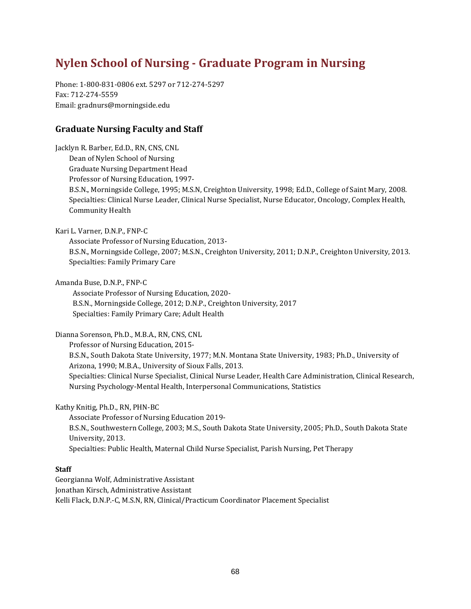# **Nylen School of Nursing - Graduate Program in Nursing**

Phone: 1-800-831-0806 ext. 5297 or 712-274-5297 Fax: 712-274-5559 Email: gradnurs@morningside.edu

## **Graduate Nursing Faculty and Staff**

Jacklyn R. Barber, Ed.D., RN, CNS, CNL Dean of Nylen School of Nursing Graduate Nursing Department Head Professor of Nursing Education, 1997- B.S.N., Morningside College, 1995; M.S.N, Creighton University, 1998; Ed.D., College of Saint Mary, 2008. Specialties: Clinical Nurse Leader, Clinical Nurse Specialist, Nurse Educator, Oncology, Complex Health, Community Health Kari L. Varner, D.N.P., FNP-C Associate Professor of Nursing Education, 2013- B.S.N., Morningside College, 2007; M.S.N., Creighton University, 2011; D.N.P., Creighton University, 2013. Specialties: Family Primary Care Amanda Buse, D.N.P., FNP-C Associate Professor of Nursing Education, 2020- B.S.N., Morningside College, 2012; D.N.P., Creighton University, 2017 Specialties: Family Primary Care; Adult Health Dianna Sorenson, Ph.D., M.B.A., RN, CNS, CNL Professor of Nursing Education, 2015- B.S.N., South Dakota State University, 1977; M.N. Montana State University, 1983; Ph.D., University of Arizona, 1990; M.B.A., University of Sioux Falls, 2013. Specialties: Clinical Nurse Specialist, Clinical Nurse Leader, Health Care Administration, Clinical Research, Nursing Psychology-Mental Health, Interpersonal Communications, Statistics

Kathy Knitig, Ph.D., RN, PHN-BC Associate Professor of Nursing Education 2019- B.S.N., Southwestern College, 2003; M.S., South Dakota State University, 2005; Ph.D., South Dakota State University, 2013. Specialties: Public Health, Maternal Child Nurse Specialist, Parish Nursing, Pet Therapy

### **Staff**

Georgianna Wolf, Administrative Assistant Jonathan Kirsch, Administrative Assistant Kelli Flack, D.N.P.-C, M.S.N, RN, Clinical/Practicum Coordinator Placement Specialist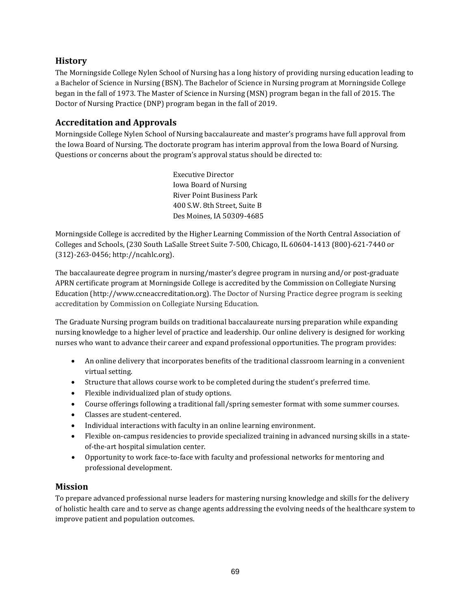## **History**

The Morningside College Nylen School of Nursing has a long history of providing nursing education leading to a Bachelor of Science in Nursing (BSN). The Bachelor of Science in Nursing program at Morningside College began in the fall of 1973. The Master of Science in Nursing (MSN) program began in the fall of 2015. The Doctor of Nursing Practice (DNP) program began in the fall of 2019.

## **Accreditation and Approvals**

Morningside College Nylen School of Nursing baccalaureate and master's programs have full approval from the Iowa Board of Nursing. The doctorate program has interim approval from the Iowa Board of Nursing. Questions or concerns about the program's approval status should be directed to:

> Executive Director Iowa Board of Nursing River Point Business Park 400 S.W. 8th Street, Suite B Des Moines, IA 50309-4685

Morningside College is accredited by the Higher Learning Commission of the North Central Association of Colleges and Schools, (230 South LaSalle Street Suite 7-500, Chicago, IL 60604-1413 (800)-621-7440 or (312)-263-0456; http://ncahlc.org).

The baccalaureate degree program in nursing/master's degree program in nursing and/or post-graduate APRN certificate program at Morningside College is accredited by the Commission on Collegiate Nursing Education (http://www.ccneaccreditation.org). The Doctor of Nursing Practice degree program is seeking accreditation by Commission on Collegiate Nursing Education.

The Graduate Nursing program builds on traditional baccalaureate nursing preparation while expanding nursing knowledge to a higher level of practice and leadership. Our online delivery is designed for working nurses who want to advance their career and expand professional opportunities. The program provides:

- An online delivery that incorporates benefits of the traditional classroom learning in a convenient virtual setting.
- Structure that allows course work to be completed during the student's preferred time.
- Flexible individualized plan of study options.
- Course offerings following a traditional fall/spring semester format with some summer courses.
- Classes are student-centered.
- Individual interactions with faculty in an online learning environment.
- Flexible on-campus residencies to provide specialized training in advanced nursing skills in a stateof-the-art hospital simulation center.
- Opportunity to work face-to-face with faculty and professional networks for mentoring and professional development.

## **Mission**

To prepare advanced professional nurse leaders for mastering nursing knowledge and skills for the delivery of holistic health care and to serve as change agents addressing the evolving needs of the healthcare system to improve patient and population outcomes.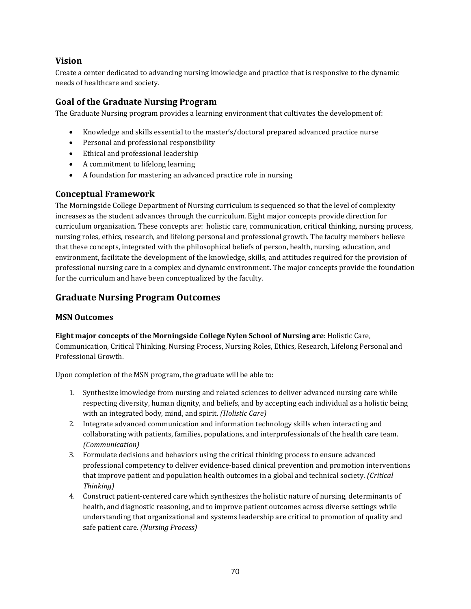## **Vision**

Create a center dedicated to advancing nursing knowledge and practice that is responsive to the dynamic needs of healthcare and society.

## **Goal of the Graduate Nursing Program**

The Graduate Nursing program provides a learning environment that cultivates the development of:

- Knowledge and skills essential to the master's/doctoral prepared advanced practice nurse
- Personal and professional responsibility
- Ethical and professional leadership
- A commitment to lifelong learning
- A foundation for mastering an advanced practice role in nursing

## **Conceptual Framework**

The Morningside College Department of Nursing curriculum is sequenced so that the level of complexity increases as the student advances through the curriculum. Eight major concepts provide direction for curriculum organization. These concepts are: holistic care, communication, critical thinking, nursing process, nursing roles, ethics, research, and lifelong personal and professional growth. The faculty members believe that these concepts, integrated with the philosophical beliefs of person, health, nursing, education, and environment, facilitate the development of the knowledge, skills, and attitudes required for the provision of professional nursing care in a complex and dynamic environment. The major concepts provide the foundation for the curriculum and have been conceptualized by the faculty.

## **Graduate Nursing Program Outcomes**

### **MSN Outcomes**

**Eight major concepts of the Morningside College Nylen School of Nursing are**: Holistic Care, Communication, Critical Thinking, Nursing Process, Nursing Roles, Ethics, Research, Lifelong Personal and Professional Growth.

Upon completion of the MSN program, the graduate will be able to:

- 1. Synthesize knowledge from nursing and related sciences to deliver advanced nursing care while respecting diversity, human dignity, and beliefs, and by accepting each individual as a holistic being with an integrated body, mind, and spirit. *(Holistic Care)*
- 2. Integrate advanced communication and information technology skills when interacting and collaborating with patients, families, populations, and interprofessionals of the health care team. *(Communication)*
- 3. Formulate decisions and behaviors using the critical thinking process to ensure advanced professional competency to deliver evidence-based clinical prevention and promotion interventions that improve patient and population health outcomes in a global and technical society. *(Critical Thinking)*
- 4. Construct patient-centered care which synthesizes the holistic nature of nursing, determinants of health, and diagnostic reasoning, and to improve patient outcomes across diverse settings while understanding that organizational and systems leadership are critical to promotion of quality and safe patient care. *(Nursing Process)*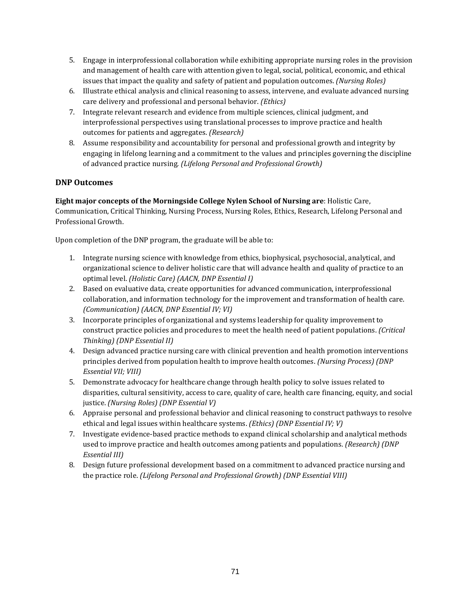- 5. Engage in interprofessional collaboration while exhibiting appropriate nursing roles in the provision and management of health care with attention given to legal, social, political, economic, and ethical issues that impact the quality and safety of patient and population outcomes. *(Nursing Roles)*
- 6. Illustrate ethical analysis and clinical reasoning to assess, intervene, and evaluate advanced nursing care delivery and professional and personal behavior. *(Ethics)*
- 7. Integrate relevant research and evidence from multiple sciences, clinical judgment, and interprofessional perspectives using translational processes to improve practice and health outcomes for patients and aggregates. *(Research)*
- 8. Assume responsibility and accountability for personal and professional growth and integrity by engaging in lifelong learning and a commitment to the values and principles governing the discipline of advanced practice nursing*. (Lifelong Personal and Professional Growth)*

## **DNP Outcomes**

**Eight major concepts of the Morningside College Nylen School of Nursing are**: Holistic Care, Communication, Critical Thinking, Nursing Process, Nursing Roles, Ethics, Research, Lifelong Personal and Professional Growth.

Upon completion of the DNP program, the graduate will be able to:

- 1. Integrate nursing science with knowledge from ethics, biophysical, psychosocial, analytical, and organizational science to deliver holistic care that will advance health and quality of practice to an optimal level. *(Holistic Care) (AACN, DNP Essential I)*
- 2. Based on evaluative data, create opportunities for advanced communication, interprofessional collaboration, and information technology for the improvement and transformation of health care. *(Communication) (AACN, DNP Essential IV; VI)*
- 3. Incorporate principles of organizational and systems leadership for quality improvement to construct practice policies and procedures to meet the health need of patient populations. *(Critical Thinking) (DNP Essential II)*
- 4. Design advanced practice nursing care with clinical prevention and health promotion interventions principles derived from population health to improve health outcomes. *(Nursing Process) (DNP Essential VII; VIII)*
- 5. Demonstrate advocacy for healthcare change through health policy to solve issues related to disparities, cultural sensitivity, access to care, quality of care, health care financing, equity, and social justice. *(Nursing Roles) (DNP Essential V)*
- 6. Appraise personal and professional behavior and clinical reasoning to construct pathways to resolve ethical and legal issues within healthcare systems. *(Ethics) (DNP Essential IV; V)*
- 7. Investigate evidence-based practice methods to expand clinical scholarship and analytical methods used to improve practice and health outcomes among patients and populations. *(Research) (DNP Essential III)*
- 8. Design future professional development based on a commitment to advanced practice nursing and the practice role. *(Lifelong Personal and Professional Growth) (DNP Essential VIII)*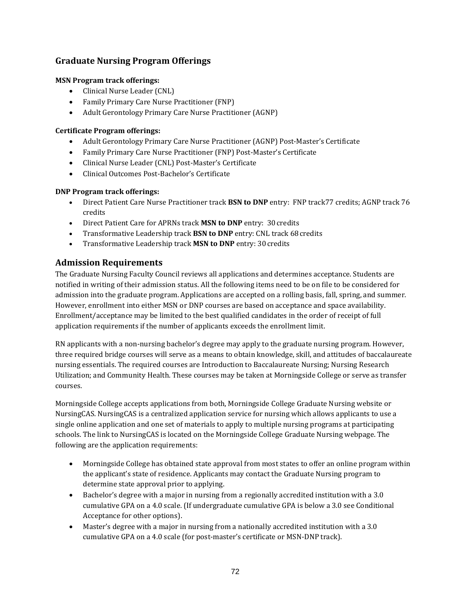# **Graduate Nursing Program Offerings**

## **MSN Program track offerings:**

- Clinical Nurse Leader (CNL)
- Family Primary Care Nurse Practitioner (FNP)
- Adult Gerontology Primary Care Nurse Practitioner (AGNP)

## **Certificate Program offerings:**

- Adult Gerontology Primary Care Nurse Practitioner (AGNP) Post-Master's Certificate
- Family Primary Care Nurse Practitioner (FNP) Post-Master's Certificate
- Clinical Nurse Leader (CNL) Post-Master's Certificate
- Clinical Outcomes Post-Bachelor's Certificate

## **DNP Program track offerings:**

- Direct Patient Care Nurse Practitioner track **BSN to DNP** entry: FNP track77 credits; AGNP track 76 credits
- Direct Patient Care for APRNs track **MSN to DNP** entry: 30credits
- Transformative Leadership track **BSN to DNP** entry: CNL track 68credits
- Transformative Leadership track **MSN to DNP** entry: 30credits

# **Admission Requirements**

The Graduate Nursing Faculty Council reviews all applications and determines acceptance. Students are notified in writing of their admission status. All the following items need to be on file to be considered for admission into the graduate program. Applications are accepted on a rolling basis, fall, spring, and summer. However, enrollment into either MSN or DNP courses are based on acceptance and space availability. Enrollment/acceptance may be limited to the best qualified candidates in the order of receipt of full application requirements if the number of applicants exceeds the enrollment limit.

RN applicants with a non-nursing bachelor's degree may apply to the graduate nursing program. However, three required bridge courses will serve as a means to obtain knowledge, skill, and attitudes of baccalaureate nursing essentials. The required courses are Introduction to Baccalaureate Nursing; Nursing Research Utilization; and Community Health. These courses may be taken at Morningside College or serve as transfer courses.

Morningside College accepts applications from both, Morningside College Graduate Nursing website or NursingCAS. NursingCAS is a centralized application service for nursing which allows applicants to use a single online application and one set of materials to apply to multiple nursing programs at participating schools. The link to NursingCAS is located on the Morningside College Graduate Nursing webpage. The following are the application requirements:

- Morningside College has obtained state approval from most states to offer an online program within the applicant's state of residence. Applicants may contact the Graduate Nursing program to determine state approval prior to applying.
- Bachelor's degree with a major in nursing from a regionally accredited institution with a 3.0 cumulative GPA on a 4.0 scale. (If undergraduate cumulative GPA is below a 3.0 see Conditional Acceptance for other options).
- Master's degree with a major in nursing from a nationally accredited institution with a 3.0 cumulative GPA on a 4.0 scale (for post-master's certificate or MSN-DNP track).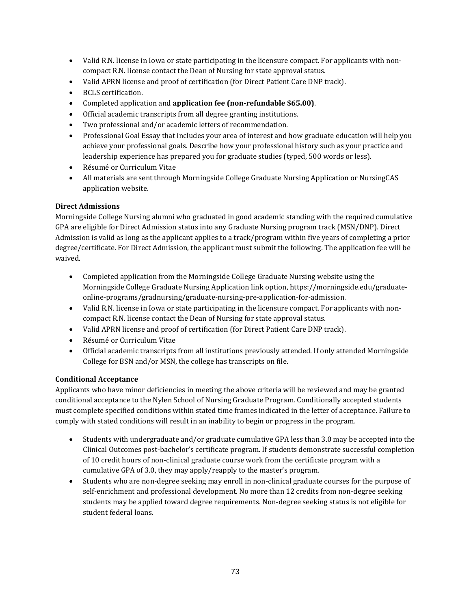- Valid R.N. license in Iowa or state participating in the licensure compact. For applicants with noncompact R.N. license contact the Dean of Nursing for state approval status.
- Valid APRN license and proof of certification (for Direct Patient Care DNP track).
- BCLS certification.
- Completed application and **application fee (non-refundable \$65.00)**.
- Official academic transcripts from all degree granting institutions.
- Two professional and/or academic letters of recommendation.
- Professional Goal Essay that includes your area of interest and how graduate education will help you achieve your professional goals. Describe how your professional history such as your practice and leadership experience has prepared you for graduate studies (typed, 500 words or less).
- Résumé or Curriculum Vitae
- All materials are sent through Morningside College Graduate Nursing Application or NursingCAS application website.

## **Direct Admissions**

Morningside College Nursing alumni who graduated in good academic standing with the required cumulative GPA are eligible for Direct Admission status into any Graduate Nursing program track (MSN/DNP). Direct Admission is valid as long as the applicant applies to a track/program within five years of completing a prior degree/certificate. For Direct Admission, the applicant must submit the following. The application fee will be waived.

- Completed application from the Morningside College Graduate Nursing website using the Morningside College Graduate Nursing Application link option, https://morningside.edu/graduateonline-programs/gradnursing/graduate-nursing-pre-application-for-admission.
- Valid R.N. license in Iowa or state participating in the licensure compact. For applicants with noncompact R.N. license contact the Dean of Nursing for state approval status.
- Valid APRN license and proof of certification (for Direct Patient Care DNP track).
- Résumé or Curriculum Vitae
- Official academic transcripts from all institutions previously attended. If only attended Morningside College for BSN and/or MSN, the college has transcripts on file.

#### **Conditional Acceptance**

Applicants who have minor deficiencies in meeting the above criteria will be reviewed and may be granted conditional acceptance to the Nylen School of Nursing Graduate Program. Conditionally accepted students must complete specified conditions within stated time frames indicated in the letter of acceptance. Failure to comply with stated conditions will result in an inability to begin or progress in the program.

- Students with undergraduate and/or graduate cumulative GPA less than 3.0 may be accepted into the Clinical Outcomes post-bachelor's certificate program. If students demonstrate successful completion of 10 credit hours of non-clinical graduate course work from the certificate program with a cumulative GPA of 3.0, they may apply/reapply to the master's program.
- Students who are non-degree seeking may enroll in non-clinical graduate courses for the purpose of self-enrichment and professional development. No more than 12 credits from non-degree seeking students may be applied toward degree requirements. Non-degree seeking status is not eligible for student federal loans.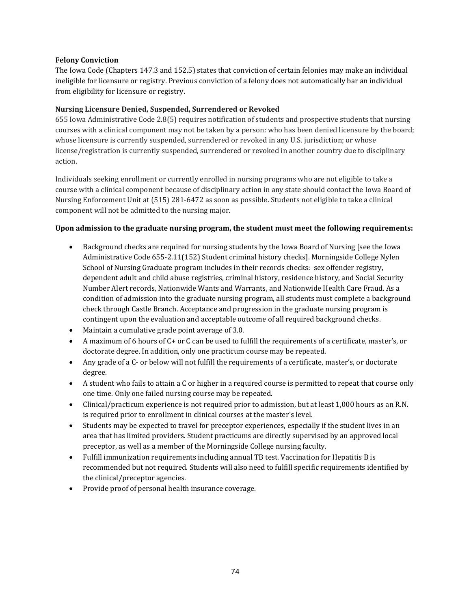### **Felony Conviction**

The Iowa Code (Chapters 147.3 and 152.5) states that conviction of certain felonies may make an individual ineligible for licensure or registry. Previous conviction of a felony does not automatically bar an individual from eligibility for licensure or registry.

#### **Nursing Licensure Denied, Suspended, Surrendered or Revoked**

655 Iowa Administrative Code 2.8(5) requires notification of students and prospective students that nursing courses with a clinical component may not be taken by a person: who has been denied licensure by the board; whose licensure is currently suspended, surrendered or revoked in any U.S. jurisdiction; or whose license/registration is currently suspended, surrendered or revoked in another country due to disciplinary action.

Individuals seeking enrollment or currently enrolled in nursing programs who are not eligible to take a course with a clinical component because of disciplinary action in any state should contact the Iowa Board of Nursing Enforcement Unit at (515) 281-6472 as soon as possible. Students not eligible to take a clinical component will not be admitted to the nursing major.

#### **Upon admission to the graduate nursing program, the student must meet the following requirements:**

- Background checks are required for nursing students by the Iowa Board of Nursing [see the Iowa Administrative Code 655-2.11(152) Student criminal history checks]. Morningside College Nylen School of Nursing Graduate program includes in their records checks: sex offender registry, dependent adult and child abuse registries, criminal history, residence history, and Social Security Number Alert records, Nationwide Wants and Warrants, and Nationwide Health Care Fraud. As a condition of admission into the graduate nursing program, all students must complete a background check through Castle Branch. Acceptance and progression in the graduate nursing program is contingent upon the evaluation and acceptable outcome of all required background checks.
- Maintain a cumulative grade point average of 3.0.
- A maximum of 6 hours of C+ or C can be used to fulfill the requirements of a certificate, master's, or doctorate degree. In addition, only one practicum course may be repeated.
- Any grade of a C- or below will not fulfill the requirements of a certificate, master's, or doctorate degree.
- A student who fails to attain a C or higher in a required course is permitted to repeat that course only one time. Only one failed nursing course may be repeated.
- Clinical/practicum experience is not required prior to admission, but at least 1,000 hours as an R.N. is required prior to enrollment in clinical courses at the master's level.
- Students may be expected to travel for preceptor experiences, especially if the student lives in an area that has limited providers. Student practicums are directly supervised by an approved local preceptor, as well as a member of the Morningside College nursing faculty.
- Fulfill immunization requirements including annual TB test. Vaccination for Hepatitis B is recommended but not required. Students will also need to fulfill specific requirements identified by the clinical/preceptor agencies.
- Provide proof of personal health insurance coverage.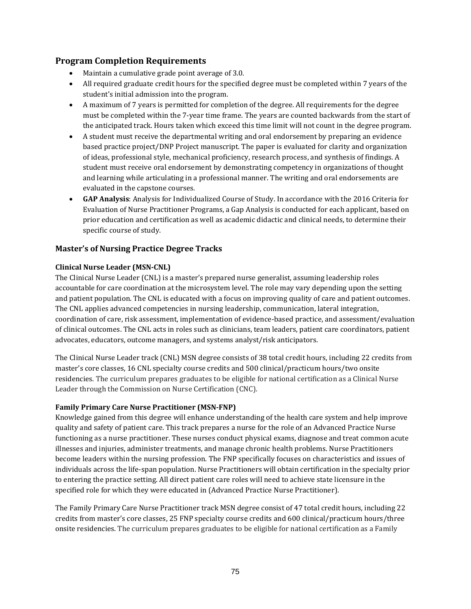## **Program Completion Requirements**

- Maintain a cumulative grade point average of 3.0.
- All required graduate credit hours for the specified degree must be completed within 7 years of the student's initial admission into the program.
- A maximum of 7 years is permitted for completion of the degree. All requirements for the degree must be completed within the 7-year time frame. The years are counted backwards from the start of the anticipated track. Hours taken which exceed this time limit will not count in the degree program.
- A student must receive the departmental writing and oral endorsement by preparing an evidence based practice project/DNP Project manuscript. The paper is evaluated for clarity and organization of ideas, professional style, mechanical proficiency, research process, and synthesis of findings. A student must receive oral endorsement by demonstrating competency in organizations of thought and learning while articulating in a professional manner. The writing and oral endorsements are evaluated in the capstone courses.
- **GAP Analysis**: Analysis for Individualized Course of Study. In accordance with the 2016 Criteria for Evaluation of Nurse Practitioner Programs, a Gap Analysis is conducted for each applicant, based on prior education and certification as well as academic didactic and clinical needs, to determine their specific course of study.

## **Master's of Nursing Practice Degree Tracks**

## **Clinical Nurse Leader (MSN-CNL)**

The Clinical Nurse Leader (CNL) is a master's prepared nurse generalist, assuming leadership roles accountable for care coordination at the microsystem level. The role may vary depending upon the setting and patient population. The CNL is educated with a focus on improving quality of care and patient outcomes. The CNL applies advanced competencies in nursing leadership, communication, lateral integration, coordination of care, risk assessment, implementation of evidence-based practice, and assessment/evaluation of clinical outcomes. The CNL acts in roles such as clinicians, team leaders, patient care coordinators, patient advocates, educators, outcome managers, and systems analyst/risk anticipators.

The Clinical Nurse Leader track (CNL) MSN degree consists of 38 total credit hours, including 22 credits from master's core classes, 16 CNL specialty course credits and 500 clinical/practicum hours/two onsite residencies. The curriculum prepares graduates to be eligible for national certification as a Clinical Nurse Leader through the Commission on Nurse Certification (CNC).

## **Family Primary Care Nurse Practitioner (MSN-FNP)**

Knowledge gained from this degree will enhance understanding of the health care system and help improve quality and safety of patient care. This track prepares a nurse for the role of an Advanced Practice Nurse functioning as a nurse practitioner. These nurses conduct physical exams, diagnose and treat common acute illnesses and injuries, administer treatments, and manage chronic health problems. Nurse Practitioners become leaders within the nursing profession. The FNP specifically focuses on characteristics and issues of individuals across the life-span population. Nurse Practitioners will obtain certification in the specialty prior to entering the practice setting. All direct patient care roles will need to achieve state licensure in the specified role for which they were educated in (Advanced Practice Nurse Practitioner).

The Family Primary Care Nurse Practitioner track MSN degree consist of 47 total credit hours, including 22 credits from master's core classes, 25 FNP specialty course credits and 600 clinical/practicum hours/three onsite residencies. The curriculum prepares graduates to be eligible for national certification as a Family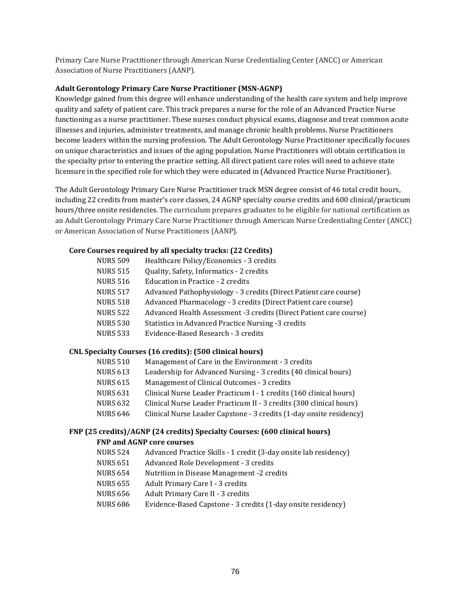Primary Care Nurse Practitioner through American Nurse Credentialing Center (ANCC) or American Association of Nurse Practitioners (AANP).

#### **Adult Gerontology Primary Care Nurse Practitioner (MSN-AGNP)**

Knowledge gained from this degree will enhance understanding of the health care system and help improve quality and safety of patient care. This track prepares a nurse for the role of an Advanced Practice Nurse functioning as a nurse practitioner. These nurses conduct physical exams, diagnose and treat common acute illnesses and injuries, administer treatments, and manage chronic health problems. Nurse Practitioners become leaders within the nursing profession. The Adult Gerontology Nurse Practitioner specifically focuses on unique characteristics and issues of the aging population. Nurse Practitioners will obtain certification in the specialty prior to entering the practice setting. All direct patient care roles will need to achieve state licensure in the specified role for which they were educated in (Advanced Practice Nurse Practitioner).

The Adult Gerontology Primary Care Nurse Practitioner track MSN degree consist of 46 total credit hours, including 22 credits from master's core classes, 24 AGNP specialty course credits and 600 clinical/practicum hours/three onsite residencies. The curriculum prepares graduates to be eligible for national certification as an Adult Gerontology Primary Care Nurse Practitioner through American Nurse Credentialing Center (ANCC) or American Association of Nurse Practitioners (AANP).

#### **Core Courses required by all specialty tracks: (22 Credits)**

| <b>NURS 509</b> | Healthcare Policy/Economics - 3 credits                            |
|-----------------|--------------------------------------------------------------------|
| <b>NURS 515</b> | Quality, Safety, Informatics - 2 credits                           |
| <b>NURS 516</b> | Education in Practice - 2 credits                                  |
| <b>NURS 517</b> | Advanced Pathophysiology - 3 credits (Direct Patient care course)  |
| <b>NURS 518</b> | Advanced Pharmacology - 3 credits (Direct Patient care course)     |
| <b>NURS 522</b> | Advanced Health Assessment -3 credits (Direct Patient care course) |
|                 |                                                                    |

- NURS 530 Statistics in Advanced Practice Nursing -3 credits
- NURS 533 Evidence-Based Research 3 credits

#### **CNL Specialty Courses (16 credits): (500 clinical hours)**

- NURS 510 Management of Care in the Environment 3 credits
- NURS 613 Leadership for Advanced Nursing 3 credits (40 clinical hours)
- NURS 615 Management of Clinical Outcomes 3 credits
- NURS 631 Clinical Nurse Leader Practicum I 1 credits (160 clinical hours)
- NURS 632 Clinical Nurse Leader Practicum II 3 credits (300 clinical hours)
- NURS 646 Clinical Nurse Leader Capstone 3 credits (1-day onsite residency)

#### **FNP (25 credits)/AGNP (24 credits) Specialty Courses: (600 clinical hours) FNP and AGNP core courses**

- NURS 524 Advanced Practice Skills 1 credit (3-day onsite lab residency)
- NURS 651 Advanced Role Development 3 credits
- NURS 654 Nutrition in Disease Management -2 credits
- NURS 655 Adult Primary Care I 3 credits
- NURS 656 Adult Primary Care II 3 credits
- NURS 686 Evidence-Based Capstone 3 credits (1-day onsite residency)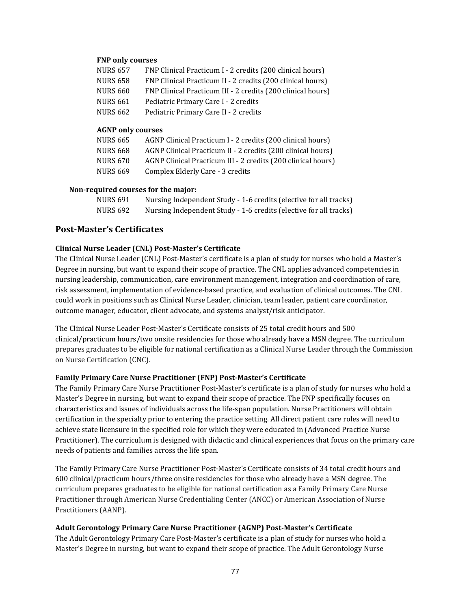#### **FNP only courses**

| NURS 657 | FNP Clinical Practicum I - 2 credits (200 clinical hours)   |
|----------|-------------------------------------------------------------|
| NURS 658 | FNP Clinical Practicum II - 2 credits (200 clinical hours)  |
| NURS 660 | FNP Clinical Practicum III - 2 credits (200 clinical hours) |
| NURS 661 | Pediatric Primary Care I - 2 credits                        |
| NURS 662 | Pediatric Primary Care II - 2 credits                       |
|          |                                                             |

#### **AGNP only courses**

| NURS 665        | AGNP Clinical Practicum I - 2 credits (200 clinical hours)   |
|-----------------|--------------------------------------------------------------|
| <b>NURS 668</b> | AGNP Clinical Practicum II - 2 credits (200 clinical hours)  |
| <b>NURS 670</b> | AGNP Clinical Practicum III - 2 credits (200 clinical hours) |
| NURS 669        | Complex Elderly Care - 3 credits                             |

#### **Non-required courses for the major:**

| <b>NURS 691</b> | Nursing Independent Study - 1-6 credits (elective for all tracks) |
|-----------------|-------------------------------------------------------------------|
| <b>NURS 692</b> | Nursing Independent Study - 1-6 credits (elective for all tracks) |

## **Post-Master's Certificates**

#### **Clinical Nurse Leader (CNL) Post-Master's Certificate**

The Clinical Nurse Leader (CNL) Post-Master's certificate is a plan of study for nurses who hold a Master's Degree in nursing, but want to expand their scope of practice. The CNL applies advanced competencies in nursing leadership, communication, care environment management, integration and coordination of care, risk assessment, implementation of evidence-based practice, and evaluation of clinical outcomes. The CNL could work in positions such as Clinical Nurse Leader, clinician, team leader, patient care coordinator, outcome manager, educator, client advocate, and systems analyst/risk anticipator.

The Clinical Nurse Leader Post-Master's Certificate consists of 25 total credit hours and 500 clinical/practicum hours/two onsite residencies for those who already have a MSN degree. The curriculum prepares graduates to be eligible for national certification as a Clinical Nurse Leader through the Commission on Nurse Certification (CNC).

## **Family Primary Care Nurse Practitioner (FNP) Post-Master's Certificate**

The Family Primary Care Nurse Practitioner Post-Master's certificate is a plan of study for nurses who hold a Master's Degree in nursing, but want to expand their scope of practice. The FNP specifically focuses on characteristics and issues of individuals across the life-span population. Nurse Practitioners will obtain certification in the specialty prior to entering the practice setting. All direct patient care roles will need to achieve state licensure in the specified role for which they were educated in (Advanced Practice Nurse Practitioner). The curriculum is designed with didactic and clinical experiences that focus on the primary care needs of patients and families across the life span.

The Family Primary Care Nurse Practitioner Post-Master's Certificate consists of 34 total credit hours and 600 clinical/practicum hours/three onsite residencies for those who already have a MSN degree. The curriculum prepares graduates to be eligible for national certification as a Family Primary Care Nurse Practitioner through American Nurse Credentialing Center (ANCC) or American Association of Nurse Practitioners (AANP).

## **Adult Gerontology Primary Care Nurse Practitioner (AGNP) Post-Master's Certificate**

The Adult Gerontology Primary Care Post-Master's certificate is a plan of study for nurses who hold a Master's Degree in nursing, but want to expand their scope of practice. The Adult Gerontology Nurse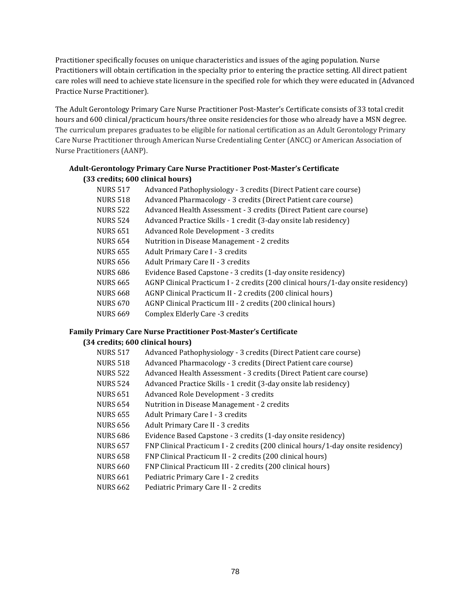Practitioner specifically focuses on unique characteristics and issues of the aging population. Nurse Practitioners will obtain certification in the specialty prior to entering the practice setting. All direct patient care roles will need to achieve state licensure in the specified role for which they were educated in (Advanced Practice Nurse Practitioner).

The Adult Gerontology Primary Care Nurse Practitioner Post-Master's Certificate consists of 33 total credit hours and 600 clinical/practicum hours/three onsite residencies for those who already have a MSN degree. The curriculum prepares graduates to be eligible for national certification as an Adult Gerontology Primary Care Nurse Practitioner through American Nurse Credentialing Center (ANCC) or American Association of Nurse Practitioners (AANP).

## **Adult-Gerontology Primary Care Nurse Practitioner Post-Master's Certificate (33 credits; 600 clinical hours)**

| NURS 517 | Advanced Pathophysiology - 3 credits (Direct Patient care course)                 |
|----------|-----------------------------------------------------------------------------------|
| NURS 518 | Advanced Pharmacology - 3 credits (Direct Patient care course)                    |
| NURS 522 | Advanced Health Assessment - 3 credits (Direct Patient care course)               |
| NURS 524 | Advanced Practice Skills - 1 credit (3-day onsite lab residency)                  |
| NURS 651 | Advanced Role Development - 3 credits                                             |
| NURS 654 | Nutrition in Disease Management - 2 credits                                       |
| NURS 655 | Adult Primary Care I - 3 credits                                                  |
| NURS 656 | Adult Primary Care II - 3 credits                                                 |
| NURS 686 | Evidence Based Capstone - 3 credits (1-day onsite residency)                      |
| NURS 665 | AGNP Clinical Practicum I - 2 credits (200 clinical hours/1-day onsite residency) |
| NURS 668 | AGNP Clinical Practicum II - 2 credits (200 clinical hours)                       |
| NURS 670 | AGNP Clinical Practicum III - 2 credits (200 clinical hours)                      |
| NURS 669 | Complex Elderly Care -3 credits                                                   |
|          |                                                                                   |

# **Family Primary Care Nurse Practitioner Post-Master's Certificate**

## **(34 credits; 600 clinical hours)**

| NURS 517 | Advanced Pathophysiology - 3 credits (Direct Patient care course)                |
|----------|----------------------------------------------------------------------------------|
| NURS 518 | Advanced Pharmacology - 3 credits (Direct Patient care course)                   |
| NURS 522 | Advanced Health Assessment - 3 credits (Direct Patient care course)              |
| NURS 524 | Advanced Practice Skills - 1 credit (3-day onsite lab residency)                 |
| NURS 651 | Advanced Role Development - 3 credits                                            |
| NURS 654 | Nutrition in Disease Management - 2 credits                                      |
| NURS 655 | Adult Primary Care I - 3 credits                                                 |
| NURS 656 | Adult Primary Care II - 3 credits                                                |
| NURS 686 | Evidence Based Capstone - 3 credits (1-day onsite residency)                     |
| NURS 657 | FNP Clinical Practicum I - 2 credits (200 clinical hours/1-day onsite residency) |
| NURS 658 | FNP Clinical Practicum II - 2 credits (200 clinical hours)                       |
| NURS 660 | FNP Clinical Practicum III - 2 credits (200 clinical hours)                      |
| NURS 661 | Pediatric Primary Care I - 2 credits                                             |
| NURS 662 | Pediatric Primary Care II - 2 credits                                            |
|          |                                                                                  |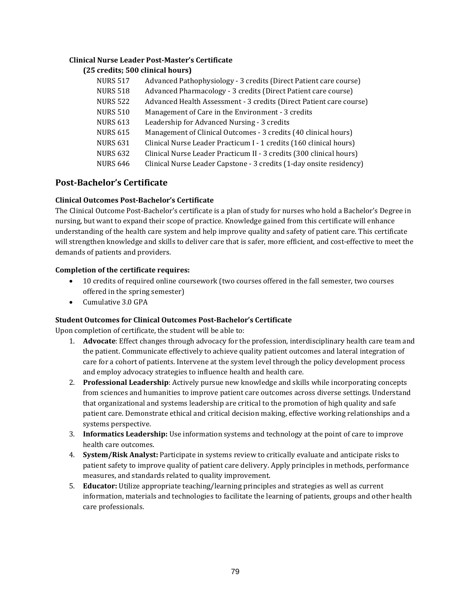#### **Clinical Nurse Leader Post-Master's Certificate**

#### **(25 credits; 500 clinical hours)**

| <b>NURS 517</b> | Advanced Pathophysiology - 3 credits (Direct Patient care course)   |
|-----------------|---------------------------------------------------------------------|
| <b>NURS 518</b> | Advanced Pharmacology - 3 credits (Direct Patient care course)      |
| <b>NURS 522</b> | Advanced Health Assessment - 3 credits (Direct Patient care course) |
| <b>NURS 510</b> | Management of Care in the Environment - 3 credits                   |
| <b>NURS 613</b> | Leadership for Advanced Nursing - 3 credits                         |
| <b>NURS 615</b> | Management of Clinical Outcomes - 3 credits (40 clinical hours)     |
| <b>NURS 631</b> | Clinical Nurse Leader Practicum I - 1 credits (160 clinical hours)  |
| <b>NURS 632</b> | Clinical Nurse Leader Practicum II - 3 credits (300 clinical hours) |
| <b>NURS 646</b> | Clinical Nurse Leader Capstone - 3 credits (1-day onsite residency) |

## **Post-Bachelor's Certificate**

#### **Clinical Outcomes Post-Bachelor's Certificate**

The Clinical Outcome Post-Bachelor's certificate is a plan of study for nurses who hold a Bachelor's Degree in nursing, but want to expand their scope of practice. Knowledge gained from this certificate will enhance understanding of the health care system and help improve quality and safety of patient care. This certificate will strengthen knowledge and skills to deliver care that is safer, more efficient, and cost-effective to meet the demands of patients and providers.

#### **Completion of the certificate requires:**

- 10 credits of required online coursework (two courses offered in the fall semester, two courses offered in the spring semester)
- Cumulative 3.0 GPA

#### **Student Outcomes for Clinical Outcomes Post-Bachelor's Certificate**

Upon completion of certificate, the student will be able to:

- 1. **Advocate**: Effect changes through advocacy for the profession, interdisciplinary health care team and the patient. Communicate effectively to achieve quality patient outcomes and lateral integration of care for a cohort of patients. Intervene at the system level through the policy development process and employ advocacy strategies to influence health and health care.
- 2. **Professional Leadership**: Actively pursue new knowledge and skills while incorporating concepts from sciences and humanities to improve patient care outcomes across diverse settings. Understand that organizational and systems leadership are critical to the promotion of high quality and safe patient care. Demonstrate ethical and critical decision making, effective working relationships and a systems perspective.
- 3. **Informatics Leadership:** Use information systems and technology at the point of care to improve health care outcomes.
- 4. **System/Risk Analyst:** Participate in systems review to critically evaluate and anticipate risks to patient safety to improve quality of patient care delivery. Apply principles in methods, performance measures, and standards related to quality improvement.
- 5. **Educator:** Utilize appropriate teaching/learning principles and strategies as well as current information, materials and technologies to facilitate the learning of patients, groups and other health care professionals.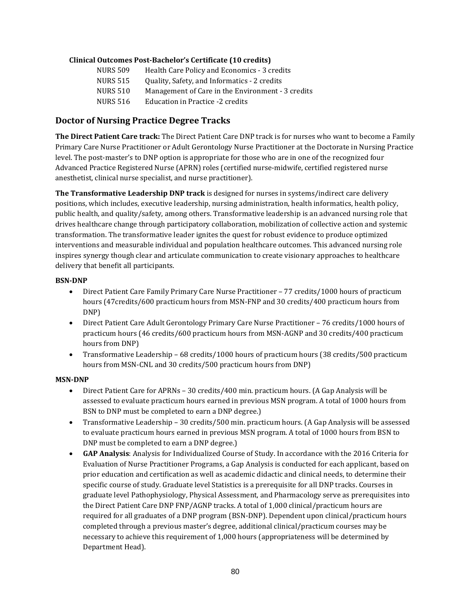#### **Clinical Outcomes Post-Bachelor's Certificate (10 credits)**

| <b>NURS 509</b> | Health Care Policy and Economics - 3 credits      |
|-----------------|---------------------------------------------------|
| <b>NURS 515</b> | Quality, Safety, and Informatics - 2 credits      |
| <b>NURS 510</b> | Management of Care in the Environment - 3 credits |
| <b>NURS 516</b> | Education in Practice -2 credits                  |
|                 |                                                   |

## **Doctor of Nursing Practice Degree Tracks**

**The Direct Patient Care track:** The Direct Patient Care DNP track is for nurses who want to become a Family Primary Care Nurse Practitioner or Adult Gerontology Nurse Practitioner at the Doctorate in Nursing Practice level. The post-master's to DNP option is appropriate for those who are in one of the recognized four Advanced Practice Registered Nurse (APRN) roles (certified nurse-midwife, certified registered nurse anesthetist, clinical nurse specialist, and nurse practitioner).

**The Transformative Leadership DNP track** is designed for nurses in systems/indirect care delivery positions, which includes, executive leadership, nursing administration, health informatics, health policy, public health, and quality/safety, among others. Transformative leadership is an advanced nursing role that drives healthcare change through participatory collaboration, mobilization of collective action and systemic transformation. The transformative leader ignites the quest for robust evidence to produce optimized interventions and measurable individual and population healthcare outcomes. This advanced nursing role inspires synergy though clear and articulate communication to create visionary approaches to healthcare delivery that benefit all participants.

#### **BSN-DNP**

- Direct Patient Care Family Primary Care Nurse Practitioner 77 credits/1000 hours of practicum hours (47credits/600 practicum hours from MSN-FNP and 30 credits/400 practicum hours from DNP)
- Direct Patient Care Adult Gerontology Primary Care Nurse Practitioner 76 credits/1000 hours of practicum hours (46 credits/600 practicum hours from MSN-AGNP and 30 credits/400 practicum hours from DNP)
- Transformative Leadership 68 credits/1000 hours of practicum hours (38 credits/500 practicum hours from MSN-CNL and 30 credits/500 practicum hours from DNP)

## **MSN-DNP**

- Direct Patient Care for APRNs 30 credits/400 min. practicum hours. (A Gap Analysis will be assessed to evaluate practicum hours earned in previous MSN program. A total of 1000 hours from BSN to DNP must be completed to earn a DNP degree.)
- Transformative Leadership 30 credits/500 min. practicum hours. (A Gap Analysis will be assessed to evaluate practicum hours earned in previous MSN program. A total of 1000 hours from BSN to DNP must be completed to earn a DNP degree.)
- **GAP Analysis**: Analysis for Individualized Course of Study. In accordance with the 2016 Criteria for Evaluation of Nurse Practitioner Programs, a Gap Analysis is conducted for each applicant, based on prior education and certification as well as academic didactic and clinical needs, to determine their specific course of study. Graduate level Statistics is a prerequisite for all DNP tracks. Courses in graduate level Pathophysiology, Physical Assessment, and Pharmacology serve as prerequisites into the Direct Patient Care DNP FNP/AGNP tracks. A total of 1,000 clinical/practicum hours are required for all graduates of a DNP program (BSN-DNP). Dependent upon clinical/practicum hours completed through a previous master's degree, additional clinical/practicum courses may be necessary to achieve this requirement of 1,000 hours (appropriateness will be determined by Department Head).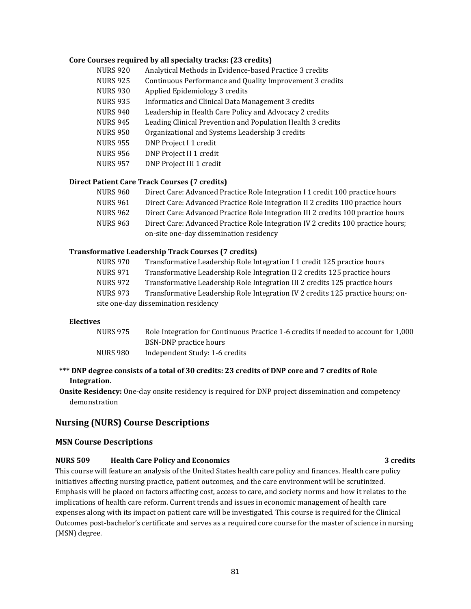#### **Core Courses required by all specialty tracks: (23 credits)**

| <b>NURS 920</b> | Analytical Methods in Evidence-based Practice 3 credits     |
|-----------------|-------------------------------------------------------------|
| <b>NURS 925</b> | Continuous Performance and Quality Improvement 3 credits    |
| <b>NURS 930</b> | Applied Epidemiology 3 credits                              |
| <b>NURS 935</b> | Informatics and Clinical Data Management 3 credits          |
| <b>NURS 940</b> | Leadership in Health Care Policy and Advocacy 2 credits     |
| <b>NURS 945</b> | Leading Clinical Prevention and Population Health 3 credits |
| <b>NURS 950</b> | Organizational and Systems Leadership 3 credits             |
| <b>NURS 955</b> | DNP Project I 1 credit                                      |
| <b>NURS 956</b> | DNP Project II 1 credit                                     |
| <b>NURS 957</b> | DNP Project III 1 credit                                    |

#### **Direct Patient Care Track Courses (7 credits)**

| NURS 960        | Direct Care: Advanced Practice Role Integration I 1 credit 100 practice hours    |
|-----------------|----------------------------------------------------------------------------------|
| <b>NURS 961</b> | Direct Care: Advanced Practice Role Integration II 2 credits 100 practice hours  |
| NURS 962        | Direct Care: Advanced Practice Role Integration III 2 credits 100 practice hours |
| <b>NURS 963</b> | Direct Care: Advanced Practice Role Integration IV 2 credits 100 practice hours; |
|                 | on-site one-day dissemination residency                                          |
|                 |                                                                                  |

#### **Transformative Leadership Track Courses (7 credits)**

| <b>NURS 970</b>                      | Transformative Leadership Role Integration I 1 credit 125 practice hours        |
|--------------------------------------|---------------------------------------------------------------------------------|
| NURS 971                             | Transformative Leadership Role Integration II 2 credits 125 practice hours      |
| NURS 972                             | Transformative Leadership Role Integration III 2 credits 125 practice hours     |
| <b>NURS 973</b>                      | Transformative Leadership Role Integration IV 2 credits 125 practice hours; on- |
| site one-day dissemination residency |                                                                                 |

## **Electives**

| <b>NURS 975</b> | Role Integration for Continuous Practice 1-6 credits if needed to account for 1,000 |
|-----------------|-------------------------------------------------------------------------------------|
|                 | BSN-DNP practice hours                                                              |
| NURS 980        | Independent Study: 1-6 credits                                                      |

### **\*\*\* DNP degree consists of a total of 30 credits: 23 credits of DNP core and 7 credits of Role Integration.**

**Onsite Residency:** One-day onsite residency is required for DNP project dissemination and competency demonstration

## **Nursing (NURS) Course Descriptions**

#### **MSN Course Descriptions**

#### **NURS 509 Health Care Policy and Economics 3 credits** 3 credits

This course will feature an analysis of the United States health care policy and finances. Health care policy initiatives affecting nursing practice, patient outcomes, and the care environment will be scrutinized. Emphasis will be placed on factors affecting cost, access to care, and society norms and how it relates to the implications of health care reform. Current trends and issues in economic management of health care expenses along with its impact on patient care will be investigated. This course is required for the Clinical Outcomes post-bachelor's certificate and serves as a required core course for the master of science in nursing (MSN) degree.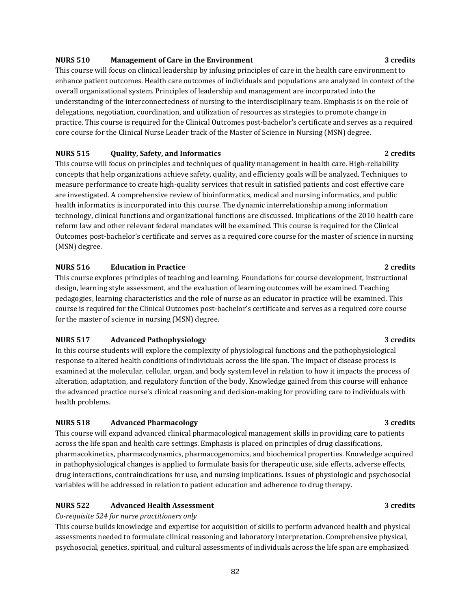#### **NURS 510 Management of Care in the Environment 3 credits 3 credits**

This course will focus on clinical leadership by infusing principles of care in the health care environment to enhance patient outcomes. Health care outcomes of individuals and populations are analyzed in context of the overall organizational system. Principles of leadership and management are incorporated into the understanding of the interconnectedness of nursing to the interdisciplinary team. Emphasis is on the role of delegations, negotiation, coordination, and utilization of resources as strategies to promote change in practice. This course is required for the Clinical Outcomes post-bachelor's certificate and serves as a required core course for the Clinical Nurse Leader track of the Master of Science in Nursing (MSN) degree.

#### **NURS 515 Quality, Safety, and Informatics 2 credits** 2 credits

This course will focus on principles and techniques of quality management in health care. High-reliability concepts that help organizations achieve safety, quality, and efficiency goals will be analyzed. Techniques to measure performance to create high-quality services that result in satisfied patients and cost effective care are investigated. A comprehensive review of bioinformatics, medical and nursing informatics, and public health informatics is incorporated into this course. The dynamic interrelationship among information technology, clinical functions and organizational functions are discussed. Implications of the 2010 health care reform law and other relevant federal mandates will be examined. This course is required for the Clinical Outcomes post-bachelor's certificate and serves as a required core course for the master of science in nursing (MSN) degree.

#### **NURS 516 Education in Practice 2 credits**

This course explores principles of teaching and learning. Foundations for course development, instructional design, learning style assessment, and the evaluation of learning outcomes will be examined. Teaching pedagogies, learning characteristics and the role of nurse as an educator in practice will be examined. This course is required for the Clinical Outcomes post-bachelor's certificate and serves as a required core course for the master of science in nursing (MSN) degree.

## **NURS 517 Advanced Pathophysiology 3 credits**

In this course students will explore the complexity of physiological functions and the pathophysiological response to altered health conditions of individuals across the life span. The impact of disease process is examined at the molecular, cellular, organ, and body system level in relation to how it impacts the process of alteration, adaptation, and regulatory function of the body. Knowledge gained from this course will enhance the advanced practice nurse's clinical reasoning and decision-making for providing care to individuals with health problems.

## **NURS 518 Advanced Pharmacology 3 credits** 3 credits

This course will expand advanced clinical pharmacological management skills in providing care to patients across the life span and health care settings. Emphasis is placed on principles of drug classifications, pharmacokinetics, pharmacodynamics, pharmacogenomics, and biochemical properties. Knowledge acquired in pathophysiological changes is applied to formulate basis for therapeutic use, side effects, adverse effects, drug interactions, contraindications for use, and nursing implications. Issues of physiologic and psychosocial variables will be addressed in relation to patient education and adherence to drug therapy.

## **NURS 522 Advanced Health Assessment** 3 credits 3 credits

## *Co-requisite 524 for nurse practitioners only*

This course builds knowledge and expertise for acquisition of skills to perform advanced health and physical assessments needed to formulate clinical reasoning and laboratory interpretation. Comprehensive physical, psychosocial, genetics, spiritual, and cultural assessments of individuals across the life span are emphasized.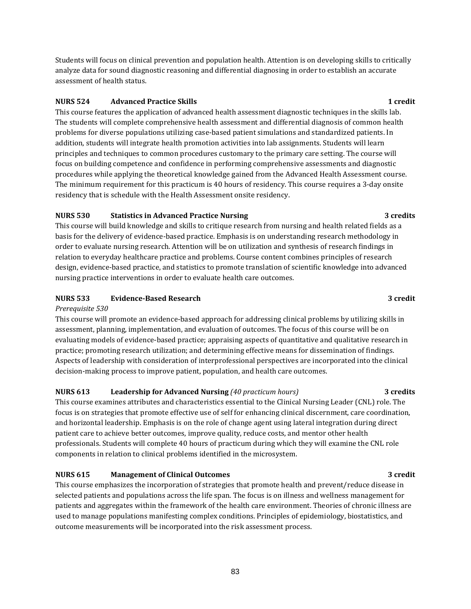Students will focus on clinical prevention and population health. Attention is on developing skills to critically analyze data for sound diagnostic reasoning and differential diagnosing in order to establish an accurate assessment of health status.

## **NURS 524 Advanced Practice Skills 1 credit**

This course features the application of advanced health assessment diagnostic techniques in the skills lab. The students will complete comprehensive health assessment and differential diagnosis of common health problems for diverse populations utilizing case-based patient simulations and standardized patients. In addition, students will integrate health promotion activities into lab assignments. Students will learn principles and techniques to common procedures customary to the primary care setting. The course will focus on building competence and confidence in performing comprehensive assessments and diagnostic procedures while applying the theoretical knowledge gained from the Advanced Health Assessment course. The minimum requirement for this practicum is 40 hours of residency. This course requires a 3-day onsite residency that is schedule with the Health Assessment onsite residency.

## **NURS 530 Statistics in Advanced Practice Nursing 3 credits 3 credits 3 credits 3 credits 3 credits 3 credits 3 credits 3 credits 3 credits 3 credits 3 credits 3 credits 3 credits 3 credits 3 credits 3 credits 3 credits**

This course will build knowledge and skills to critique research from nursing and health related fields as a basis for the delivery of evidence-based practice. Emphasis is on understanding research methodology in order to evaluate nursing research. Attention will be on utilization and synthesis of research findings in relation to everyday healthcare practice and problems. Course content combines principles of research design, evidence-based practice, and statistics to promote translation of scientific knowledge into advanced nursing practice interventions in order to evaluate health care outcomes.

## **NURS 533 Evidence-Based Research 3 credit**

## *Prerequisite 530*

This course will promote an evidence-based approach for addressing clinical problems by utilizing skills in assessment, planning, implementation, and evaluation of outcomes. The focus of this course will be on evaluating models of evidence-based practice; appraising aspects of quantitative and qualitative research in practice; promoting research utilization; and determining effective means for dissemination of findings. Aspects of leadership with consideration of interprofessional perspectives are incorporated into the clinical decision-making process to improve patient, population, and health care outcomes.

## **NURS 613 Leadership for Advanced Nursing** *(40 practicum hours)* **3 credits**

This course examines attributes and characteristics essential to the Clinical Nursing Leader (CNL) role. The focus is on strategies that promote effective use of self for enhancing clinical discernment, care coordination, and horizontal leadership. Emphasis is on the role of change agent using lateral integration during direct patient care to achieve better outcomes, improve quality, reduce costs, and mentor other health professionals. Students will complete 40 hours of practicum during which they will examine the CNL role components in relation to clinical problems identified in the microsystem.

## **NURS 615 Management of Clinical Outcomes 3 credit**

This course emphasizes the incorporation of strategies that promote health and prevent/reduce disease in selected patients and populations across the life span. The focus is on illness and wellness management for patients and aggregates within the framework of the health care environment. Theories of chronic illness are used to manage populations manifesting complex conditions. Principles of epidemiology, biostatistics, and outcome measurements will be incorporated into the risk assessment process.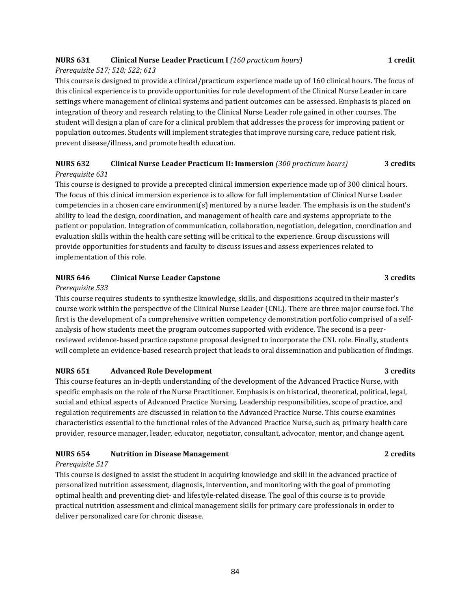## **NURS 631 Clinical Nurse Leader Practicum I** *(160 practicum hours)* **1 credit**

## *Prerequisite 517; 518; 522; 613*

This course is designed to provide a clinical/practicum experience made up of 160 clinical hours. The focus of this clinical experience is to provide opportunities for role development of the Clinical Nurse Leader in care settings where management of clinical systems and patient outcomes can be assessed. Emphasis is placed on integration of theory and research relating to the Clinical Nurse Leader role gained in other courses. The student will design a plan of care for a clinical problem that addresses the process for improving patient or population outcomes. Students will implement strategies that improve nursing care, reduce patient risk, prevent disease/illness, and promote health education.

## **NURS 632 Clinical Nurse Leader Practicum II: Immersion** *(300 practicum hours)* **3 credits** *Prerequisite 631*

This course is designed to provide a precepted clinical immersion experience made up of 300 clinical hours. The focus of this clinical immersion experience is to allow for full implementation of Clinical Nurse Leader competencies in a chosen care environment(s) mentored by a nurse leader. The emphasis is on the student's ability to lead the design, coordination, and management of health care and systems appropriate to the patient or population. Integration of communication, collaboration, negotiation, delegation, coordination and evaluation skills within the health care setting will be critical to the experience. Group discussions will provide opportunities for students and faculty to discuss issues and assess experiences related to implementation of this role.

#### **NURS 646 Clinical Nurse Leader Capstone 3 credits**

#### *Prerequisite 533*

This course requires students to synthesize knowledge, skills, and dispositions acquired in their master's course work within the perspective of the Clinical Nurse Leader (CNL). There are three major course foci. The first is the development of a comprehensive written competency demonstration portfolio comprised of a selfanalysis of how students meet the program outcomes supported with evidence. The second is a peerreviewed evidence-based practice capstone proposal designed to incorporate the CNL role. Finally, students will complete an evidence-based research project that leads to oral dissemination and publication of findings.

## **NURS 651 Advanced Role Development** 3 credits

This course features an in-depth understanding of the development of the Advanced Practice Nurse, with specific emphasis on the role of the Nurse Practitioner. Emphasis is on historical, theoretical, political, legal, social and ethical aspects of Advanced Practice Nursing. Leadership responsibilities, scope of practice, and regulation requirements are discussed in relation to the Advanced Practice Nurse. This course examines characteristics essential to the functional roles of the Advanced Practice Nurse, such as, primary health care provider, resource manager, leader, educator, negotiator, consultant, advocator, mentor, and change agent.

## **NURS 654 Nutrition in Disease Management 2 credits**

#### *Prerequisite 517*

This course is designed to assist the student in acquiring knowledge and skill in the advanced practice of personalized nutrition assessment, diagnosis, intervention, and monitoring with the goal of promoting optimal health and preventing diet- and lifestyle-related disease. The goal of this course is to provide practical nutrition assessment and clinical management skills for primary care professionals in order to deliver personalized care for chronic disease.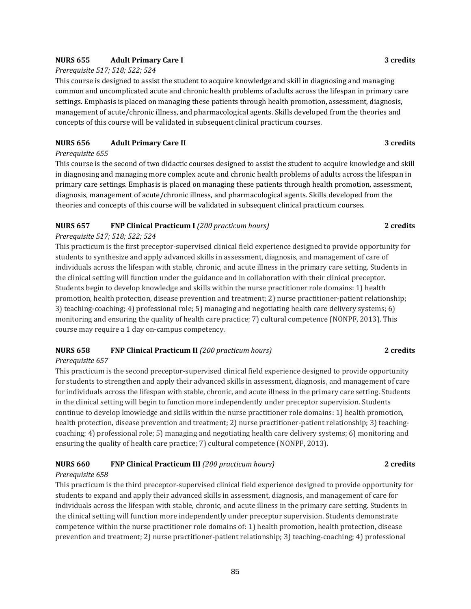#### **NURS 655 Adult Primary Care I 3 credits**

#### *Prerequisite 517; 518; 522; 524*

This course is designed to assist the student to acquire knowledge and skill in diagnosing and managing common and uncomplicated acute and chronic health problems of adults across the lifespan in primary care settings. Emphasis is placed on managing these patients through health promotion, assessment, diagnosis, management of acute/chronic illness, and pharmacological agents. Skills developed from the theories and concepts of this course will be validated in subsequent clinical practicum courses.

#### **NURS 656 Adult Primary Care II 3 credits**

#### *Prerequisite 655*

This course is the second of two didactic courses designed to assist the student to acquire knowledge and skill in diagnosing and managing more complex acute and chronic health problems of adults across the lifespan in primary care settings. Emphasis is placed on managing these patients through health promotion, assessment, diagnosis, management of acute/chronic illness, and pharmacological agents. Skills developed from the theories and concepts of this course will be validated in subsequent clinical practicum courses.

## **NURS 657 FNP Clinical Practicum I** *(200 practicum hours)* **2 credits**

#### *Prerequisite 517; 518; 522; 524*

This practicum is the first preceptor-supervised clinical field experience designed to provide opportunity for students to synthesize and apply advanced skills in assessment, diagnosis, and management of care of individuals across the lifespan with stable, chronic, and acute illness in the primary care setting. Students in the clinical setting will function under the guidance and in collaboration with their clinical preceptor. Students begin to develop knowledge and skills within the nurse practitioner role domains: 1) health promotion, health protection, disease prevention and treatment; 2) nurse practitioner-patient relationship; 3) teaching-coaching; 4) professional role; 5) managing and negotiating health care delivery systems; 6) monitoring and ensuring the quality of health care practice; 7) cultural competence (NONPF, 2013). This course may require a 1 day on-campus competency.

## **NURS 658 FNP Clinical Practicum II** *(200 practicum hours)* **2 credits**

#### *Prerequisite 657*

This practicum is the second preceptor-supervised clinical field experience designed to provide opportunity for students to strengthen and apply their advanced skills in assessment, diagnosis, and management of care for individuals across the lifespan with stable, chronic, and acute illness in the primary care setting. Students in the clinical setting will begin to function more independently under preceptor supervision. Students continue to develop knowledge and skills within the nurse practitioner role domains: 1) health promotion, health protection, disease prevention and treatment; 2) nurse practitioner-patient relationship; 3) teachingcoaching; 4) professional role; 5) managing and negotiating health care delivery systems; 6) monitoring and ensuring the quality of health care practice; 7) cultural competence (NONPF, 2013).

## **NURS 660 FNP Clinical Practicum III** *(200 practicum hours)* **2 credits**

### *Prerequisite 658*

This practicum is the third preceptor-supervised clinical field experience designed to provide opportunity for students to expand and apply their advanced skills in assessment, diagnosis, and management of care for individuals across the lifespan with stable, chronic, and acute illness in the primary care setting. Students in the clinical setting will function more independently under preceptor supervision. Students demonstrate competence within the nurse practitioner role domains of: 1) health promotion, health protection, disease prevention and treatment; 2) nurse practitioner-patient relationship; 3) teaching-coaching; 4) professional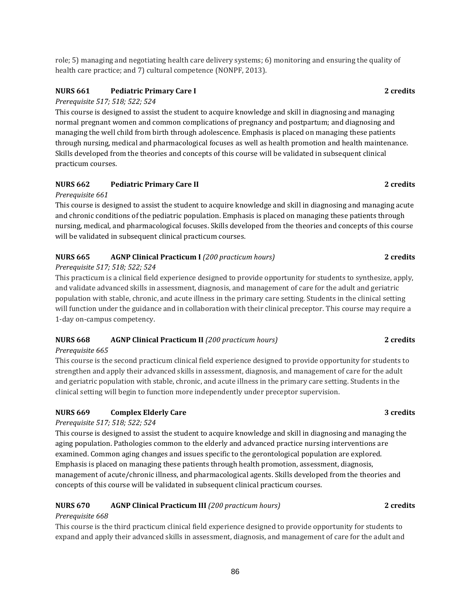role; 5) managing and negotiating health care delivery systems; 6) monitoring and ensuring the quality of health care practice; and 7) cultural competence (NONPF, 2013).

## **NURS 661 Pediatric Primary Care I 2 credits**

#### *Prerequisite 517; 518; 522; 524*

This course is designed to assist the student to acquire knowledge and skill in diagnosing and managing normal pregnant women and common complications of pregnancy and postpartum; and diagnosing and managing the well child from birth through adolescence. Emphasis is placed on managing these patients through nursing, medical and pharmacological focuses as well as health promotion and health maintenance. Skills developed from the theories and concepts of this course will be validated in subsequent clinical practicum courses.

## **NURS 662 Pediatric Primary Care II 2 credits**

#### *Prerequisite 661*

This course is designed to assist the student to acquire knowledge and skill in diagnosing and managing acute and chronic conditions of the pediatric population. Emphasis is placed on managing these patients through nursing, medical, and pharmacological focuses. Skills developed from the theories and concepts of this course will be validated in subsequent clinical practicum courses.

## **NURS 665 AGNP Clinical Practicum I** (200 practicum hours) **2** credits

## *Prerequisite 517; 518; 522; 524*

This practicum is a clinical field experience designed to provide opportunity for students to synthesize, apply, and validate advanced skills in assessment, diagnosis, and management of care for the adult and geriatric population with stable, chronic, and acute illness in the primary care setting. Students in the clinical setting will function under the guidance and in collaboration with their clinical preceptor. This course may require a 1-day on-campus competency.

## **NURS 668 AGNP Clinical Practicum II** *(200 practicum hours)* **2 credits**

## *Prerequisite 665*

This course is the second practicum clinical field experience designed to provide opportunity for students to strengthen and apply their advanced skills in assessment, diagnosis, and management of care for the adult and geriatric population with stable, chronic, and acute illness in the primary care setting. Students in the clinical setting will begin to function more independently under preceptor supervision.

## **NURS 669 Complex Elderly Care 3 credits**

#### *Prerequisite 517; 518; 522; 524*

This course is designed to assist the student to acquire knowledge and skill in diagnosing and managing the aging population. Pathologies common to the elderly and advanced practice nursing interventions are examined. Common aging changes and issues specific to the gerontological population are explored. Emphasis is placed on managing these patients through health promotion, assessment, diagnosis, management of acute/chronic illness, and pharmacological agents. Skills developed from the theories and concepts of this course will be validated in subsequent clinical practicum courses.

## **NURS 670 AGNP Clinical Practicum III** *(200 practicum hours)* **2 credits**

## *Prerequisite 668*

This course is the third practicum clinical field experience designed to provide opportunity for students to expand and apply their advanced skills in assessment, diagnosis, and management of care for the adult and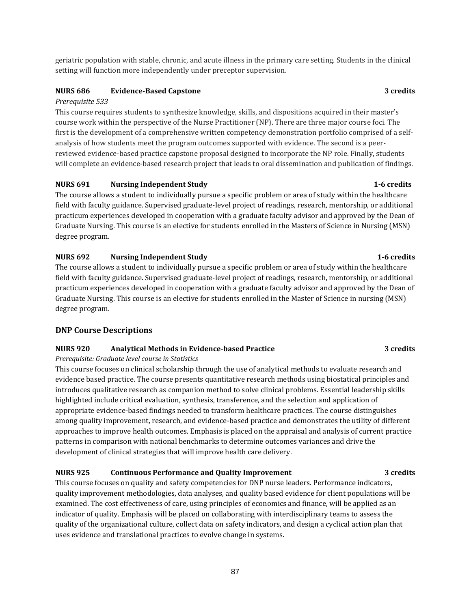geriatric population with stable, chronic, and acute illness in the primary care setting. Students in the clinical setting will function more independently under preceptor supervision.

## **NURS 686 Evidence-Based Capstone 3 credits**

## *Prerequisite 533*

This course requires students to synthesize knowledge, skills, and dispositions acquired in their master's course work within the perspective of the Nurse Practitioner (NP). There are three major course foci. The first is the development of a comprehensive written competency demonstration portfolio comprised of a selfanalysis of how students meet the program outcomes supported with evidence. The second is a peerreviewed evidence-based practice capstone proposal designed to incorporate the NP role. Finally, students will complete an evidence-based research project that leads to oral dissemination and publication of findings.

## **NURS 691 Nursing Independent Study 1-6 credits**

The course allows a student to individually pursue a specific problem or area of study within the healthcare field with faculty guidance. Supervised graduate-level project of readings, research, mentorship, or additional practicum experiences developed in cooperation with a graduate faculty advisor and approved by the Dean of Graduate Nursing. This course is an elective for students enrolled in the Masters of Science in Nursing (MSN) degree program.

## **NURS 692 Nursing Independent Study 1-6 credits**

The course allows a student to individually pursue a specific problem or area of study within the healthcare field with faculty guidance. Supervised graduate-level project of readings, research, mentorship, or additional practicum experiences developed in cooperation with a graduate faculty advisor and approved by the Dean of Graduate Nursing. This course is an elective for students enrolled in the Master of Science in nursing (MSN) degree program.

## **DNP Course Descriptions**

## **NURS 920 Analytical Methods in Evidence-based Practice 3 credits** 3 credits

## *Prerequisite: Graduate level course in Statistics*

This course focuses on clinical scholarship through the use of analytical methods to evaluate research and evidence based practice. The course presents quantitative research methods using biostatical principles and introduces qualitative research as companion method to solve clinical problems. Essential leadership skills highlighted include critical evaluation, synthesis, transference, and the selection and application of appropriate evidence-based findings needed to transform healthcare practices. The course distinguishes among quality improvement, research, and evidence-based practice and demonstrates the utility of different approaches to improve health outcomes. Emphasis is placed on the appraisal and analysis of current practice patterns in comparison with national benchmarks to determine outcomes variances and drive the development of clinical strategies that will improve health care delivery.

## **NURS 925 Continuous Performance and Quality Improvement 3 credits**

This course focuses on quality and safety competencies for DNP nurse leaders. Performance indicators, quality improvement methodologies, data analyses, and quality based evidence for client populations will be examined. The cost effectiveness of care, using principles of economics and finance, will be applied as an indicator of quality. Emphasis will be placed on collaborating with interdisciplinary teams to assess the quality of the organizational culture, collect data on safety indicators, and design a cyclical action plan that uses evidence and translational practices to evolve change in systems.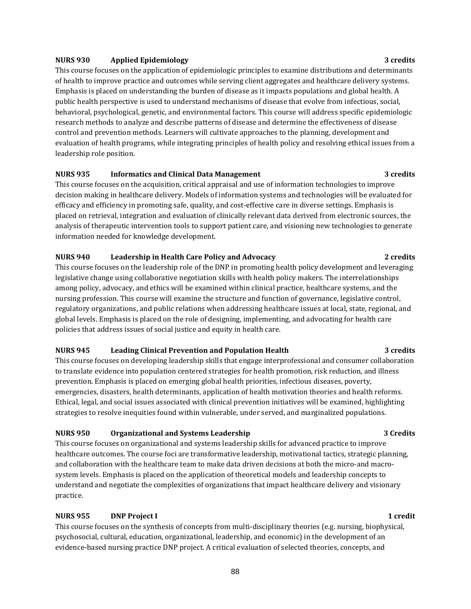#### **NURS 930 Applied Epidemiology 3 credits**

This course focuses on the application of epidemiologic principles to examine distributions and determinants of health to improve practice and outcomes while serving client aggregates and healthcare delivery systems. Emphasis is placed on understanding the burden of disease as it impacts populations and global health. A public health perspective is used to understand mechanisms of disease that evolve from infectious, social, behavioral, psychological, genetic, and environmental factors. This course will address specific epidemiologic research methods to analyze and describe patterns of disease and determine the effectiveness of disease control and prevention methods. Learners will cultivate approaches to the planning, development and evaluation of health programs, while integrating principles of health policy and resolving ethical issues from a leadership role position.

#### **NURS 935 Informatics and Clinical Data Management 3 credits**

This course focuses on the acquisition, critical appraisal and use of information technologies to improve decision making in healthcare delivery. Models of information systems and technologies will be evaluated for efficacy and efficiency in promoting safe, quality, and cost-effective care in diverse settings. Emphasis is placed on retrieval, integration and evaluation of clinically relevant data derived from electronic sources, the analysis of therapeutic intervention tools to support patient care, and visioning new technologies to generate information needed for knowledge development.

#### **NURS 940 Leadership in Health Care Policy and Advocacy 2 credits**

This course focuses on the leadership role of the DNP in promoting health policy development and leveraging legislative change using collaborative negotiation skills with health policy makers. The interrelationships among policy, advocacy, and ethics will be examined within clinical practice, healthcare systems, and the nursing profession. This course will examine the structure and function of governance, legislative control, regulatory organizations, and public relations when addressing healthcare issues at local, state, regional, and global levels. Emphasis is placed on the role of designing, implementing, and advocating for health care policies that address issues of social justice and equity in health care.

#### **NURS 945 Leading Clinical Prevention and Population Health 3 credits**

This course focuses on developing leadership skills that engage interprofessional and consumer collaboration to translate evidence into population centered strategies for health promotion, risk reduction, and illness prevention. Emphasis is placed on emerging global health priorities, infectious diseases, poverty, emergencies, disasters, health determinants, application of health motivation theories and health reforms. Ethical, legal, and social issues associated with clinical prevention initiatives will be examined, highlighting strategies to resolve inequities found within vulnerable, under served, and marginalized populations.

#### **NURS 950 Organizational and Systems Leadership 3 Credits**

This course focuses on organizational and systems leadership skills for advanced practice to improve healthcare outcomes. The course foci are transformative leadership, motivational tactics, strategic planning, and collaboration with the healthcare team to make data driven decisions at both the micro-and macrosystem levels. Emphasis is placed on the application of theoretical models and leadership concepts to understand and negotiate the complexities of organizations that impact healthcare delivery and visionary practice.

## **NURS 955 DNP Project I 1 credit**

This course focuses on the synthesis of concepts from multi-disciplinary theories (e.g. nursing, biophysical, psychosocial, cultural, education, organizational, leadership, and economic) in the development of an evidence-based nursing practice DNP project. A critical evaluation of selected theories, concepts, and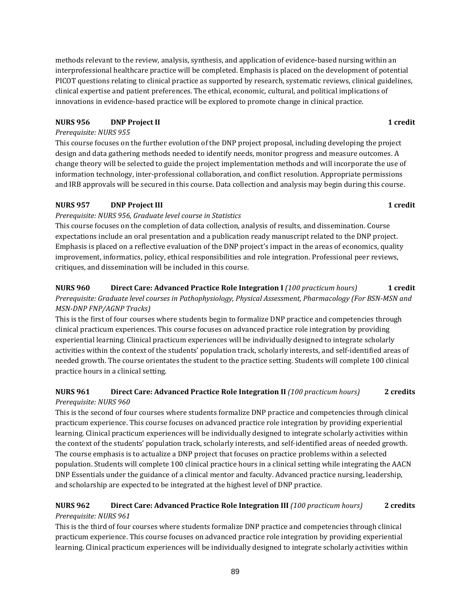methods relevant to the review, analysis, synthesis, and application of evidence-based nursing within an interprofessional healthcare practice will be completed. Emphasis is placed on the development of potential PICOT questions relating to clinical practice as supported by research, systematic reviews, clinical guidelines, clinical expertise and patient preferences. The ethical, economic, cultural, and political implications of innovations in evidence-based practice will be explored to promote change in clinical practice.

## **NURS 956 DNP Project II DNP DNP DNP DNP DNP DNP DNP DNP DNP DNP DNP DNP DNP DNP DNP DNP DNP DNP DNP DNP DNP DNP DNP DNP DNP DNP DNP DNP DNP DNP DNP DNP D**

## *Prerequisite: NURS 955*

This course focuses on the further evolution of the DNP project proposal, including developing the project design and data gathering methods needed to identify needs, monitor progress and measure outcomes. A change theory will be selected to guide the project implementation methods and will incorporate the use of information technology, inter-professional collaboration, and conflict resolution. Appropriate permissions and IRB approvals will be secured in this course. Data collection and analysis may begin during this course.

## **NURS 957 DNP Project III DNP DNP DNP DNP DNP DNP DNP DNP DNP DNP DNP DNP DNP DNP DNP DNP DNP DNP DNP DNP DNP DNP DNP DNP DNP DNP DNP DNP DNP DNP DNP DNP**

## *Prerequisite: NURS 956, Graduate level course in Statistics*

This course focuses on the completion of data collection, analysis of results, and dissemination. Course expectations include an oral presentation and a publication ready manuscript related to the DNP project. Emphasis is placed on a reflective evaluation of the DNP project's impact in the areas of economics, quality improvement, informatics, policy, ethical responsibilities and role integration. Professional peer reviews, critiques, and dissemination will be included in this course.

## **NURS 960 Direct Care: Advanced Practice Role Integration I** *(100 practicum hours)* **1 credit** *Prerequisite: Graduate level courses in Pathophysiology, Physical Assessment, Pharmacology (For BSN-MSN and MSN-DNP FNP/AGNP Tracks)*

This is the first of four courses where students begin to formalize DNP practice and competencies through clinical practicum experiences. This course focuses on advanced practice role integration by providing experiential learning. Clinical practicum experiences will be individually designed to integrate scholarly activities within the context of the students' population track, scholarly interests, and self-identified areas of needed growth. The course orientates the student to the practice setting. Students will complete 100 clinical practice hours in a clinical setting.

## **NURS 961 Direct Care: Advanced Practice Role Integration II** *(100 practicum hours)* **2 credits**  *Prerequisite: NURS 960*

This is the second of four courses where students formalize DNP practice and competencies through clinical practicum experience. This course focuses on advanced practice role integration by providing experiential learning. Clinical practicum experiences will be individually designed to integrate scholarly activities within the context of the students' population track, scholarly interests, and self-identified areas of needed growth. The course emphasis is to actualize a DNP project that focuses on practice problems within a selected population. Students will complete 100 clinical practice hours in a clinical setting while integrating the AACN DNP Essentials under the guidance of a clinical mentor and faculty. Advanced practice nursing, leadership, and scholarship are expected to be integrated at the highest level of DNP practice.

## **NURS 962 Direct Care: Advanced Practice Role Integration III** *(100 practicum hours)* **2 credits** *Prerequisite: NURS 961*

This is the third of four courses where students formalize DNP practice and competencies through clinical practicum experience. This course focuses on advanced practice role integration by providing experiential learning. Clinical practicum experiences will be individually designed to integrate scholarly activities within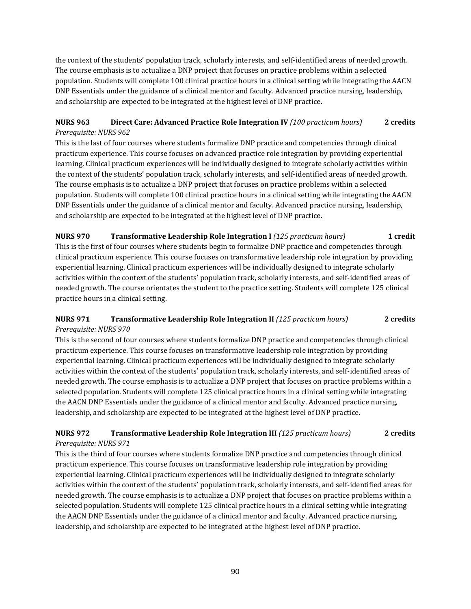the context of the students' population track, scholarly interests, and self-identified areas of needed growth. The course emphasis is to actualize a DNP project that focuses on practice problems within a selected population. Students will complete 100 clinical practice hours in a clinical setting while integrating the AACN DNP Essentials under the guidance of a clinical mentor and faculty. Advanced practice nursing, leadership, and scholarship are expected to be integrated at the highest level of DNP practice.

## **NURS 963 Direct Care: Advanced Practice Role Integration IV** *(100 practicum hours)* **2 credits**  *Prerequisite: NURS 962*

This is the last of four courses where students formalize DNP practice and competencies through clinical practicum experience. This course focuses on advanced practice role integration by providing experiential learning. Clinical practicum experiences will be individually designed to integrate scholarly activities within the context of the students' population track, scholarly interests, and self-identified areas of needed growth. The course emphasis is to actualize a DNP project that focuses on practice problems within a selected population. Students will complete 100 clinical practice hours in a clinical setting while integrating the AACN DNP Essentials under the guidance of a clinical mentor and faculty. Advanced practice nursing, leadership, and scholarship are expected to be integrated at the highest level of DNP practice.

**NURS 970 Transformative Leadership Role Integration I** *(125 practicum hours)* **1 credit**  This is the first of four courses where students begin to formalize DNP practice and competencies through clinical practicum experience. This course focuses on transformative leadership role integration by providing experiential learning. Clinical practicum experiences will be individually designed to integrate scholarly activities within the context of the students' population track, scholarly interests, and self-identified areas of needed growth. The course orientates the student to the practice setting. Students will complete 125 clinical practice hours in a clinical setting.

## **NURS 971 Transformative Leadership Role Integration II** *(125 practicum hours)* **2 credits** *Prerequisite: NURS 970*

This is the second of four courses where students formalize DNP practice and competencies through clinical practicum experience. This course focuses on transformative leadership role integration by providing experiential learning. Clinical practicum experiences will be individually designed to integrate scholarly activities within the context of the students' population track, scholarly interests, and self-identified areas of needed growth. The course emphasis is to actualize a DNP project that focuses on practice problems within a selected population. Students will complete 125 clinical practice hours in a clinical setting while integrating the AACN DNP Essentials under the guidance of a clinical mentor and faculty. Advanced practice nursing, leadership, and scholarship are expected to be integrated at the highest level of DNP practice.

## **NURS 972 Transformative Leadership Role Integration III** *(125 practicum hours)* **2 credits** *Prerequisite: NURS 971*

This is the third of four courses where students formalize DNP practice and competencies through clinical practicum experience. This course focuses on transformative leadership role integration by providing experiential learning. Clinical practicum experiences will be individually designed to integrate scholarly activities within the context of the students' population track, scholarly interests, and self-identified areas for needed growth. The course emphasis is to actualize a DNP project that focuses on practice problems within a selected population. Students will complete 125 clinical practice hours in a clinical setting while integrating the AACN DNP Essentials under the guidance of a clinical mentor and faculty. Advanced practice nursing, leadership, and scholarship are expected to be integrated at the highest level of DNP practice.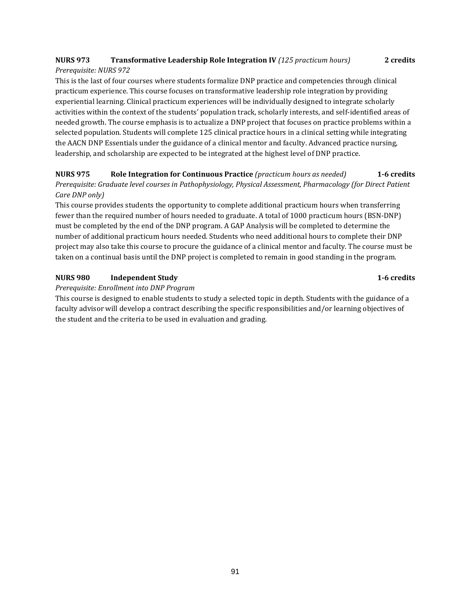## **NURS 973 Transformative Leadership Role Integration IV** *(125 practicum hours)* **2 credits**  *Prerequisite: NURS 972*

This is the last of four courses where students formalize DNP practice and competencies through clinical practicum experience. This course focuses on transformative leadership role integration by providing experiential learning. Clinical practicum experiences will be individually designed to integrate scholarly activities within the context of the students' population track, scholarly interests, and self-identified areas of needed growth. The course emphasis is to actualize a DNP project that focuses on practice problems within a selected population. Students will complete 125 clinical practice hours in a clinical setting while integrating the AACN DNP Essentials under the guidance of a clinical mentor and faculty. Advanced practice nursing, leadership, and scholarship are expected to be integrated at the highest level of DNP practice.

## **NURS 975 Role Integration for Continuous Practice** *(practicum hours as needed)* **1-6 credits** *Prerequisite: Graduate level courses in Pathophysiology, Physical Assessment, Pharmacology (for Direct Patient Care DNP only)*

This course provides students the opportunity to complete additional practicum hours when transferring fewer than the required number of hours needed to graduate. A total of 1000 practicum hours (BSN-DNP) must be completed by the end of the DNP program. A GAP Analysis will be completed to determine the number of additional practicum hours needed. Students who need additional hours to complete their DNP project may also take this course to procure the guidance of a clinical mentor and faculty. The course must be taken on a continual basis until the DNP project is completed to remain in good standing in the program.

## **NURS 980 Independent Study 1-6 credits**

*Prerequisite: Enrollment into DNP Program* 

This course is designed to enable students to study a selected topic in depth. Students with the guidance of a faculty advisor will develop a contract describing the specific responsibilities and/or learning objectives of the student and the criteria to be used in evaluation and grading.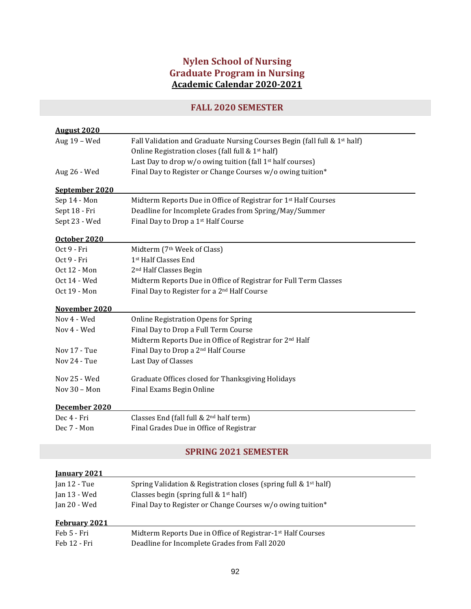# **Nylen School of Nursing Graduate Program in Nursing Academic Calendar 2020-2021**

# **FALL 2020 SEMESTER**

| <b>August 2020</b>          |                                                                             |  |
|-----------------------------|-----------------------------------------------------------------------------|--|
| Aug 19 - Wed                | Fall Validation and Graduate Nursing Courses Begin (fall full & 1st half)   |  |
|                             | Online Registration closes (fall full & 1 <sup>st</sup> half)               |  |
|                             | Last Day to drop w/o owing tuition (fall 1 <sup>st</sup> half courses)      |  |
| Aug 26 - Wed                | Final Day to Register or Change Courses w/o owing tuition*                  |  |
| September 2020              |                                                                             |  |
| Sep 14 - Mon                | Midterm Reports Due in Office of Registrar for 1 <sup>st</sup> Half Courses |  |
| Sept 18 - Fri               | Deadline for Incomplete Grades from Spring/May/Summer                       |  |
| Sept 23 - Wed               | Final Day to Drop a 1 <sup>st</sup> Half Course                             |  |
| October 2020                |                                                                             |  |
| Oct 9 - Fri                 | Midterm (7th Week of Class)                                                 |  |
| Oct 9 - Fri                 | 1 <sup>st</sup> Half Classes End                                            |  |
| Oct 12 - Mon                | 2 <sup>nd</sup> Half Classes Begin                                          |  |
| Oct 14 - Wed                | Midterm Reports Due in Office of Registrar for Full Term Classes            |  |
| Oct 19 - Mon                | Final Day to Register for a 2 <sup>nd</sup> Half Course                     |  |
| November 2020               |                                                                             |  |
| Nov 4 - Wed                 | <b>Online Registration Opens for Spring</b>                                 |  |
| Nov 4 - Wed                 | Final Day to Drop a Full Term Course                                        |  |
|                             | Midterm Reports Due in Office of Registrar for 2nd Half                     |  |
| Nov 17 - Tue                | Final Day to Drop a 2 <sup>nd</sup> Half Course                             |  |
| Nov 24 - Tue                | Last Day of Classes                                                         |  |
| Nov 25 - Wed                | Graduate Offices closed for Thanksgiving Holidays                           |  |
| Nov $30 - Mon$              | Final Exams Begin Online                                                    |  |
| December 2020               |                                                                             |  |
| Dec 4 - Fri                 | Classes End (fall full & 2 <sup>nd</sup> half term)                         |  |
| Dec 7 - Mon                 | Final Grades Due in Office of Registrar                                     |  |
|                             |                                                                             |  |
| <b>SPRING 2021 SEMESTER</b> |                                                                             |  |

| <b>January 2021</b> |                                                                         |
|---------------------|-------------------------------------------------------------------------|
| Jan 12 - Tue        | Spring Validation & Registration closes (spring full & $1st$ half)      |
| Jan 13 - Wed        | Classes begin (spring full $& 1st$ half)                                |
| Jan 20 - Wed        | Final Day to Register or Change Courses w/o owing tuition*              |
| February 2021       |                                                                         |
|                     |                                                                         |
| Feb 5 - Fri         | Midterm Reports Due in Office of Registrar-1 <sup>st</sup> Half Courses |
| Feb 12 - Fri        | Deadline for Incomplete Grades from Fall 2020                           |